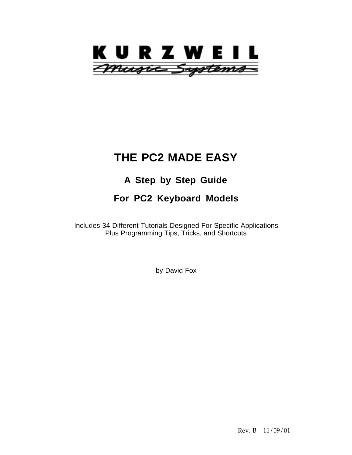

# **THE PC2 MADE EASY**

# **A Step by Step Guide**

# **For PC2 Keyboard Models**

Includes 34 Different Tutorials Designed For Specific Applications Plus Programming Tips, Tricks, and Shortcuts

by David Fox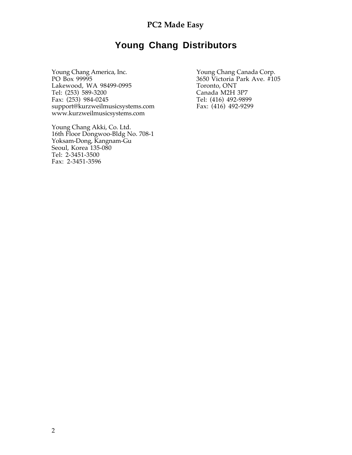# **Young Chang Distributors**

Young Chang America, Inc. Young Chang Canada Corp. PO Box 99995 3650 Victoria Park Ave. #105 Lakewood, WA 98499-0995<br>
Tel: (253) 589-3200<br>
Canada M2H 3P7 Tel: (253) 589-3200<br>
Fax: (253) 984-0245<br>
Tel: (416) 492-9899 Fax: (253) 984-0245<br>support@kurzweilmusicsystems.com Fax: (416) 492-9299 support@kurzweilmusicsystems.com www.kurzweilmusicsystems.com

Young Chang Akki, Co. Ltd. 16th Floor Dongwoo-Bldg No. 708-1 Yoksam-Dong, Kangnam-Gu Seoul, Korea 135-080 Tel: 2-3451-3500 Fax: 2-3451-3596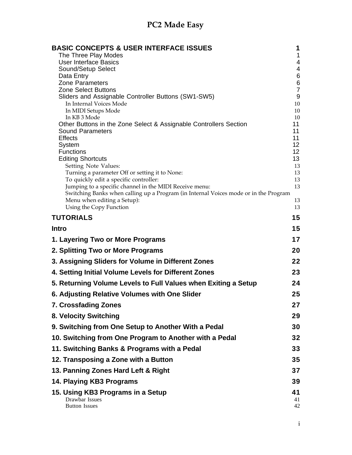| <b>BASIC CONCEPTS &amp; USER INTERFACE ISSUES</b><br>The Three Play Modes                    | 1<br>1                  |
|----------------------------------------------------------------------------------------------|-------------------------|
| <b>User Interface Basics</b>                                                                 | 4                       |
| Sound/Setup Select                                                                           | 4                       |
| Data Entry                                                                                   | 6                       |
| <b>Zone Parameters</b>                                                                       | $\,6$<br>$\overline{7}$ |
| <b>Zone Select Buttons</b><br>Sliders and Assignable Controller Buttons (SW1-SW5)            | $9\,$                   |
| In Internal Voices Mode                                                                      | 10                      |
| In MIDI Setups Mode                                                                          | 10                      |
| In KB 3 Mode                                                                                 | 10                      |
| Other Buttons in the Zone Select & Assignable Controllers Section<br><b>Sound Parameters</b> | 11<br>11                |
| <b>Effects</b>                                                                               | 11                      |
| System                                                                                       | 12 <sub>2</sub>         |
| <b>Functions</b>                                                                             | 12 <sub>2</sub>         |
| <b>Editing Shortcuts</b>                                                                     | 13                      |
| Setting Note Values:<br>Turning a parameter Off or setting it to None:                       | 13<br>13                |
| To quickly edit a specific controller:                                                       | 13                      |
| Jumping to a specific channel in the MIDI Receive menu:                                      | 13                      |
| Switching Banks when calling up a Program (in Internal Voices mode or in the Program         |                         |
| Menu when editing a Setup):                                                                  | 13                      |
| Using the Copy Function                                                                      | 13                      |
| <b>TUTORIALS</b>                                                                             | 15                      |
| <b>Intro</b>                                                                                 | 15                      |
| 1. Layering Two or More Programs                                                             | 17                      |
| 2. Splitting Two or More Programs                                                            | 20                      |
| 3. Assigning Sliders for Volume in Different Zones                                           | 22                      |
| 4. Setting Initial Volume Levels for Different Zones                                         | 23                      |
| 5. Returning Volume Levels to Full Values when Exiting a Setup                               | 24                      |
| 6. Adjusting Relative Volumes with One Slider                                                | 25                      |
| 7. Crossfading Zones                                                                         | 27                      |
| 8. Velocity Switching                                                                        | 29                      |
| 9. Switching from One Setup to Another With a Pedal                                          | 30                      |
| 10. Switching from One Program to Another with a Pedal                                       | 32                      |
| 11. Switching Banks & Programs with a Pedal                                                  | 33                      |
| 12. Transposing a Zone with a Button                                                         | 35                      |
| 13. Panning Zones Hard Left & Right                                                          | 37                      |
| 14. Playing KB3 Programs                                                                     | 39                      |
| 15. Using KB3 Programs in a Setup<br>Drawbar Issues<br><b>Button Issues</b>                  | 41<br>41<br>42          |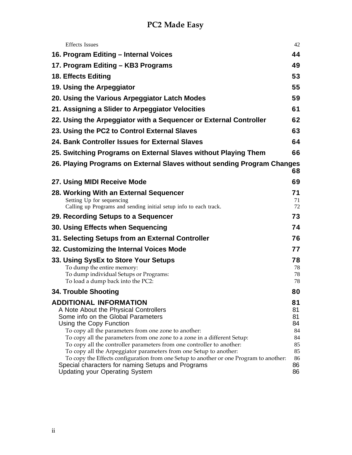| <b>Effects</b> Issues                                                                                                                                                                                                                                                                                                                                                                                                                                                                                                                                                                                             | 42                                                             |
|-------------------------------------------------------------------------------------------------------------------------------------------------------------------------------------------------------------------------------------------------------------------------------------------------------------------------------------------------------------------------------------------------------------------------------------------------------------------------------------------------------------------------------------------------------------------------------------------------------------------|----------------------------------------------------------------|
| 16. Program Editing – Internal Voices                                                                                                                                                                                                                                                                                                                                                                                                                                                                                                                                                                             | 44                                                             |
| 17. Program Editing – KB3 Programs                                                                                                                                                                                                                                                                                                                                                                                                                                                                                                                                                                                | 49                                                             |
| 18. Effects Editing                                                                                                                                                                                                                                                                                                                                                                                                                                                                                                                                                                                               | 53                                                             |
| 19. Using the Arpeggiator                                                                                                                                                                                                                                                                                                                                                                                                                                                                                                                                                                                         | 55                                                             |
| 20. Using the Various Arpeggiator Latch Modes                                                                                                                                                                                                                                                                                                                                                                                                                                                                                                                                                                     | 59                                                             |
| 21. Assigning a Slider to Arpeggiator Velocities                                                                                                                                                                                                                                                                                                                                                                                                                                                                                                                                                                  | 61                                                             |
| 22. Using the Arpeggiator with a Sequencer or External Controller                                                                                                                                                                                                                                                                                                                                                                                                                                                                                                                                                 | 62                                                             |
| 23. Using the PC2 to Control External Slaves                                                                                                                                                                                                                                                                                                                                                                                                                                                                                                                                                                      | 63                                                             |
| 24. Bank Controller Issues for External Slaves                                                                                                                                                                                                                                                                                                                                                                                                                                                                                                                                                                    | 64                                                             |
| 25. Switching Programs on External Slaves without Playing Them                                                                                                                                                                                                                                                                                                                                                                                                                                                                                                                                                    | 66                                                             |
| 26. Playing Programs on External Slaves without sending Program Changes                                                                                                                                                                                                                                                                                                                                                                                                                                                                                                                                           | 68                                                             |
| 27. Using MIDI Receive Mode                                                                                                                                                                                                                                                                                                                                                                                                                                                                                                                                                                                       | 69                                                             |
| 28. Working With an External Sequencer<br>Setting Up for sequencing<br>Calling up Programs and sending initial setup info to each track.                                                                                                                                                                                                                                                                                                                                                                                                                                                                          | 71<br>71<br>72                                                 |
| 29. Recording Setups to a Sequencer                                                                                                                                                                                                                                                                                                                                                                                                                                                                                                                                                                               | 73                                                             |
| 30. Using Effects when Sequencing                                                                                                                                                                                                                                                                                                                                                                                                                                                                                                                                                                                 | 74                                                             |
| 31. Selecting Setups from an External Controller                                                                                                                                                                                                                                                                                                                                                                                                                                                                                                                                                                  | 76                                                             |
| 32. Customizing the Internal Voices Mode                                                                                                                                                                                                                                                                                                                                                                                                                                                                                                                                                                          | 77                                                             |
| 33. Using SysEx to Store Your Setups<br>To dump the entire memory:<br>To dump individual Setups or Programs:<br>To load a dump back into the PC2:                                                                                                                                                                                                                                                                                                                                                                                                                                                                 | 78<br>78<br>78<br>78                                           |
| 34. Trouble Shooting                                                                                                                                                                                                                                                                                                                                                                                                                                                                                                                                                                                              | 80                                                             |
| <b>ADDITIONAL INFORMATION</b><br>A Note About the Physical Controllers<br>Some info on the Global Parameters<br>Using the Copy Function<br>To copy all the parameters from one zone to another:<br>To copy all the parameters from one zone to a zone in a different Setup:<br>To copy all the controller parameters from one controller to another:<br>To copy all the Arpeggiator parameters from one Setup to another:<br>To copy the Effects configuration from one Setup to another or one Program to another:<br>Special characters for naming Setups and Programs<br><b>Updating your Operating System</b> | 81<br>81<br>81<br>84<br>84<br>84<br>85<br>85<br>86<br>86<br>86 |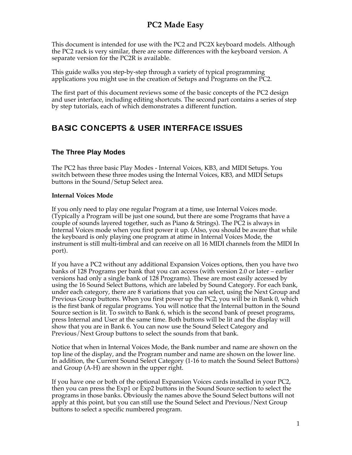This document is intended for use with the PC2 and PC2X keyboard models. Although the PC2 rack is very similar, there are some differences with the keyboard version. A separate version for the PC2R is available.

This guide walks you step-by-step through a variety of typical programming applications you might use in the creation of Setups and Programs on the PC2.

The first part of this document reviews some of the basic concepts of the PC2 design and user interface, including editing shortcuts. The second part contains a series of step by step tutorials, each of which demonstrates a different function.

## **BASIC CONCEPTS & USER INTERFACE ISSUES**

### **The Three Play Modes**

The PC2 has three basic Play Modes - Internal Voices, KB3, and MIDI Setups. You switch between these three modes using the Internal Voices, KB3, and MIDI Setups buttons in the Sound/Setup Select area.

#### **Internal Voices Mode**

If you only need to play one regular Program at a time, use Internal Voices mode. (Typically a Program will be just one sound, but there are some Programs that have a couple of sounds layered together, such as Piano & Strings). The PC2 is always in Internal Voices mode when you first power it up. (Also, you should be aware that while the keyboard is only playing one program at atime in Internal Voices Mode, the instrument is still multi-timbral and can receive on all 16 MIDI channels from the MIDI In port).

If you have a PC2 without any additional Expansion Voices options, then you have two banks of 128 Programs per bank that you can access (with version 2.0 or later – earlier versions had only a single bank of 128 Programs). These are most easily accessed by using the 16 Sound Select Buttons, which are labeled by Sound Category. For each bank, under each category, there are 8 variations that you can select, using the Next Group and Previous Group buttons. When you first power up the PC2, you will be in Bank 0, which is the first bank of regular programs. You will notice that the Internal button in the Sound Source section is lit. To switch to Bank 6, which is the second bank of preset programs, press Internal and User at the same time. Both buttons will be lit and the display will show that you are in Bank 6. You can now use the Sound Select Category and Previous/Next Group buttons to select the sounds from that bank.

Notice that when in Internal Voices Mode, the Bank number and name are shown on the top line of the display, and the Program number and name are shown on the lower line. In addition, the Current Sound Select Category (1-16 to match the Sound Select Buttons) and Group (A-H) are shown in the upper right.

If you have one or both of the optional Expansion Voices cards installed in your PC2, then you can press the Exp1 or Exp2 buttons in the Sound Source section to select the programs in those banks. Obviously the names above the Sound Select buttons will not apply at this point, but you can still use the Sound Select and Previous/Next Group buttons to select a specific numbered program.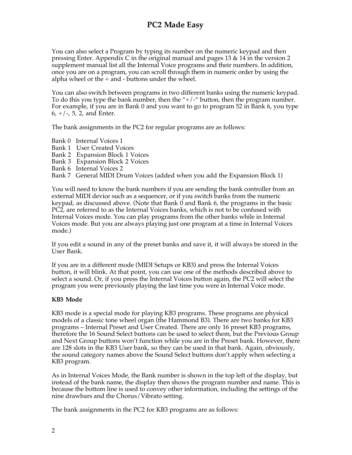You can also select a Program by typing its number on the numeric keypad and then pressing Enter. Appendix C in the original manual and pages 13 & 14 in the version 2 supplement manual list all the Internal Voice programs and their numbers. In addition, once you are on a program, you can scroll through them in numeric order by using the alpha wheel or the + and - buttons under the wheel.

You can also switch between programs in two different banks using the numeric keypad. To do this you type the bank number, then the " $+/-$ " button, then the program number. For example, if you are in Bank 0 and you want to go to program 52 in Bank 6, you type  $6, +/-, 5, 2,$  and Enter.

The bank assignments in the PC2 for regular programs are as follows:

- Bank 0 Internal Voices 1
- Bank 1 User Created Voices
- Bank 2 Expansion Block 1 Voices
- Bank 3 Expansion Block 2 Voices
- Bank 6 Internal Voices 2

Bank 7 General MIDI Drum Voices (added when you add the Expansion Block 1)

You will need to know the bank numbers if you are sending the bank controller from an external MIDI device such as a sequencer, or if you switch banks from the numeric keypad, as discussed above. (Note that Bank 0 and Bank 6, the programs in the basic PC2, are referred to as the Internal Voices banks, which is not to be confused with Internal Voices mode. You can play programs from the other banks while in Internal Voices mode. But you are always playing just one program at a time in Internal Voices mode.)

If you edit a sound in any of the preset banks and save it, it will always be stored in the User Bank.

If you are in a different mode (MIDI Setups or KB3) and press the Internal Voices button, it will blink. At that point, you can use one of the methods described above to select a sound. Or, if you press the Internal Voices button again, the PC2 will select the program you were previously playing the last time you were in Internal Voice mode.

#### **KB3 Mode**

KB3 mode is a special mode for playing KB3 programs. These programs are physical models of a classic tone wheel organ (the Hammond B3). There are two banks for KB3 programs – Internal Preset and User Created. There are only 16 preset KB3 programs, therefore the 16 Sound Select buttons can be used to select them, but the Previous Group and Next Group buttons won't function while you are in the Preset bank. However, there are 128 slots in the KB3 User bank, so they can be used in that bank. Again, obviously, the sound category names above the Sound Select buttons don't apply when selecting a KB3 program.

As in Internal Voices Mode, the Bank number is shown in the top left of the display, but instead of the bank name, the display then shows the program number and name. This is because the bottom line is used to convey other information, including the settings of the nine drawbars and the Chorus/Vibrato setting.

The bank assignments in the PC2 for KB3 programs are as follows: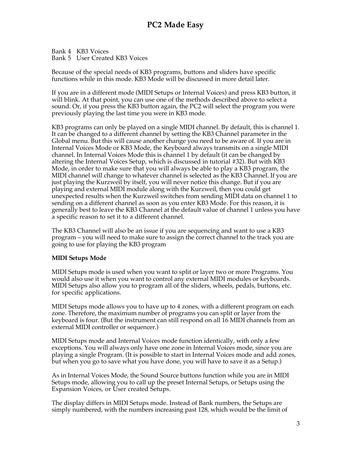Bank 4 KB3 Voices Bank 5 User Created KB3 Voices

Because of the special needs of KB3 programs, buttons and sliders have specific functions while in this mode. KB3 Mode will be discussed in more detail later.

If you are in a different mode (MIDI Setups or Internal Voices) and press KB3 button, it will blink. At that point, you can use one of the methods described above to select a sound. Or, if you press the KB3 button again, the PC2 will select the program you were previously playing the last time you were in KB3 mode.

KB3 programs can only be played on a single MIDI channel. By default, this is channel 1. It can be changed to a different channel by setting the KB3 Channel parameter in the Global menu. But this will cause another change you need to be aware of. If you are in Internal Voices Mode or KB3 Mode, the Keyboard always transmits on a single MIDI channel. In Internal Voices Mode this is channel 1 by default (it can be changed by altering the Internal Voices Setup, which is discussed in tutorial #32). But with KB3 Mode, in order to make sure that you will always be able to play a KB3 program, the MIDI channel will change to whatever channel is selected as the KB3 Channel. If you are just playing the Kurzweil by itself, you will never notice this change. But if you are playing and external MIDI module along with the Kurzweil, then you could get unexpected results when the Kurzweil switches from sending MIDI data on channel 1 to sending on a different channel as soon as you enter KB3 Mode. For this reason, it is generally best to leave the KB3 Channel at the default value of channel 1 unless you have a specific reason to set it to a different channel.

The KB3 Channel will also be an issue if you are sequencing and want to use a KB3 program – you will need to make sure to assign the correct channel to the track you are going to use for playing the KB3 program

#### **MIDI Setups Mode**

MIDI Setups mode is used when you want to split or layer two or more Programs. You would also use it when you want to control any external MIDI modules or keyboards. MIDI Setups also allow you to program all of the sliders, wheels, pedals, buttons, etc. for specific applications.

MIDI Setups mode allows you to have up to 4 zones, with a different program on each zone. Therefore, the maximum number of programs you can split or layer from the keyboard is four. (But the instrument can still respond on all 16 MIDI channels from an external MIDI controller or sequencer.)

MIDI Setups mode and Internal Voices mode function identically, with only a few exceptions. You will always only have one zone in Internal Voices mode, since you are playing a single Program. (It is possible to start in Internal Voices mode and add zones, but when you go to save what you have done, you will have to save it as a Setup.)

As in Internal Voices Mode, the Sound Source buttons function while you are in MIDI Setups mode, allowing you to call up the preset Internal Setups, or Setups using the Expansion Voices, or User created Setups.

The display differs in MIDI Setups mode. Instead of Bank numbers, the Setups are simply numbered, with the numbers increasing past 128, which would be the limit of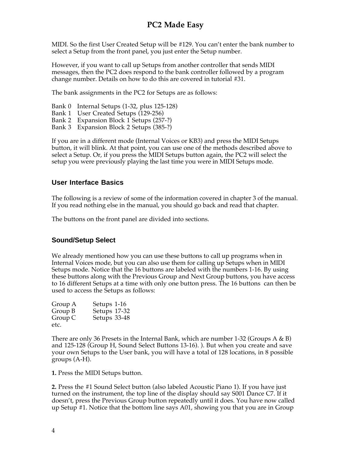MIDI. So the first User Created Setup will be #129. You can't enter the bank number to select a Setup from the front panel, you just enter the Setup number.

However, if you want to call up Setups from another controller that sends MIDI messages, then the PC2 does respond to the bank controller followed by a program change number. Details on how to do this are covered in tutorial #31.

The bank assignments in the PC2 for Setups are as follows:

- Bank 0 Internal Setups (1-32, plus 125-128)
- Bank 1 User Created Setups (129-256)
- Bank 2 Expansion Block 1 Setups (257-?)
- Bank 3 Expansion Block 2 Setups (385-?)

If you are in a different mode (Internal Voices or KB3) and press the MIDI Setups button, it will blink. At that point, you can use one of the methods described above to select a Setup. Or, if you press the MIDI Setups button again, the PC2 will select the setup you were previously playing the last time you were in MIDI Setups mode.

#### **User Interface Basics**

The following is a review of some of the information covered in chapter 3 of the manual. If you read nothing else in the manual, you should go back and read that chapter.

The buttons on the front panel are divided into sections.

### **Sound/Setup Select**

We already mentioned how you can use these buttons to call up programs when in Internal Voices mode, but you can also use them for calling up Setups when in MIDI Setups mode. Notice that the 16 buttons are labeled with the numbers 1-16. By using these buttons along with the Previous Group and Next Group buttons, you have access to 16 different Setups at a time with only one button press. The 16 buttons can then be used to access the Setups as follows:

| Group A | Setups 1-16  |
|---------|--------------|
| Group B | Setups 17-32 |
| Group C | Setups 33-48 |
| etc.    |              |

There are only 36 Presets in the Internal Bank, which are number 1-32 (Groups A & B) and 125-128 (Group H, Sound Select Buttons 13-16). ). But when you create and save your own Setups to the User bank, you will have a total of 128 locations, in 8 possible groups (A-H).

**1.** Press the MIDI Setups button.

**2.** Press the #1 Sound Select button (also labeled Acoustic Piano 1). If you have just turned on the instrument, the top line of the display should say S001 Dance C7. If it doesn't, press the Previous Group button repeatedly until it does. You have now called up Setup #1. Notice that the bottom line says A01, showing you that you are in Group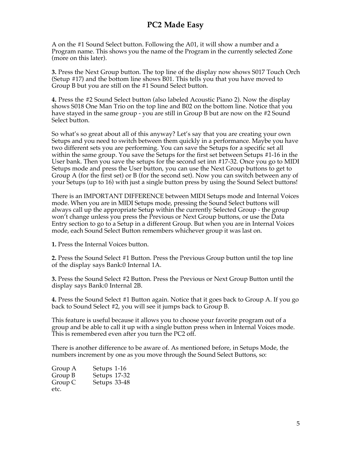A on the #1 Sound Select button. Following the A01, it will show a number and a Program name. This shows you the name of the Program in the currently selected Zone (more on this later).

**3.** Press the Next Group button. The top line of the display now shows S017 Touch Orch (Setup #17) and the bottom line shows B01. This tells you that you have moved to Group B but you are still on the #1 Sound Select button.

**4.** Press the #2 Sound Select button (also labeled Acoustic Piano 2). Now the display shows S018 One Man Trio on the top line and B02 on the bottom line. Notice that you have stayed in the same group - you are still in Group B but are now on the #2 Sound Select button.

So what's so great about all of this anyway? Let's say that you are creating your own Setups and you need to switch between them quickly in a performance. Maybe you have two different sets you are performing. You can save the Setups for a specific set all within the same group. You save the Setups for the first set between Setups #1-16 in the User bank. Then you save the setups for the second set inn #17-32. Once you go to MIDI Setups mode and press the User button, you can use the Next Group buttons to get to Group A (for the first set) or B (for the second set). Now you can switch between any of your Setups (up to 16) with just a single button press by using the Sound Select buttons!

There is an IMPORTANT DIFFERENCE between MIDI Setups mode and Internal Voices mode. When you are in MIDI Setups mode, pressing the Sound Select buttons will always call up the appropriate Setup within the currently Selected Group - the group won't change unless you press the Previous or Next Group buttons, or use the Data Entry section to go to a Setup in a different Group. But when you are in Internal Voices mode, each Sound Select Button remembers whichever group it was last on.

**1.** Press the Internal Voices button.

**2.** Press the Sound Select #1 Button. Press the Previous Group button until the top line of the display says Bank:0 Internal 1A.

**3.** Press the Sound Select #2 Button. Press the Previous or Next Group Button until the display says Bank:0 Internal 2B.

**4.** Press the Sound Select #1 Button again. Notice that it goes back to Group A. If you go back to Sound Select #2, you will see it jumps back to Group B.

This feature is useful because it allows you to choose your favorite program out of a group and be able to call it up with a single button press when in Internal Voices mode. This is remembered even after you turn the PC2 off.

There is another difference to be aware of. As mentioned before, in Setups Mode, the numbers increment by one as you move through the Sound Select Buttons, so:

| Group A | Setups 1-16  |  |
|---------|--------------|--|
| Group B | Setups 17-32 |  |
| Group C | Setups 33-48 |  |
| etc.    |              |  |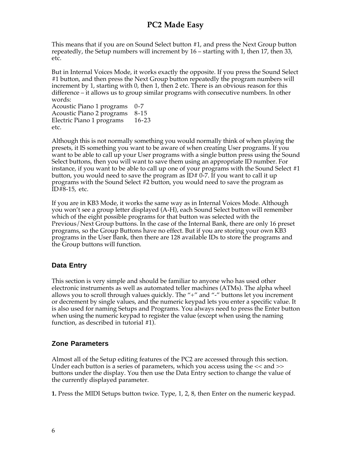This means that if you are on Sound Select button #1, and press the Next Group button repeatedly, the Setup numbers will increment by 16 – starting with 1, then 17, then 33, etc.

But in Internal Voices Mode, it works exactly the opposite. If you press the Sound Select #1 button, and then press the Next Group button repeatedly the program numbers will increment by 1, starting with 0, then 1, then 2 etc. There is an obvious reason for this difference – it allows us to group similar programs with consecutive numbers. In other words:

Acoustic Piano 1 programs 0-7 Acoustic Piano 2 programs 8-15 Electric Piano 1 programs 16-23 etc.

Although this is not normally something you would normally think of when playing the presets, it IS something you want to be aware of when creating User programs. If you want to be able to call up your User programs with a single button press using the Sound Select buttons, then you will want to save them using an appropriate ID number. For instance, if you want to be able to call up one of your programs with the Sound Select #1 button, you would need to save the program as  $ID# 0-7$ . If you want to call it up programs with the Sound Select #2 button, you would need to save the program as ID#8-15, etc.

If you are in KB3 Mode, it works the same way as in Internal Voices Mode. Although you won't see a group letter displayed (A-H), each Sound Select button will remember which of the eight possible programs for that button was selected with the Previous/Next Group buttons. In the case of the Internal Bank, there are only 16 preset programs, so the Group Buttons have no effect. But if you are storing your own KB3 programs in the User Bank, then there are 128 available IDs to store the programs and the Group buttons will function.

### **Data Entry**

This section is very simple and should be familiar to anyone who has used other electronic instruments as well as automated teller machines (ATMs). The alpha wheel allows you to scroll through values quickly. The "+" and "-" buttons let you increment or decrement by single values, and the numeric keypad lets you enter a specific value. It is also used for naming Setups and Programs. You always need to press the Enter button when using the numeric keypad to register the value (except when using the naming function, as described in tutorial #1).

### **Zone Parameters**

Almost all of the Setup editing features of the PC2 are accessed through this section. Under each button is a series of parameters, which you access using the << and >> buttons under the display. You then use the Data Entry section to change the value of the currently displayed parameter.

**1.** Press the MIDI Setups button twice. Type, 1, 2, 8, then Enter on the numeric keypad.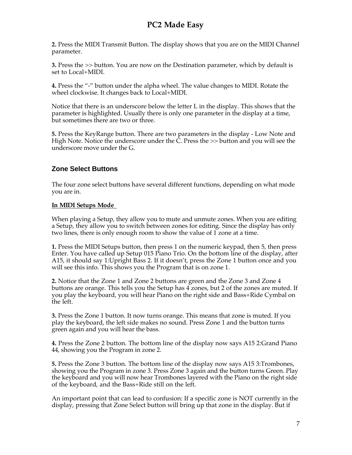**2.** Press the MIDI Transmit Button. The display shows that you are on the MIDI Channel parameter.

**3.** Press the >> button. You are now on the Destination parameter, which by default is set to Local+MIDI.

**4.** Press the "-" button under the alpha wheel. The value changes to MIDI. Rotate the wheel clockwise. It changes back to Local+MIDI.

Notice that there is an underscore below the letter L in the display. This shows that the parameter is highlighted. Usually there is only one parameter in the display at a time, but sometimes there are two or three.

**5.** Press the KeyRange button. There are two parameters in the display - Low Note and High Note. Notice the underscore under the C. Press the >> button and you will see the underscore move under the G.

### **Zone Select Buttons**

The four zone select buttons have several different functions, depending on what mode you are in.

### **In MIDI Setups Mode**

When playing a Setup, they allow you to mute and unmute zones. When you are editing a Setup, they allow you to switch between zones for editing. Since the display has only two lines, there is only enough room to show the value of 1 zone at a time.

**1.** Press the MIDI Setups button, then press 1 on the numeric keypad, then 5, then press Enter. You have called up Setup 015 Piano Trio. On the bottom line of the display, after A15, it should say 1:Upright Bass 2. If it doesn't, press the Zone 1 button once and you will see this info. This shows you the Program that is on zone 1.

**2.** Notice that the Zone 1 and Zone 2 buttons are green and the Zone 3 and Zone 4 buttons are orange. This tells you the Setup has 4 zones, but 2 of the zones are muted. If you play the keyboard, you will hear Piano on the right side and Bass+Ride Cymbal on the left.

**3.** Press the Zone 1 button. It now turns orange. This means that zone is muted. If you play the keyboard, the left side makes no sound. Press Zone 1 and the button turns green again and you will hear the bass.

**4.** Press the Zone 2 button. The bottom line of the display now says A15 2:Grand Piano 44, showing you the Program in zone 2.

**5.** Press the Zone 3 button. The bottom line of the display now says A15 3:Trombones, showing you the Program in zone 3. Press Zone 3 again and the button turns Green. Play the keyboard and you will now hear Trombones layered with the Piano on the right side of the keyboard, and the Bass+Ride still on the left.

An important point that can lead to confusion: If a specific zone is NOT currently in the display, pressing that Zone Select button will bring up that zone in the display. But if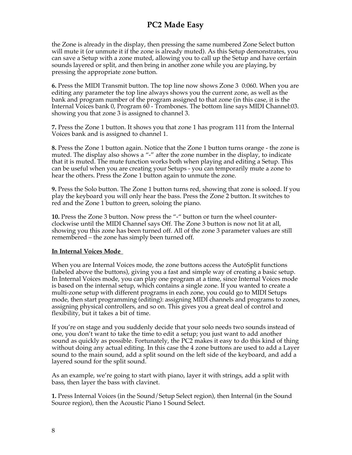the Zone is already in the display, then pressing the same numbered Zone Select button will mute it (or unmute it if the zone is already muted). As this Setup demonstrates, you can save a Setup with a zone muted, allowing you to call up the Setup and have certain sounds layered or split, and then bring in another zone while you are playing, by pressing the appropriate zone button.

**6.** Press the MIDI Transmit button. The top line now shows Zone 3 0:060. When you are editing any parameter the top line always shows you the current zone, as well as the bank and program number of the program assigned to that zone (in this case, it is the Internal Voices bank 0, Program 60 - Trombones. The bottom line says MIDI Channel:03. showing you that zone 3 is assigned to channel 3.

**7.** Press the Zone 1 button. It shows you that zone 1 has program 111 from the Internal Voices bank and is assigned to channel 1.

**8.** Press the Zone 1 button again. Notice that the Zone 1 button turns orange - the zone is muted. The display also shows a "-" after the zone number in the display, to indicate that it is muted. The mute function works both when playing and editing a Setup. This can be useful when you are creating your Setups - you can temporarily mute a zone to hear the others. Press the Zone 1 button again to unmute the zone.

**9.** Press the Solo button. The Zone 1 button turns red, showing that zone is soloed. If you play the keyboard you will only hear the bass. Press the Zone 2 button. It switches to red and the Zone 1 button to green, soloing the piano.

**10.** Press the Zone 3 button. Now press the "-" button or turn the wheel counterclockwise until the MIDI Channel says Off. The Zone 3 button is now not lit at all, showing you this zone has been turned off. All of the zone 3 parameter values are still remembered – the zone has simply been turned off.

#### **In Internal Voices Mode**

When you are Internal Voices mode, the zone buttons access the AutoSplit functions (labeled above the buttons), giving you a fast and simple way of creating a basic setup. In Internal Voices mode, you can play one program at a time, since Internal Voices mode is based on the internal setup, which contains a single zone. If you wanted to create a multi-zone setup with different programs in each zone, you could go to MIDI Setups mode, then start programming (editing): assigning MIDI channels and programs to zones, assigning physical controllers, and so on. This gives you a great deal of control and flexibility, but it takes a bit of time.

If you're on stage and you suddenly decide that your solo needs two sounds instead of one, you don't want to take the time to edit a setup; you just want to add another sound as quickly as possible. Fortunately, the PC2 makes it easy to do this kind of thing without doing any actual editing. In this case the 4 zone buttons are used to add a Layer sound to the main sound, add a split sound on the left side of the keyboard, and add a layered sound for the split sound.

As an example, we're going to start with piano, layer it with strings, add a split with bass, then layer the bass with clavinet.

**1.** Press Internal Voices (in the Sound/Setup Select region), then Internal (in the Sound Source region), then the Acoustic Piano 1 Sound Select.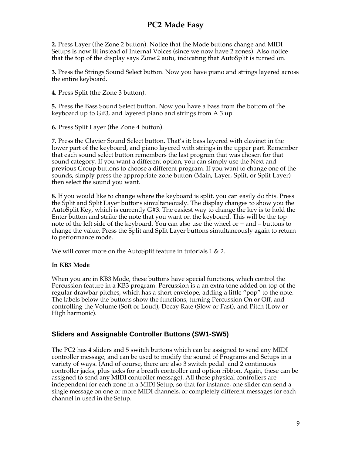**2.** Press Layer (the Zone 2 button). Notice that the Mode buttons change and MIDI Setups is now lit instead of Internal Voices (since we now have 2 zones). Also notice that the top of the display says Zone:2 auto, indicating that AutoSplit is turned on.

**3.** Press the Strings Sound Select button. Now you have piano and strings layered across the entire keyboard.

**4.** Press Split (the Zone 3 button).

**5.** Press the Bass Sound Select button. Now you have a bass from the bottom of the keyboard up to G#3, and layered piano and strings from A 3 up.

**6.** Press Split Layer (the Zone 4 button).

**7.** Press the Clavier Sound Select button. That's it: bass layered with clavinet in the lower part of the keyboard, and piano layered with strings in the upper part. Remember that each sound select button remembers the last program that was chosen for that sound category. If you want a different option, you can simply use the Next and previous Group buttons to choose a different program. If you want to change one of the sounds, simply press the appropriate zone button (Main, Layer, Split, or Split Layer) then select the sound you want.

**8.** If you would like to change where the keyboard is split, you can easily do this. Press the Split and Split Layer buttons simultaneously. The display changes to show you the AutoSplit Key, which is currently G#3. The easiest way to change the key is to hold the Enter button and strike the note that you want on the keyboard. This will be the top note of the left side of the keyboard. You can also use the wheel or + and – buttons to change the value. Press the Split and Split Layer buttons simultaneously again to return to performance mode.

We will cover more on the AutoSplit feature in tutorials 1 & 2.

#### **In KB3 Mode**

When you are in KB3 Mode, these buttons have special functions, which control the Percussion feature in a KB3 program. Percussion is a an extra tone added on top of the regular drawbar pitches, which has a short envelope, adding a little "pop" to the note. The labels below the buttons show the functions, turning Percussion On or Off, and controlling the Volume (Soft or Loud), Decay Rate (Slow or Fast), and Pitch (Low or High harmonic).

### **Sliders and Assignable Controller Buttons (SW1-SW5)**

The PC2 has 4 sliders and 5 switch buttons which can be assigned to send any MIDI controller message, and can be used to modify the sound of Programs and Setups in a variety of ways. (And of course, there are also 3 switch pedal and 2 continuous controller jacks, plus jacks for a breath controller and option ribbon. Again, these can be assigned to send any MIDI controller message). All these physical controllers are independent for each zone in a MIDI Setup, so that for instance, one slider can send a single message on one or more MIDI channels, or completely different messages for each channel in used in the Setup.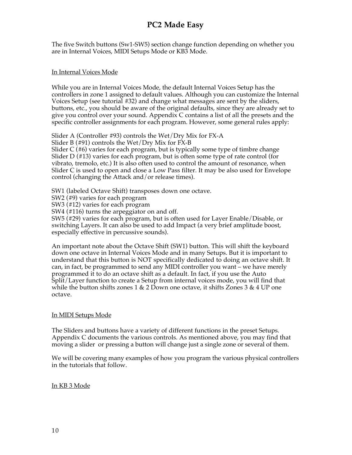The five Switch buttons (Sw1-SW5) section change function depending on whether you are in Internal Voices, MIDI Setups Mode or KB3 Mode.

#### In Internal Voices Mode

While you are in Internal Voices Mode, the default Internal Voices Setup has the controllers in zone 1 assigned to default values. Although you can customize the Internal Voices Setup (see tutorial #32) and change what messages are sent by the sliders, buttons, etc., you should be aware of the original defaults, since they are already set to give you control over your sound. Appendix C contains a list of all the presets and the specific controller assignments for each program. However, some general rules apply:

Slider A (Controller #93) controls the Wet/Dry Mix for FX-A

Slider B (#91) controls the Wet/Dry Mix for FX-B

Slider C (#6) varies for each program, but is typically some type of timbre change Slider D (#13) varies for each program, but is often some type of rate control (for vibrato, tremolo, etc.) It is also often used to control the amount of resonance, when Slider C is used to open and close a Low Pass filter. It may be also used for Envelope control (changing the Attack and/or release times).

SW1 (labeled Octave Shift) transposes down one octave.

SW2 (#9) varies for each program

SW3 (#12) varies for each program

SW4 (#116) turns the arpeggiator on and off.

SW5 (#29) varies for each program, but is often used for Layer Enable/Disable, or switching Layers. It can also be used to add Impact (a very brief amplitude boost, especially effective in percussive sounds).

An important note about the Octave Shift (SW1) button. This will shift the keyboard down one octave in Internal Voices Mode and in many Setups. But it is important to understand that this button is NOT specifically dedicated to doing an octave shift. It can, in fact, be programmed to send any MIDI controller you want – we have merely programmed it to do an octave shift as a default. In fact, if you use the Auto Split/Layer function to create a Setup from internal voices mode, you will find that while the button shifts zones 1 & 2 Down one octave, it shifts Zones 3 & 4 UP one octave.

#### In MIDI Setups Mode

The Sliders and buttons have a variety of different functions in the preset Setups. Appendix C documents the various controls. As mentioned above, you may find that moving a slider or pressing a button will change just a single zone or several of them.

We will be covering many examples of how you program the various physical controllers in the tutorials that follow.

#### In KB 3 Mode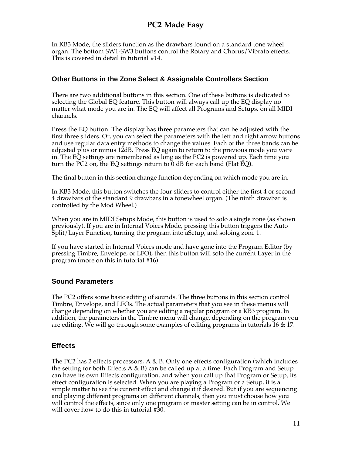In KB3 Mode, the sliders function as the drawbars found on a standard tone wheel organ. The bottom SW1-SW3 buttons control the Rotary and Chorus/Vibrato effects. This is covered in detail in tutorial #14.

### **Other Buttons in the Zone Select & Assignable Controllers Section**

There are two additional buttons in this section. One of these buttons is dedicated to selecting the Global EQ feature. This button will always call up the EQ display no matter what mode you are in. The EQ will affect all Programs and Setups, on all MIDI channels.

Press the EQ button. The display has three parameters that can be adjusted with the first three sliders. Or, you can select the parameters with the left and right arrow buttons and use regular data entry methods to change the values. Each of the three bands can be adjusted plus or minus 12dB. Press EQ again to return to the previous mode you were in. The EQ settings are remembered as long as the PC2 is powered up. Each time you turn the PC2 on, the EQ settings return to 0 dB for each band (Flat EQ).

The final button in this section change function depending on which mode you are in.

In KB3 Mode, this button switches the four sliders to control either the first 4 or second 4 drawbars of the standard 9 drawbars in a tonewheel organ. (The ninth drawbar is controlled by the Mod Wheel.)

When you are in MIDI Setups Mode, this button is used to solo a single zone (as shown previously). If you are in Internal Voices Mode, pressing this button triggers the Auto Split/Layer Function, turning the program into aSetup, and soloing zone 1.

If you have started in Internal Voices mode and have gone into the Program Editor (by pressing Timbre, Envelope, or LFO), then this button will solo the current Layer in the program (more on this in tutorial #16).

### **Sound Parameters**

The PC2 offers some basic editing of sounds. The three buttons in this section control Timbre, Envelope, and LFOs. The actual parameters that you see in these menus will change depending on whether you are editing a regular program or a KB3 program. In addition, the parameters in the Timbre menu will change, depending on the program you are editing. We will go through some examples of editing programs in tutorials 16 & 17.

### **Effects**

The PC2 has 2 effects processors, A & B. Only one effects configuration (which includes the setting for both Effects A  $\&$  B) can be called up at a time. Each Program and Setup can have its own Effects configuration, and when you call up that Program or Setup, its effect configuration is selected. When you are playing a Program or a Setup, it is a simple matter to see the current effect and change it if desired. But if you are sequencing and playing different programs on different channels, then you must choose how you will control the effects, since only one program or master setting can be in control. We will cover how to do this in tutorial #30.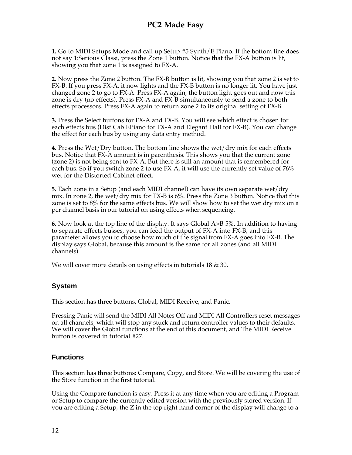**1.** Go to MIDI Setups Mode and call up Setup #5 Synth/E Piano. If the bottom line does not say 1:Serious Classi, press the Zone 1 button. Notice that the FX-A button is lit, showing you that zone 1 is assigned to FX-A.

**2.** Now press the Zone 2 button. The FX-B button is lit, showing you that zone 2 is set to FX-B. If you press FX-A, it now lights and the FX-B button is no longer lit. You have just changed zone 2 to go to FX-A. Press FX-A again, the button light goes out and now this zone is dry (no effects). Press FX-A and FX-B simultaneously to send a zone to both effects processors. Press FX-A again to return zone 2 to its original setting of FX-B.

**3.** Press the Select buttons for FX-A and FX-B. You will see which effect is chosen for each effects bus (Dist Cab EPiano for FX-A and Elegant Hall for FX-B). You can change the effect for each bus by using any data entry method.

**4.** Press the Wet/Dry button. The bottom line shows the wet/dry mix for each effects bus. Notice that FX-A amount is in parenthesis. This shows you that the current zone (zone 2) is not being sent to FX-A. But there is still an amount that is remembered for each bus. So if you switch zone 2 to use FX-A, it will use the currently set value of 76% wet for the Distorted Cabinet effect.

**5.** Each zone in a Setup (and each MIDI channel) can have its own separate wet/dry mix. In zone 2, the wet/dry mix for FX-B is 6%. Press the Zone 3 button. Notice that this zone is set to 8% for the same effects bus. We will show how to set the wet dry mix on a per channel basis in our tutorial on using effects when sequencing.

**6.** Now look at the top line of the display. It says Global A>B 5%. In addition to having to separate effects busses, you can feed the output of FX-A into FX-B, and this parameter allows you to choose how much of the signal from FX-A goes into FX-B. The display says Global, because this amount is the same for all zones (and all MIDI channels).

We will cover more details on using effects in tutorials 18 & 30.

### **System**

This section has three buttons, Global, MIDI Receive, and Panic.

Pressing Panic will send the MIDI All Notes Off and MIDI All Controllers reset messages on all channels, which will stop any stuck and return controller values to their defaults. We will cover the Global functions at the end of this document, and The MIDI Receive button is covered in tutorial #27.

### **Functions**

This section has three buttons: Compare, Copy, and Store. We will be covering the use of the Store function in the first tutorial.

Using the Compare function is easy. Press it at any time when you are editing a Program or Setup to compare the currently edited version with the previously stored version. If you are editing a Setup, the Z in the top right hand corner of the display will change to a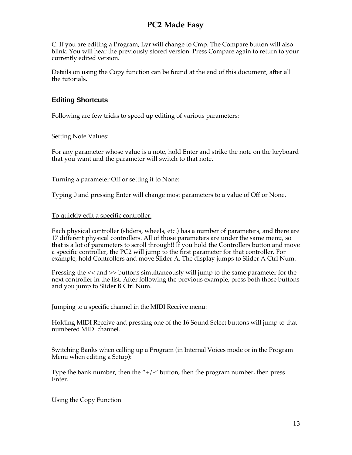C. If you are editing a Program, Lyr will change to Cmp. The Compare button will also blink. You will hear the previously stored version. Press Compare again to return to your currently edited version.

Details on using the Copy function can be found at the end of this document, after all the tutorials.

### **Editing Shortcuts**

Following are few tricks to speed up editing of various parameters:

#### Setting Note Values:

For any parameter whose value is a note, hold Enter and strike the note on the keyboard that you want and the parameter will switch to that note.

#### Turning a parameter Off or setting it to None:

Typing 0 and pressing Enter will change most parameters to a value of Off or None.

#### To quickly edit a specific controller:

Each physical controller (sliders, wheels, etc.) has a number of parameters, and there are 17 different physical controllers. All of those parameters are under the same menu, so that is a lot of parameters to scroll through!! If you hold the Controllers button and move a specific controller, the PC2 will jump to the first parameter for that controller. For example, hold Controllers and move Slider A. The display jumps to Slider A Ctrl Num.

Pressing the << and >> buttons simultaneously will jump to the same parameter for the next controller in the list. After following the previous example, press both those buttons and you jump to Slider B Ctrl Num.

#### Jumping to a specific channel in the MIDI Receive menu:

Holding MIDI Receive and pressing one of the 16 Sound Select buttons will jump to that numbered MIDI channel.

Switching Banks when calling up a Program (in Internal Voices mode or in the Program Menu when editing a Setup):

Type the bank number, then the " $+/-$ " button, then the program number, then press Enter.

#### Using the Copy Function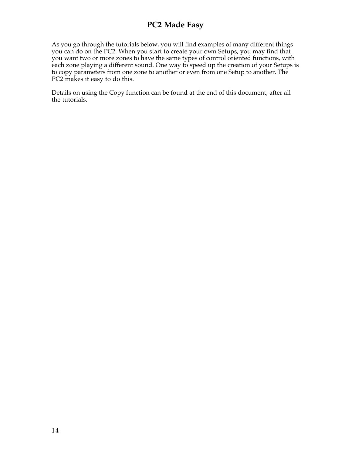As you go through the tutorials below, you will find examples of many different things you can do on the PC2. When you start to create your own Setups, you may find that you want two or more zones to have the same types of control oriented functions, with each zone playing a different sound. One way to speed up the creation of your Setups is to copy parameters from one zone to another or even from one Setup to another. The PC2 makes it easy to do this.

Details on using the Copy function can be found at the end of this document, after all the tutorials.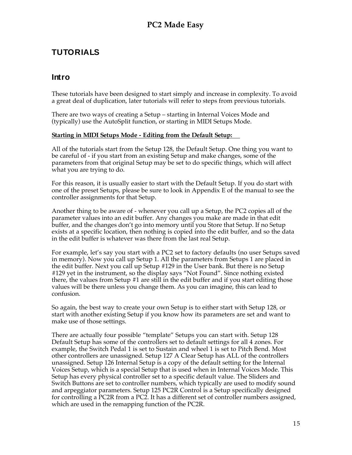# **TUTORIALS**

### **Intro**

These tutorials have been designed to start simply and increase in complexity. To avoid a great deal of duplication, later tutorials will refer to steps from previous tutorials.

There are two ways of creating a Setup – starting in Internal Voices Mode and (typically) use the AutoSplit function, or starting in MIDI Setups Mode.

#### **Starting in MIDI Setups Mode - Editing from the Default Setup:**

All of the tutorials start from the Setup 128, the Default Setup. One thing you want to be careful of - if you start from an existing Setup and make changes, some of the parameters from that original Setup may be set to do specific things, which will affect what you are trying to do.

For this reason, it is usually easier to start with the Default Setup. If you do start with one of the preset Setups, please be sure to look in Appendix E of the manual to see the controller assignments for that Setup.

Another thing to be aware of - whenever you call up a Setup, the PC2 copies all of the parameter values into an edit buffer. Any changes you make are made in that edit buffer, and the changes don't go into memory until you Store that Setup. If no Setup exists at a specific location, then nothing is copied into the edit buffer, and so the data in the edit buffer is whatever was there from the last real Setup.

For example, let's say you start with a PC2 set to factory defaults (no user Setups saved in memory). Now you call up Setup 1. All the parameters from Setups 1 are placed in the edit buffer. Next you call up Setup #129 in the User bank. But there is no Setup #129 yet in the instrument, so the display says "Not Found". Since nothing existed there, the values from Setup #1 are still in the edit buffer and if you start editing those values will be there unless you change them. As you can imagine, this can lead to confusion.

So again, the best way to create your own Setup is to either start with Setup 128, or start with another existing Setup if you know how its parameters are set and want to make use of those settings.

There are actually four possible "template" Setups you can start with. Setup 128 Default Setup has some of the controllers set to default settings for all 4 zones. For example, the Switch Pedal 1 is set to Sustain and wheel 1 is set to Pitch Bend. Most other controllers are unassigned. Setup 127 A Clear Setup has ALL of the controllers unassigned. Setup 126 Internal Setup is a copy of the default setting for the Internal Voices Setup, which is a special Setup that is used when in Internal Voices Mode. This Setup has every physical controller set to a specific default value. The Sliders and Switch Buttons are set to controller numbers, which typically are used to modify sound and arpeggiator parameters. Setup 125 PC2R Control is a Setup specifically designed for controlling a PC2R from a PC2. It has a different set of controller numbers assigned, which are used in the remapping function of the PC2R.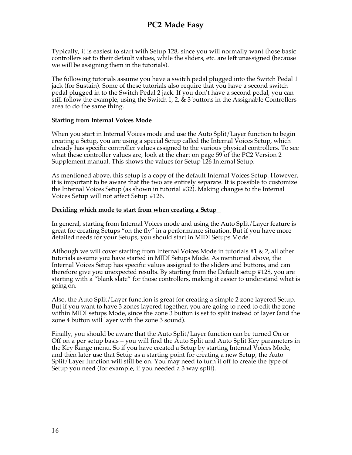Typically, it is easiest to start with Setup 128, since you will normally want those basic controllers set to their default values, while the sliders, etc. are left unassigned (because we will be assigning them in the tutorials).

The following tutorials assume you have a switch pedal plugged into the Switch Pedal 1 jack (for Sustain). Some of these tutorials also require that you have a second switch pedal plugged in to the Switch Pedal 2 jack. If you don't have a second pedal, you can still follow the example, using the Switch 1, 2,  $\&$  3 buttons in the Assignable Controllers area to do the same thing.

#### **Starting from Internal Voices Mode**

When you start in Internal Voices mode and use the Auto Split/Layer function to begin creating a Setup, you are using a special Setup called the Internal Voices Setup, which already has specific controller values assigned to the various physical controllers. To see what these controller values are, look at the chart on page 59 of the PC2 Version 2 Supplement manual. This shows the values for Setup 126 Internal Setup.

As mentioned above, this setup is a copy of the default Internal Voices Setup. However, it is important to be aware that the two are entirely separate. It is possible to customize the Internal Voices Setup (as shown in tutorial #32). Making changes to the Internal Voices Setup will not affect Setup #126.

#### **Deciding which mode to start from when creating a Setup**

In general, starting from Internal Voices mode and using the Auto Split/Layer feature is great for creating Setups "on the fly" in a performance situation. But if you have more detailed needs for your Setups, you should start in MIDI Setups Mode.

Although we will cover starting from Internal Voices Mode in tutorials #1 & 2, all other tutorials assume you have started in MIDI Setups Mode. As mentioned above, the Internal Voices Setup has specific values assigned to the sliders and buttons, and can therefore give you unexpected results. By starting from the Default setup #128, you are starting with a "blank slate" for those controllers, making it easier to understand what is going on.

Also, the Auto Split/Layer function is great for creating a simple 2 zone layered Setup. But if you want to have 3 zones layered together, you are going to need to edit the zone within MIDI setups Mode, since the zone 3 button is set to split instead of layer (and the zone 4 button will layer with the zone 3 sound).

Finally, you should be aware that the Auto Split/Layer function can be turned On or Off on a per setup basis – you will find the Auto Split and Auto Split Key parameters in the Key Range menu. So if you have created a Setup by starting Internal Voices Mode, and then later use that Setup as a starting point for creating a new Setup, the Auto Split/Layer function will still be on. You may need to turn it off to create the type of Setup you need (for example, if you needed a 3 way split).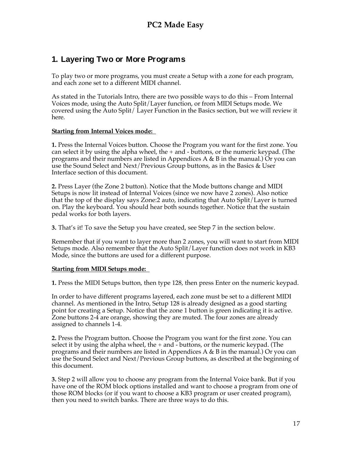# **1. Layering Two or More Programs**

To play two or more programs, you must create a Setup with a zone for each program, and each zone set to a different MIDI channel.

As stated in the Tutorials Intro, there are two possible ways to do this – From Internal Voices mode, using the Auto Split/Layer function, or from MIDI Setups mode. We covered using the Auto Split/ Layer Function in the Basics section, but we will review it here.

#### **Starting from Internal Voices mode:**

**1.** Press the Internal Voices button. Choose the Program you want for the first zone. You can select it by using the alpha wheel, the  $+$  and  $-$  buttons, or the numeric keypad. (The programs and their numbers are listed in Appendices A & B in the manual.) Or you can use the Sound Select and Next/Previous Group buttons, as in the Basics & User Interface section of this document.

**2.** Press Layer (the Zone 2 button). Notice that the Mode buttons change and MIDI Setups is now lit instead of Internal Voices (since we now have 2 zones). Also notice that the top of the display says Zone:2 auto, indicating that Auto Split/Layer is turned on. Play the keyboard. You should hear both sounds together. Notice that the sustain pedal works for both layers.

**3.** That's it! To save the Setup you have created, see Step 7 in the section below.

Remember that if you want to layer more than 2 zones, you will want to start from MIDI Setups mode. Also remember that the Auto Split/Layer function does not work in KB3 Mode, since the buttons are used for a different purpose.

#### **Starting from MIDI Setups mode:**

**1.** Press the MIDI Setups button, then type 128, then press Enter on the numeric keypad.

In order to have different programs layered, each zone must be set to a different MIDI channel. As mentioned in the Intro, Setup 128 is already designed as a good starting point for creating a Setup. Notice that the zone 1 button is green indicating it is active. Zone buttons 2-4 are orange, showing they are muted. The four zones are already assigned to channels 1-4.

**2.** Press the Program button. Choose the Program you want for the first zone. You can select it by using the alpha wheel, the  $+$  and  $-$  buttons, or the numeric keypad. (The programs and their numbers are listed in Appendices A & B in the manual.) Or you can use the Sound Select and Next/Previous Group buttons, as described at the beginning of this document.

**3.** Step 2 will allow you to choose any program from the Internal Voice bank. But if you have one of the ROM block options installed and want to choose a program from one of those ROM blocks (or if you want to choose a KB3 program or user created program), then you need to switch banks. There are three ways to do this.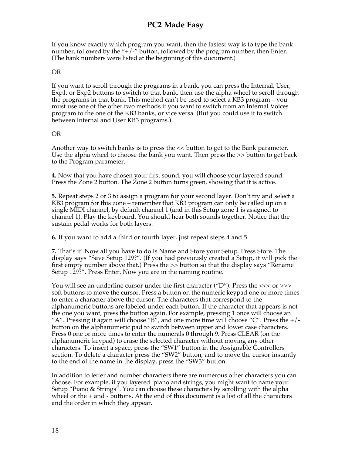If you know exactly which program you want, then the fastest way is to type the bank number, followed by the "+ $\frac{1}{r}$ " button, followed by the program number, then Enter. (The bank numbers were listed at the beginning of this document.)

#### OR

If you want to scroll through the programs in a bank, you can press the Internal, User, Exp1, or Exp2 buttons to switch to that bank, then use the alpha wheel to scroll through the programs in that bank. This method can't be used to select a KB3 program – you must use one of the other two methods if you want to switch from an Internal Voices program to the one of the KB3 banks, or vice versa. (But you could use it to switch between Internal and User KB3 programs.)

#### OR

Another way to switch banks is to press the << button to get to the Bank parameter. Use the alpha wheel to choose the bank you want. Then press the >> button to get back to the Program parameter.

**4.** Now that you have chosen your first sound, you will choose your layered sound. Press the Zone 2 button. The Zone 2 button turns green, showing that it is active.

**5.** Repeat steps 2 or 3 to assign a program for your second layer. Don't try and select a KB3 program for this zone – remember that KB3 program can only be called up on a single MIDI channel, by default channel 1 (and in this Setup zone 1 is assigned to channel 1). Play the keyboard. You should hear both sounds together. Notice that the sustain pedal works for both layers.

**6.** If you want to add a third or fourth layer, just repeat steps 4 and 5

**7.** That's it! Now all you have to do is Name and Store your Setup. Press Store. The display says "Save Setup 129?". (If you had previously created a Setup, it will pick the first empty number above that.) Press the >> button so that the display says "Rename Setup 129?". Press Enter. Now you are in the naming routine.

You will see an underline cursor under the first character ("D"). Press the <<< or >>> soft buttons to move the cursor. Press a button on the numeric keypad one or more times to enter a character above the cursor. The characters that correspond to the alphanumeric buttons are labeled under each button. If the character that appears is not the one you want, press the button again. For example, pressing 1 once will choose an "A". Pressing it again will choose " $\overline{B}$ ", and one more time will choose "C". Press the  $+/$ button on the alphanumeric pad to switch between upper and lower case characters. Press 0 one or more times to enter the numerals 0 through 9. Press CLEAR (on the alphanumeric keypad) to erase the selected character without moving any other characters. To insert a space, press the "SW1" button in the Assignable Controllers section. To delete a character press the "SW2" button, and to move the cursor instantly to the end of the name in the display, press the "SW3" button.

In addition to letter and number characters there are numerous other characters you can choose. For example, if you layered piano and strings, you might want to name your Setup "Piano & Strings". You can choose these characters by scrolling with the alpha wheel or the  $+$  and  $-$  buttons. At the end of this document is a list of all the characters and the order in which they appear.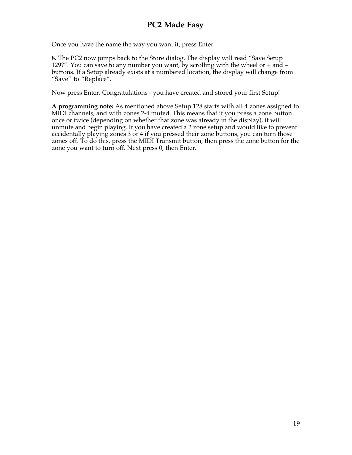Once you have the name the way you want it, press Enter.

**8.** The PC2 now jumps back to the Store dialog. The display will read "Save Setup 129?". You can save to any number you want, by scrolling with the wheel or + and – buttons. If a Setup already exists at a numbered location, the display will change from "Save" to "Replace".

Now press Enter. Congratulations - you have created and stored your first Setup!

**A programming note:** As mentioned above Setup 128 starts with all 4 zones assigned to MIDI channels, and with zones 2-4 muted. This means that if you press a zone button once or twice (depending on whether that zone was already in the display), it will unmute and begin playing. If you have created a 2 zone setup and would like to prevent accidentally playing zones 3 or 4 if you pressed their zone buttons, you can turn those zones off. To do this, press the MIDI Transmit button, then press the zone button for the zone you want to turn off. Next press 0, then Enter.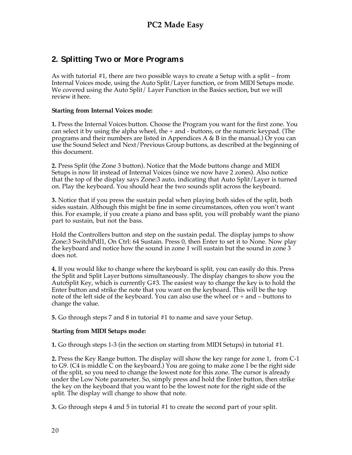# **2. Splitting Two or More Programs**

As with tutorial #1, there are two possible ways to create a Setup with a split – from Internal Voices mode, using the Auto Split/Layer function, or from MIDI Setups mode. We covered using the Auto Split/ Layer Function in the Basics section, but we will review it here.

#### **Starting from Internal Voices mode:**

**1.** Press the Internal Voices button. Choose the Program you want for the first zone. You can select it by using the alpha wheel, the  $+$  and  $-$  buttons, or the numeric keypad. (The programs and their numbers are listed in Appendices A & B in the manual.) Or you can use the Sound Select and Next/Previous Group buttons, as described at the beginning of this document.

**2.** Press Split (the Zone 3 button). Notice that the Mode buttons change and MIDI Setups is now lit instead of Internal Voices (since we now have 2 zones). Also notice that the top of the display says Zone:3 auto, indicating that Auto Split/Layer is turned on. Play the keyboard. You should hear the two sounds split across the keyboard.

**3.** Notice that if you press the sustain pedal when playing both sides of the split, both sides sustain. Although this might be fine in some circumstances, often you won't want this. For example, if you create a piano and bass split, you will probably want the piano part to sustain, but not the bass.

Hold the Controllers button and step on the sustain pedal. The display jumps to show Zone:3 SwitchPdl1, On Ctrl: 64 Sustain. Press 0, then Enter to set it to None. Now play the keyboard and notice how the sound in zone 1 will sustain but the sound in zone 3 does not.

**4.** If you would like to change where the keyboard is split, you can easily do this. Press the Split and Split Layer buttons simultaneously. The display changes to show you the AutoSplit Key, which is currently G#3. The easiest way to change the key is to hold the Enter button and strike the note that you want on the keyboard. This will be the top note of the left side of the keyboard. You can also use the wheel or + and – buttons to change the value.

**5.** Go through steps 7 and 8 in tutorial #1 to name and save your Setup.

#### **Starting from MIDI Setups mode:**

**1.** Go through steps 1-3 (in the section on starting from MIDI Setups) in tutorial #1.

**2.** Press the Key Range button. The display will show the key range for zone 1, from C-1 to G9. (C4 is middle  $\overline{C}$  on the keyboard.) You are going to make zone 1 be the right side of the split, so you need to change the lowest note for this zone. The cursor is already under the Low Note parameter. So, simply press and hold the Enter button, then strike the key on the keyboard that you want to be the lowest note for the right side of the split. The display will change to show that note.

**3.** Go through steps 4 and 5 in tutorial #1 to create the second part of your split.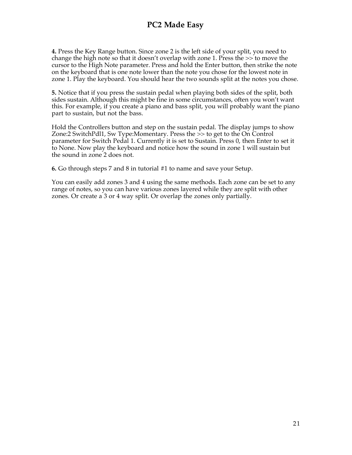**4.** Press the Key Range button. Since zone 2 is the left side of your split, you need to change the high note so that it doesn't overlap with zone 1. Press the >> to move the cursor to the High Note parameter. Press and hold the Enter button, then strike the note on the keyboard that is one note lower than the note you chose for the lowest note in zone 1. Play the keyboard. You should hear the two sounds split at the notes you chose.

**5.** Notice that if you press the sustain pedal when playing both sides of the split, both sides sustain. Although this might be fine in some circumstances, often you won't want this. For example, if you create a piano and bass split, you will probably want the piano part to sustain, but not the bass.

Hold the Controllers button and step on the sustain pedal. The display jumps to show Zone:2 SwitchPdl1, Sw Type:Momentary. Press the >> to get to the On Control parameter for Switch Pedal 1. Currently it is set to Sustain. Press 0, then Enter to set it to None. Now play the keyboard and notice how the sound in zone 1 will sustain but the sound in zone 2 does not.

**6.** Go through steps 7 and 8 in tutorial #1 to name and save your Setup.

You can easily add zones 3 and 4 using the same methods. Each zone can be set to any range of notes, so you can have various zones layered while they are split with other zones. Or create a 3 or 4 way split. Or overlap the zones only partially.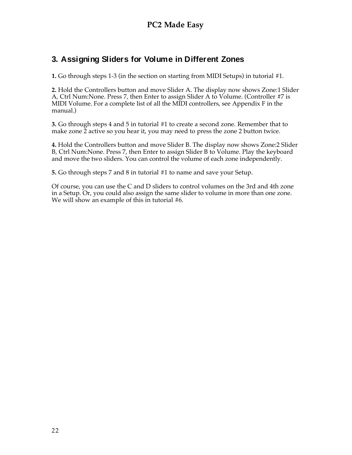# **3. Assigning Sliders for Volume in Different Zones**

**1.** Go through steps 1-3 (in the section on starting from MIDI Setups) in tutorial #1.

**2.** Hold the Controllers button and move Slider A. The display now shows Zone:1 Slider A, Ctrl Num:None. Press 7, then Enter to assign Slider A to Volume. (Controller #7 is MIDI Volume. For a complete list of all the MIDI controllers, see Appendix F in the manual.)

**3.** Go through steps 4 and 5 in tutorial #1 to create a second zone. Remember that to make zone  $\tilde{2}$  active so you hear it, you may need to press the zone 2 button twice.

**4.** Hold the Controllers button and move Slider B. The display now shows Zone:2 Slider B, Ctrl Num:None. Press 7, then Enter to assign Slider B to Volume. Play the keyboard and move the two sliders. You can control the volume of each zone independently.

**5.** Go through steps 7 and 8 in tutorial #1 to name and save your Setup.

Of course, you can use the C and D sliders to control volumes on the 3rd and 4th zone in a Setup. Or, you could also assign the same slider to volume in more than one zone. We will show an example of this in tutorial #6.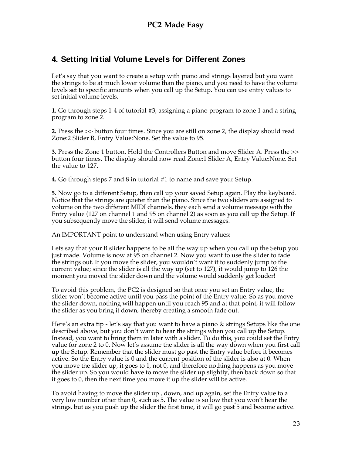# **4. Setting Initial Volume Levels for Different Zones**

Let's say that you want to create a setup with piano and strings layered but you want the strings to be at much lower volume than the piano, and you need to have the volume levels set to specific amounts when you call up the Setup. You can use entry values to set initial volume levels.

**1.** Go through steps 1-4 of tutorial #3, assigning a piano program to zone 1 and a string program to zone 2.

**2.** Press the >> button four times. Since you are still on zone 2, the display should read Zone:2 Slider B, Entry Value:None. Set the value to 95.

**3.** Press the Zone 1 button. Hold the Controllers Button and move Slider A. Press the >> button four times. The display should now read Zone:1 Slider A, Entry Value:None. Set the value to 127.

**4.** Go through steps 7 and 8 in tutorial #1 to name and save your Setup.

**5.** Now go to a different Setup, then call up your saved Setup again. Play the keyboard. Notice that the strings are quieter than the piano. Since the two sliders are assigned to volume on the two different MIDI channels, they each send a volume message with the Entry value (127 on channel 1 and 95 on channel 2) as soon as you call up the Setup. If you subsequently move the slider, it will send volume messages.

An IMPORTANT point to understand when using Entry values:

Lets say that your B slider happens to be all the way up when you call up the Setup you just made. Volume is now at 95 on channel 2. Now you want to use the slider to fade the strings out. If you move the slider, you wouldn't want it to suddenly jump to the current value; since the slider is all the way up (set to 127), it would jump to 126 the moment you moved the slider down and the volume would suddenly get louder!

To avoid this problem, the PC2 is designed so that once you set an Entry value, the slider won't become active until you pass the point of the Entry value. So as you move the slider down, nothing will happen until you reach 95 and at that point, it will follow the slider as you bring it down, thereby creating a smooth fade out.

Here's an extra tip - let's say that you want to have a piano & strings Setups like the one described above, but you don't want to hear the strings when you call up the Setup. Instead, you want to bring them in later with a slider. To do this, you could set the Entry value for zone 2 to 0. Now let's assume the slider is all the way down when you first call up the Setup. Remember that the slider must go past the Entry value before it becomes active. So the Entry value is 0 and the current position of the slider is also at 0. When you move the slider up, it goes to 1, not 0, and therefore nothing happens as you move the slider up. So you would have to move the slider up slightly, then back down so that it goes to 0, then the next time you move it up the slider will be active.

To avoid having to move the slider up , down, and up again, set the Entry value to a very low number other than 0, such as 5. The value is so low that you won't hear the strings, but as you push up the slider the first time, it will go past 5 and become active.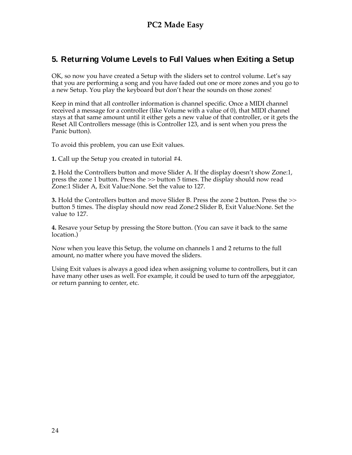### **5. Returning Volume Levels to Full Values when Exiting a Setup**

OK, so now you have created a Setup with the sliders set to control volume. Let's say that you are performing a song and you have faded out one or more zones and you go to a new Setup. You play the keyboard but don't hear the sounds on those zones!

Keep in mind that all controller information is channel specific. Once a MIDI channel received a message for a controller (like Volume with a value of 0), that MIDI channel stays at that same amount until it either gets a new value of that controller, or it gets the Reset All Controllers message (this is Controller 123, and is sent when you press the Panic button).

To avoid this problem, you can use Exit values.

**1.** Call up the Setup you created in tutorial #4.

**2.** Hold the Controllers button and move Slider A. If the display doesn't show Zone:1, press the zone 1 button. Press the >> button 5 times. The display should now read Zone:1 Slider A, Exit Value:None. Set the value to 127.

**3.** Hold the Controllers button and move Slider B. Press the zone 2 button. Press the >> button 5 times. The display should now read Zone:2 Slider B, Exit Value:None. Set the value to 127.

**4.** Resave your Setup by pressing the Store button. (You can save it back to the same location.)

Now when you leave this Setup, the volume on channels 1 and 2 returns to the full amount, no matter where you have moved the sliders.

Using Exit values is always a good idea when assigning volume to controllers, but it can have many other uses as well. For example, it could be used to turn off the arpeggiator, or return panning to center, etc.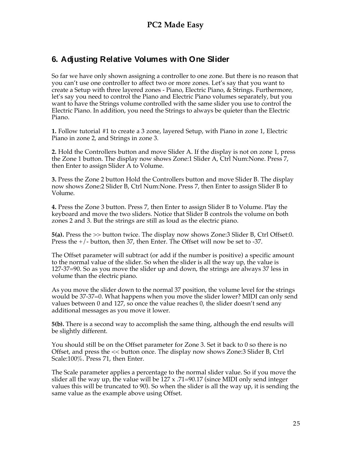# **6. Adjusting Relative Volumes with One Slider**

So far we have only shown assigning a controller to one zone. But there is no reason that you can't use one controller to affect two or more zones. Let's say that you want to create a Setup with three layered zones - Piano, Electric Piano, & Strings. Furthermore, let's say you need to control the Piano and Electric Piano volumes separately, but you want to have the Strings volume controlled with the same slider you use to control the Electric Piano. In addition, you need the Strings to always be quieter than the Electric Piano.

**1.** Follow tutorial #1 to create a 3 zone, layered Setup, with Piano in zone 1, Electric Piano in zone 2, and Strings in zone 3.

**2.** Hold the Controllers button and move Slider A. If the display is not on zone 1, press the Zone 1 button. The display now shows Zone:1 Slider A, Ctrl Num:None. Press 7, then Enter to assign Slider A to Volume.

**3.** Press the Zone 2 button Hold the Controllers button and move Slider B. The display now shows Zone:2 Slider B, Ctrl Num:None. Press 7, then Enter to assign Slider B to Volume.

**4.** Press the Zone 3 button. Press 7, then Enter to assign Slider B to Volume. Play the keyboard and move the two sliders. Notice that Slider B controls the volume on both zones 2 and 3. But the strings are still as loud as the electric piano.

**5(a).** Press the >> button twice. The display now shows Zone:3 Slider B, Ctrl Offset:0. Press the +/- button, then 37, then Enter. The Offset will now be set to -37.

The Offset parameter will subtract (or add if the number is positive) a specific amount to the normal value of the slider. So when the slider is all the way up, the value is 127-37=90. So as you move the slider up and down, the strings are always 37 less in volume than the electric piano.

As you move the slider down to the normal 37 position, the volume level for the strings would be 37-37=0. What happens when you move the slider lower? MIDI can only send values between 0 and 127, so once the value reaches 0, the slider doesn't send any additional messages as you move it lower.

**5(b).** There is a second way to accomplish the same thing, although the end results will be slightly different.

You should still be on the Offset parameter for Zone 3. Set it back to 0 so there is no Offset, and press the << button once. The display now shows Zone:3 Slider B, Ctrl Scale:100%. Press 71, then Enter.

The Scale parameter applies a percentage to the normal slider value. So if you move the slider all the way up, the value will be  $127 \times 0.71 = 90.17$  (since MIDI only send integer values this will be truncated to 90). So when the slider is all the way up, it is sending the same value as the example above using Offset.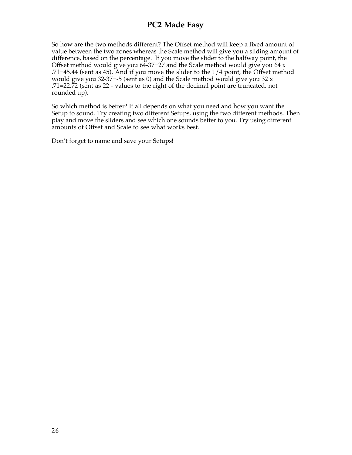So how are the two methods different? The Offset method will keep a fixed amount of value between the two zones whereas the Scale method will give you a sliding amount of difference, based on the percentage. If you move the slider to the halfway point, the Offset method would give you  $64-37=27$  and the Scale method would give you  $64 \times$ .71=45.44 (sent as 45). And if you move the slider to the 1/4 point, the Offset method would give you 32-37=-5 (sent as 0) and the Scale method would give you 32  $x$ .71=22.72 (sent as 22 - values to the right of the decimal point are truncated, not rounded up).

So which method is better? It all depends on what you need and how you want the Setup to sound. Try creating two different Setups, using the two different methods. Then play and move the sliders and see which one sounds better to you. Try using different amounts of Offset and Scale to see what works best.

Don't forget to name and save your Setups!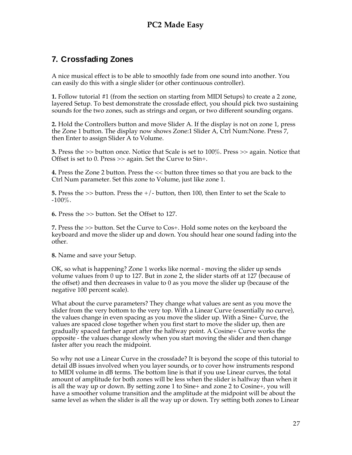# **7. Crossfading Zones**

A nice musical effect is to be able to smoothly fade from one sound into another. You can easily do this with a single slider (or other continuous controller).

**1.** Follow tutorial #1 (from the section on starting from MIDI Setups) to create a 2 zone, layered Setup. To best demonstrate the crossfade effect, you should pick two sustaining sounds for the two zones, such as strings and organ, or two different sounding organs.

**2.** Hold the Controllers button and move Slider A. If the display is not on zone 1, press the Zone 1 button. The display now shows Zone:1 Slider A, Ctrl Num:None. Press 7, then Enter to assign Slider A to Volume.

**3.** Press the >> button once. Notice that Scale is set to 100%. Press >> again. Notice that Offset is set to 0. Press >> again. Set the Curve to Sin+.

**4.** Press the Zone 2 button. Press the << button three times so that you are back to the Ctrl Num parameter. Set this zone to Volume, just like zone 1.

**5.** Press the >> button. Press the +/- button, then 100, then Enter to set the Scale to  $-100\%$ .

**6.** Press the >> button. Set the Offset to 127.

**7.** Press the >> button. Set the Curve to Cos+. Hold some notes on the keyboard the keyboard and move the slider up and down. You should hear one sound fading into the other.

**8.** Name and save your Setup.

OK, so what is happening? Zone 1 works like normal - moving the slider up sends volume values from 0 up to 127. But in zone 2, the slider starts off at 127 (because of the offset) and then decreases in value to 0 as you move the slider up (because of the negative 100 percent scale).

What about the curve parameters? They change what values are sent as you move the slider from the very bottom to the very top. With a Linear Curve (essentially no curve), the values change in even spacing as you move the slider up. With a Sine+ Curve, the values are spaced close together when you first start to move the slider up, then are gradually spaced farther apart after the halfway point. A Cosine+ Curve works the opposite - the values change slowly when you start moving the slider and then change faster after you reach the midpoint.

So why not use a Linear Curve in the crossfade? It is beyond the scope of this tutorial to detail dB issues involved when you layer sounds, or to cover how instruments respond to MIDI volume in dB terms. The bottom line is that if you use Linear curves, the total amount of amplitude for both zones will be less when the slider is halfway than when it is all the way up or down. By setting zone 1 to Sine+ and zone 2 to Cosine+, you will have a smoother volume transition and the amplitude at the midpoint will be about the same level as when the slider is all the way up or down. Try setting both zones to Linear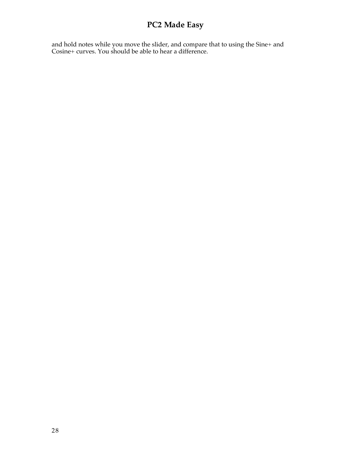and hold notes while you move the slider, and compare that to using the Sine+ and Cosine+ curves. You should be able to hear a difference.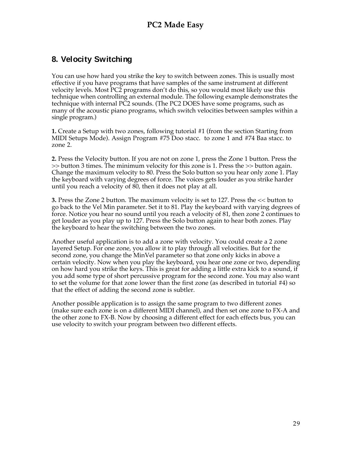## **8. Velocity Switching**

You can use how hard you strike the key to switch between zones. This is usually most effective if you have programs that have samples of the same instrument at different velocity levels. Most PC2 programs don't do this, so you would most likely use this technique when controlling an external module. The following example demonstrates the technique with internal PC2 sounds. (The PC2 DOES have some programs, such as many of the acoustic piano programs, which switch velocities between samples within a single program.)

**1.** Create a Setup with two zones, following tutorial #1 (from the section Starting from MIDI Setups Mode). Assign Program #75 Doo stacc. to zone 1 and #74 Baa stacc. to zone 2.

**2.** Press the Velocity button. If you are not on zone 1, press the Zone 1 button. Press the >> button 3 times. The minimum velocity for this zone is 1. Press the >> button again. Change the maximum velocity to 80. Press the Solo button so you hear only zone 1. Play the keyboard with varying degrees of force. The voices gets louder as you strike harder until you reach a velocity of 80, then it does not play at all.

**3.** Press the Zone 2 button. The maximum velocity is set to 127. Press the << button to go back to the Vel Min parameter. Set it to 81. Play the keyboard with varying degrees of force. Notice you hear no sound until you reach a velocity of 81, then zone 2 continues to get louder as you play up to 127. Press the Solo button again to hear both zones. Play the keyboard to hear the switching between the two zones.

Another useful application is to add a zone with velocity. You could create a 2 zone layered Setup. For one zone, you allow it to play through all velocities. But for the second zone, you change the MinVel parameter so that zone only kicks in above a certain velocity. Now when you play the keyboard, you hear one zone or two, depending on how hard you strike the keys. This is great for adding a little extra kick to a sound, if you add some type of short percussive program for the second zone. You may also want to set the volume for that zone lower than the first zone (as described in tutorial #4) so that the effect of adding the second zone is subtler.

Another possible application is to assign the same program to two different zones (make sure each zone is on a different MIDI channel), and then set one zone to FX-A and the other zone to FX-B. Now by choosing a different effect for each effects bus, you can use velocity to switch your program between two different effects.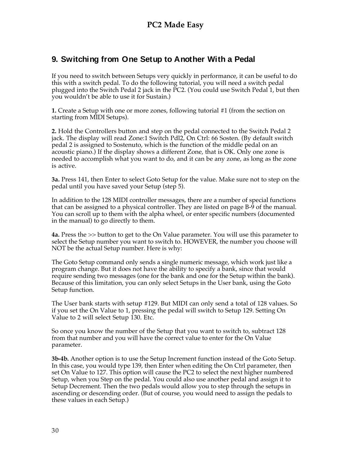# **9. Switching from One Setup to Another With a Pedal**

If you need to switch between Setups very quickly in performance, it can be useful to do this with a switch pedal. To do the following tutorial, you will need a switch pedal plugged into the Switch Pedal 2 jack in the PC2. (You could use Switch Pedal 1, but then you wouldn't be able to use it for Sustain.)

**1.** Create a Setup with one or more zones, following tutorial #1 (from the section on starting from MIDI Setups).

**2.** Hold the Controllers button and step on the pedal connected to the Switch Pedal 2 jack. The display will read Zone:1 Switch Pdl2, On Ctrl: 66 Sosten. (By default switch pedal 2 is assigned to Sostenuto, which is the function of the middle pedal on an acoustic piano.) If the display shows a different Zone, that is OK. Only one zone is needed to accomplish what you want to do, and it can be any zone, as long as the zone is active.

**3a.** Press 141, then Enter to select Goto Setup for the value. Make sure not to step on the pedal until you have saved your Setup (step 5).

In addition to the 128 MIDI controller messages, there are a number of special functions that can be assigned to a physical controller. They are listed on page B-9 of the manual. You can scroll up to them with the alpha wheel, or enter specific numbers (documented in the manual) to go directly to them.

**4a.** Press the >> button to get to the On Value parameter. You will use this parameter to select the Setup number you want to switch to. HOWEVER, the number you choose will NOT be the actual Setup number. Here is why:

The Goto Setup command only sends a single numeric message, which work just like a program change. But it does not have the ability to specify a bank, since that would require sending two messages (one for the bank and one for the Setup within the bank). Because of this limitation, you can only select Setups in the User bank, using the Goto Setup function.

The User bank starts with setup #129. But MIDI can only send a total of 128 values. So if you set the On Value to 1, pressing the pedal will switch to Setup 129. Setting On Value to 2 will select Setup 130. Etc.

So once you know the number of the Setup that you want to switch to, subtract 128 from that number and you will have the correct value to enter for the On Value parameter.

**3b-4b.** Another option is to use the Setup Increment function instead of the Goto Setup. In this case, you would type 139, then Enter when editing the On Ctrl parameter, then set On Value to 127. This option will cause the PC2 to select the next higher numbered Setup, when you Step on the pedal. You could also use another pedal and assign it to Setup Decrement. Then the two pedals would allow you to step through the setups in ascending or descending order. (But of course, you would need to assign the pedals to these values in each Setup.)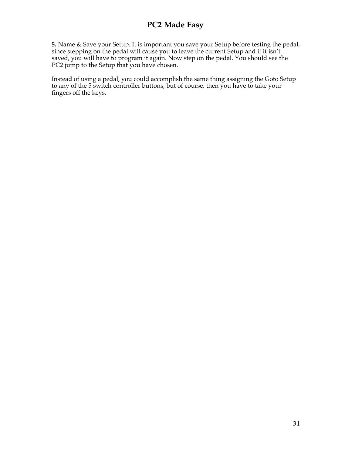**5.** Name & Save your Setup. It is important you save your Setup before testing the pedal, since stepping on the pedal will cause you to leave the current Setup and if it isn't saved, you will have to program it again. Now step on the pedal. You should see the PC2 jump to the Setup that you have chosen.

Instead of using a pedal, you could accomplish the same thing assigning the Goto Setup to any of the 5 switch controller buttons, but of course, then you have to take your fingers off the keys.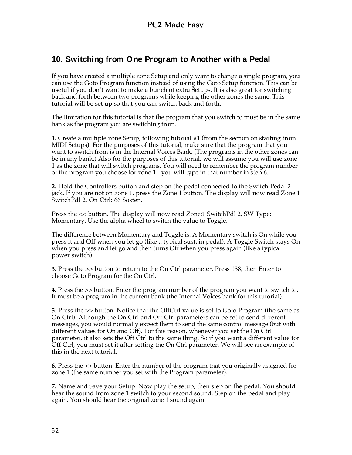# **10. Switching from One Program to Another with a Pedal**

If you have created a multiple zone Setup and only want to change a single program, you can use the Goto Program function instead of using the Goto Setup function. This can be useful if you don't want to make a bunch of extra Setups. It is also great for switching back and forth between two programs while keeping the other zones the same. This tutorial will be set up so that you can switch back and forth.

The limitation for this tutorial is that the program that you switch to must be in the same bank as the program you are switching from.

**1.** Create a multiple zone Setup, following tutorial #1 (from the section on starting from MIDI Setups). For the purposes of this tutorial, make sure that the program that you want to switch from is in the Internal Voices Bank. (The programs in the other zones can be in any bank.) Also for the purposes of this tutorial, we will assume you will use zone 1 as the zone that will switch programs. You will need to remember the program number of the program you choose for zone 1 - you will type in that number in step 6.

**2.** Hold the Controllers button and step on the pedal connected to the Switch Pedal 2 jack. If you are not on zone 1, press the Zone 1 button. The display will now read Zone:1 SwitchPdl 2, On Ctrl: 66 Sosten.

Press the << button. The display will now read Zone:1 SwitchPdl 2, SW Type: Momentary. Use the alpha wheel to switch the value to Toggle.

The difference between Momentary and Toggle is: A Momentary switch is On while you press it and Off when you let go (like a typical sustain pedal). A Toggle Switch stays On when you press and let go and then turns Off when you press again (like a typical power switch).

**3.** Press the >> button to return to the On Ctrl parameter. Press 138, then Enter to choose Goto Program for the On Ctrl.

**4.** Press the >> button. Enter the program number of the program you want to switch to. It must be a program in the current bank (the Internal Voices bank for this tutorial).

**5.** Press the >> button. Notice that the OffCtrl value is set to Goto Program (the same as On Ctrl). Although the On Ctrl and Off Ctrl parameters can be set to send different messages, you would normally expect them to send the same control message (but with different values for On and Off). For this reason, whenever you set the On Ctrl parameter, it also sets the Off Ctrl to the same thing. So if you want a different value for Off Ctrl, you must set it after setting the On Ctrl parameter. We will see an example of this in the next tutorial.

**6.** Press the >> button. Enter the number of the program that you originally assigned for zone 1 (the same number you set with the Program parameter).

**7.** Name and Save your Setup. Now play the setup, then step on the pedal. You should hear the sound from zone 1 switch to your second sound. Step on the pedal and play again. You should hear the original zone 1 sound again.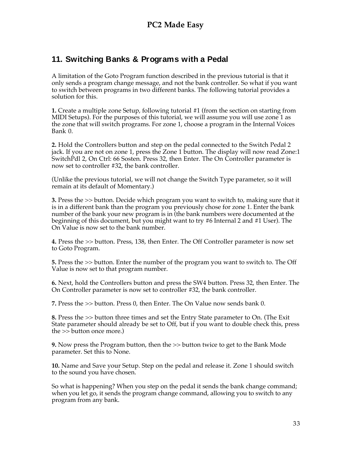## **11. Switching Banks & Programs with a Pedal**

A limitation of the Goto Program function described in the previous tutorial is that it only sends a program change message, and not the bank controller. So what if you want to switch between programs in two different banks. The following tutorial provides a solution for this.

**1.** Create a multiple zone Setup, following tutorial #1 (from the section on starting from MIDI Setups). For the purposes of this tutorial, we will assume you will use zone 1 as the zone that will switch programs. For zone 1, choose a program in the Internal Voices Bank 0.

**2.** Hold the Controllers button and step on the pedal connected to the Switch Pedal 2 jack. If you are not on zone 1, press the Zone 1 button. The display will now read Zone:1 SwitchPdl 2, On Ctrl: 66 Sosten. Press 32, then Enter. The On Controller parameter is now set to controller #32, the bank controller.

(Unlike the previous tutorial, we will not change the Switch Type parameter, so it will remain at its default of Momentary.)

**3.** Press the >> button. Decide which program you want to switch to, making sure that it is in a different bank than the program you previously chose for zone 1. Enter the bank number of the bank your new program is in (the bank numbers were documented at the beginning of this document, but you might want to try #6 Internal 2 and #1 User). The On Value is now set to the bank number.

**4.** Press the >> button. Press, 138, then Enter. The Off Controller parameter is now set to Goto Program.

**5.** Press the >> button. Enter the number of the program you want to switch to. The Off Value is now set to that program number.

**6.** Next, hold the Controllers button and press the SW4 button. Press 32, then Enter. The On Controller parameter is now set to controller #32, the bank controller.

**7.** Press the >> button. Press 0, then Enter. The On Value now sends bank 0.

**8.** Press the >> button three times and set the Entry State parameter to On. (The Exit State parameter should already be set to Off, but if you want to double check this, press the >> button once more.)

**9.** Now press the Program button, then the >> button twice to get to the Bank Mode parameter. Set this to None.

**10.** Name and Save your Setup. Step on the pedal and release it. Zone 1 should switch to the sound you have chosen.

So what is happening? When you step on the pedal it sends the bank change command; when you let go, it sends the program change command, allowing you to switch to any program from any bank.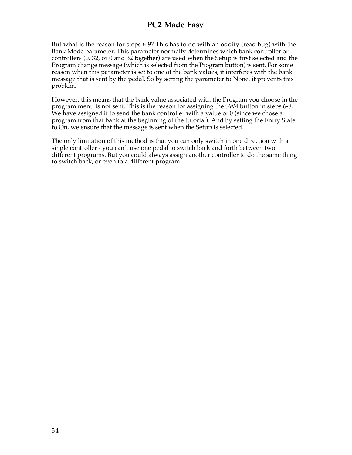But what is the reason for steps 6-9? This has to do with an oddity (read bug) with the Bank Mode parameter. This parameter normally determines which bank controller or controllers (0, 32, or 0 and 32 together) are used when the Setup is first selected and the Program change message (which is selected from the Program button) is sent. For some reason when this parameter is set to one of the bank values, it interferes with the bank message that is sent by the pedal. So by setting the parameter to None, it prevents this problem.

However, this means that the bank value associated with the Program you choose in the program menu is not sent. This is the reason for assigning the SW4 button in steps 6-8. We have assigned it to send the bank controller with a value of 0 (since we chose a program from that bank at the beginning of the tutorial). And by setting the Entry State to On, we ensure that the message is sent when the Setup is selected.

The only limitation of this method is that you can only switch in one direction with a single controller - you can't use one pedal to switch back and forth between two different programs. But you could always assign another controller to do the same thing to switch back, or even to a different program.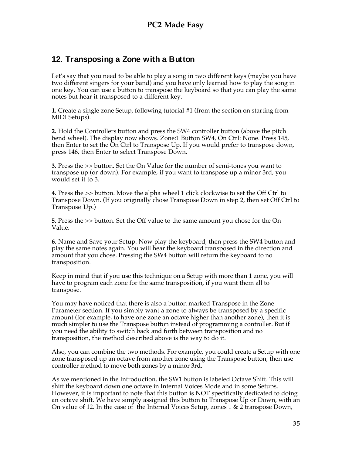## **12. Transposing a Zone with a Button**

Let's say that you need to be able to play a song in two different keys (maybe you have two different singers for your band) and you have only learned how to play the song in one key. You can use a button to transpose the keyboard so that you can play the same notes but hear it transposed to a different key.

**1.** Create a single zone Setup, following tutorial #1 (from the section on starting from MIDI Setups).

**2.** Hold the Controllers button and press the SW4 controller button (above the pitch bend wheel). The display now shows. Zone:1 Button SW4, On Ctrl: None. Press 145, then Enter to set the On Ctrl to Transpose Up. If you would prefer to transpose down, press 146, then Enter to select Transpose Down.

**3.** Press the >> button. Set the On Value for the number of semi-tones you want to transpose up (or down). For example, if you want to transpose up a minor 3rd, you would set it to 3.

**4.** Press the >> button. Move the alpha wheel 1 click clockwise to set the Off Ctrl to Transpose Down. (If you originally chose Transpose Down in step 2, then set Off Ctrl to Transpose Up.)

**5.** Press the >> button. Set the Off value to the same amount you chose for the On Value.

**6.** Name and Save your Setup. Now play the keyboard, then press the SW4 button and play the same notes again. You will hear the keyboard transposed in the direction and amount that you chose. Pressing the SW4 button will return the keyboard to no transposition.

Keep in mind that if you use this technique on a Setup with more than 1 zone, you will have to program each zone for the same transposition, if you want them all to transpose.

You may have noticed that there is also a button marked Transpose in the Zone Parameter section. If you simply want a zone to always be transposed by a specific amount (for example, to have one zone an octave higher than another zone), then it is much simpler to use the Transpose button instead of programming a controller. But if you need the ability to switch back and forth between transposition and no transposition, the method described above is the way to do it.

Also, you can combine the two methods. For example, you could create a Setup with one zone transposed up an octave from another zone using the Transpose button, then use controller method to move both zones by a minor 3rd.

As we mentioned in the Introduction, the SW1 button is labeled Octave Shift. This will shift the keyboard down one octave in Internal Voices Mode and in some Setups. However, it is important to note that this button is NOT specifically dedicated to doing an octave shift. We have simply assigned this button to Transpose Up or Down, with an On value of 12. In the case of the Internal Voices Setup, zones 1 & 2 transpose Down,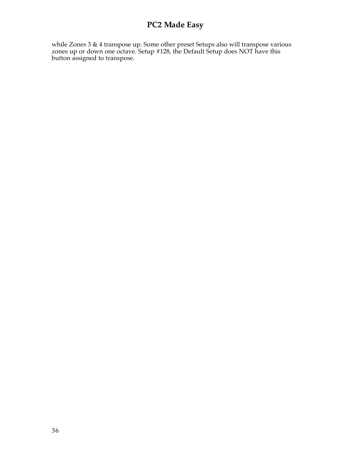while Zones 3 & 4 transpose up. Some other preset Setups also will transpose various zones up or down one octave. Setup #128, the Default Setup does NOT have this button assigned to transpose.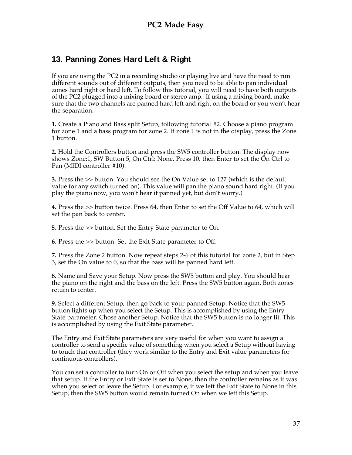## **13. Panning Zones Hard Left & Right**

If you are using the PC2 in a recording studio or playing live and have the need to run different sounds out of different outputs, then you need to be able to pan individual zones hard right or hard left. To follow this tutorial, you will need to have both outputs of the PC2 plugged into a mixing board or stereo amp. If using a mixing board, make sure that the two channels are panned hard left and right on the board or you won't hear the separation.

**1.** Create a Piano and Bass split Setup, following tutorial #2. Choose a piano program for zone 1 and a bass program for zone 2. If zone 1 is not in the display, press the Zone 1 button.

**2.** Hold the Controllers button and press the SW5 controller button. The display now shows Zone:1, SW Button 5, On Ctrl: None. Press 10, then Enter to set the On Ctrl to Pan (MIDI controller #10).

**3.** Press the >> button. You should see the On Value set to 127 (which is the default value for any switch turned on). This value will pan the piano sound hard right. (If you play the piano now, you won't hear it panned yet, but don't worry.)

**4.** Press the >> button twice. Press 64, then Enter to set the Off Value to 64, which will set the pan back to center.

**5.** Press the >> button. Set the Entry State parameter to On.

**6.** Press the >> button. Set the Exit State parameter to Off.

**7.** Press the Zone 2 button. Now repeat steps 2-6 of this tutorial for zone 2, but in Step 3, set the On value to 0, so that the bass will be panned hard left.

**8.** Name and Save your Setup. Now press the SW5 button and play. You should hear the piano on the right and the bass on the left. Press the SW5 button again. Both zones return to center.

**9.** Select a different Setup, then go back to your panned Setup. Notice that the SW5 button lights up when you select the Setup. This is accomplished by using the Entry State parameter. Chose another Setup. Notice that the SW5 button is no longer lit. This is accomplished by using the Exit State parameter.

The Entry and Exit State parameters are very useful for when you want to assign a controller to send a specific value of something when you select a Setup without having to touch that controller (they work similar to the Entry and Exit value parameters for continuous controllers).

You can set a controller to turn On or Off when you select the setup and when you leave that setup. If the Entry or Exit State is set to None, then the controller remains as it was when you select or leave the Setup. For example, if we left the Exit State to None in this Setup, then the SW5 button would remain turned On when we left this Setup.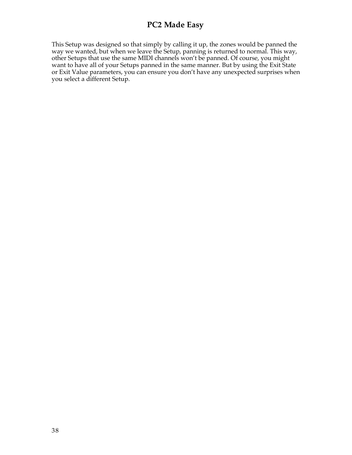This Setup was designed so that simply by calling it up, the zones would be panned the way we wanted, but when we leave the Setup, panning is returned to normal. This way, other Setups that use the same MIDI channels won't be panned. Of course, you might want to have all of your Setups panned in the same manner. But by using the Exit State or Exit Value parameters, you can ensure you don't have any unexpected surprises when you select a different Setup.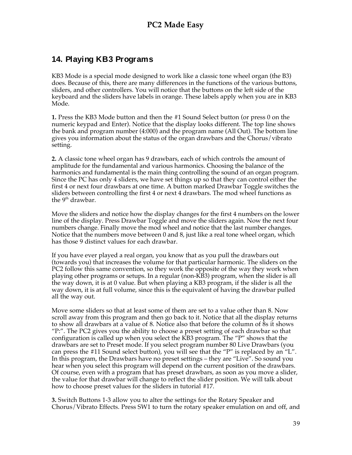## **14. Playing KB3 Programs**

KB3 Mode is a special mode designed to work like a classic tone wheel organ (the B3) does. Because of this, there are many differences in the functions of the various buttons, sliders, and other controllers. You will notice that the buttons on the left side of the keyboard and the sliders have labels in orange. These labels apply when you are in KB3 Mode.

**1.** Press the KB3 Mode button and then the #1 Sound Select button (or press 0 on the numeric keypad and Enter). Notice that the display looks different. The top line shows the bank and program number (4:000) and the program name (All Out). The bottom line gives you information about the status of the organ drawbars and the Chorus/vibrato setting.

**2.** A classic tone wheel organ has 9 drawbars, each of which controls the amount of amplitude for the fundamental and various harmonics. Choosing the balance of the harmonics and fundamental is the main thing controlling the sound of an organ program. Since the PC has only 4 sliders, we have set things up so that they can control either the first 4 or next four drawbars at one time. A button marked Drawbar Toggle switches the sliders between controlling the first 4 or next 4 drawbars. The mod wheel functions as the  $9<sup>th</sup>$  drawbar.

Move the sliders and notice how the display changes for the first 4 numbers on the lower line of the display. Press Drawbar Toggle and move the sliders again. Now the next four numbers change. Finally move the mod wheel and notice that the last number changes. Notice that the numbers move between 0 and 8, just like a real tone wheel organ, which has those 9 distinct values for each drawbar.

If you have ever played a real organ, you know that as you pull the drawbars out (towards you) that increases the volume for that particular harmonic. The sliders on the PC2 follow this same convention, so they work the opposite of the way they work when playing other programs or setups. In a regular (non-KB3) program, when the slider is all the way down, it is at 0 value. But when playing a KB3 program, if the slider is all the way down, it is at full volume, since this is the equivalent of having the drawbar pulled all the way out.

Move some sliders so that at least some of them are set to a value other than 8. Now scroll away from this program and then go back to it. Notice that all the display returns to show all drawbars at a value of 8. Notice also that before the column of 8s it shows "P:". The PC2 gives you the ability to choose a preset setting of each drawbar so that configuration is called up when you select the KB3 program. The "P" shows that the drawbars are set to Preset mode. If you select program number 80 Live Drawbars (you can press the #11 Sound select button), you will see that the "P" is replaced by an "L". In this program, the Drawbars have no preset settings – they are "Live". So sound you hear when you select this program will depend on the current position of the drawbars. Of course, even with a program that has preset drawbars, as soon as you move a slider, the value for that drawbar will change to reflect the slider position. We will talk about how to choose preset values for the sliders in tutorial #17.

**3.** Switch Buttons 1-3 allow you to alter the settings for the Rotary Speaker and Chorus/Vibrato Effects. Press SW1 to turn the rotary speaker emulation on and off, and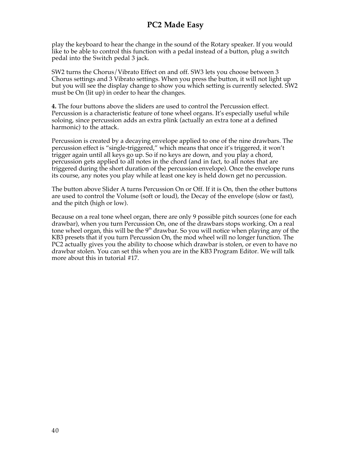play the keyboard to hear the change in the sound of the Rotary speaker. If you would like to be able to control this function with a pedal instead of a button, plug a switch pedal into the Switch pedal 3 jack.

SW2 turns the Chorus/Vibrato Effect on and off. SW3 lets you choose between 3 Chorus settings and 3 Vibrato settings. When you press the button, it will not light up but you will see the display change to show you which setting is currently selected. SW2 must be On (lit up) in order to hear the changes.

**4.** The four buttons above the sliders are used to control the Percussion effect. Percussion is a characteristic feature of tone wheel organs. It's especially useful while soloing, since percussion adds an extra plink (actually an extra tone at a defined harmonic) to the attack.

Percussion is created by a decaying envelope applied to one of the nine drawbars. The percussion effect is "single-triggered," which means that once it's triggered, it won't trigger again until all keys go up. So if no keys are down, and you play a chord, percussion gets applied to all notes in the chord (and in fact, to all notes that are triggered during the short duration of the percussion envelope). Once the envelope runs its course, any notes you play while at least one key is held down get no percussion.

The button above Slider A turns Percussion On or Off. If it is On, then the other buttons are used to control the Volume (soft or loud), the Decay of the envelope (slow or fast), and the pitch (high or low).

Because on a real tone wheel organ, there are only 9 possible pitch sources (one for each drawbar), when you turn Percussion On, one of the drawbars stops working. On a real tone wheel organ, this will be the  $9<sup>th</sup>$  drawbar. So you will notice when playing any of the KB3 presets that if you turn Percussion On, the mod wheel will no longer function. The PC2 actually gives you the ability to choose which drawbar is stolen, or even to have no drawbar stolen. You can set this when you are in the KB3 Program Editor. We will talk more about this in tutorial #17.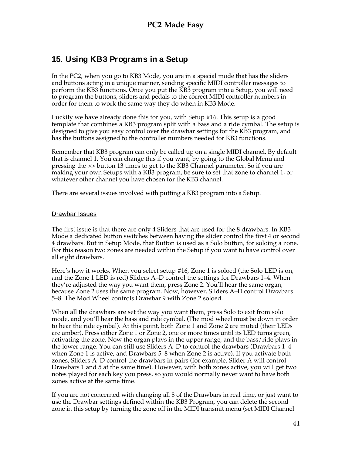## **15. Using KB3 Programs in a Setup**

In the PC2, when you go to KB3 Mode, you are in a special mode that has the sliders and buttons acting in a unique manner, sending specific MIDI controller messages to perform the KB3 functions. Once you put the KB3 program into a Setup, you will need to program the buttons, sliders and pedals to the correct MIDI controller numbers in order for them to work the same way they do when in KB3 Mode.

Luckily we have already done this for you, with Setup #16. This setup is a good template that combines a KB3 program split with a bass and a ride cymbal. The setup is designed to give you easy control over the drawbar settings for the KB3 program, and has the buttons assigned to the controller numbers needed for KB3 functions.

Remember that KB3 program can only be called up on a single MIDI channel. By default that is channel 1. You can change this if you want, by going to the Global Menu and pressing the >> button 13 times to get to the KB3 Channel parameter. So if you are making your own Setups with a KB3 program, be sure to set that zone to channel 1, or whatever other channel you have chosen for the KB3 channel.

There are several issues involved with putting a KB3 program into a Setup.

#### Drawbar Issues

The first issue is that there are only 4 Sliders that are used for the 8 drawbars. In KB3 Mode a dedicated button switches between having the slider control the first 4 or second 4 drawbars. But in Setup Mode, that Button is used as a Solo button, for soloing a zone. For this reason two zones are needed within the Setup if you want to have control over all eight drawbars.

Here's how it works. When you select setup #16, Zone 1 is soloed (the Solo LED is on, and the Zone 1 LED is red).Sliders A–D control the settings for Drawbars 1–4. When they're adjusted the way you want them, press Zone 2. You'll hear the same organ, because Zone 2 uses the same program. Now, however, Sliders A–D control Drawbars 5–8. The Mod Wheel controls Drawbar 9 with Zone 2 soloed.

When all the drawbars are set the way you want them, press Solo to exit from solo mode, and you'll hear the bass and ride cymbal. (The mod wheel must be down in order to hear the ride cymbal). At this point, both Zone 1 and Zone 2 are muted (their LEDs are amber). Press either Zone 1 or Zone 2, one or more times until its LED turns green, activating the zone. Now the organ plays in the upper range, and the bass/ride plays in the lower range. You can still use Sliders A–D to control the drawbars (Drawbars 1–4 when Zone 1 is active, and Drawbars 5–8 when Zone 2 is active). If you activate both zones, Sliders A–D control the drawbars in pairs (for example, Slider A will control Drawbars 1 and 5 at the same time). However, with both zones active, you will get two notes played for each key you press, so you would normally never want to have both zones active at the same time.

If you are not concerned with changing all 8 of the Drawbars in real time, or just want to use the Drawbar settings defined within the KB3 Program, you can delete the second zone in this setup by turning the zone off in the MIDI transmit menu (set MIDI Channel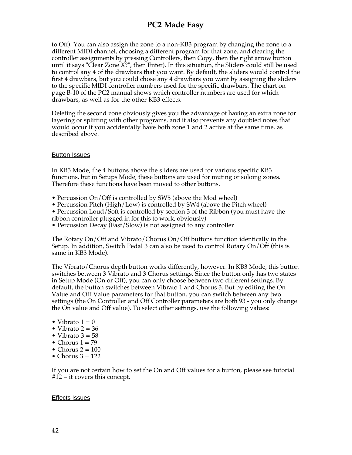to Off). You can also assign the zone to a non-KB3 program by changing the zone to a different MIDI channel, choosing a different program for that zone, and clearing the controller assignments by pressing Controllers, then Copy, then the right arrow button until it says "Clear Zone X?", then Enter). In this situation, the Sliders could still be used to control any 4 of the drawbars that you want. By default, the sliders would control the first 4 drawbars, but you could chose any 4 drawbars you want by assigning the sliders to the specific MIDI controller numbers used for the specific drawbars. The chart on page B-10 of the PC2 manual shows which controller numbers are used for which drawbars, as well as for the other KB3 effects.

Deleting the second zone obviously gives you the advantage of having an extra zone for layering or splitting with other programs, and it also prevents any doubled notes that would occur if you accidentally have both zone 1 and 2 active at the same time, as described above.

#### **Button Issues**

In KB3 Mode, the 4 buttons above the sliders are used for various specific KB3 functions, but in Setups Mode, these buttons are used for muting or soloing zones. Therefore these functions have been moved to other buttons.

- Percussion On/Off is controlled by SW5 (above the Mod wheel)
- Percussion Pitch (High/Low) is controlled by SW4 (above the Pitch wheel)

• Percussion Loud/Soft is controlled by section 3 of the Ribbon (you must have the ribbon controller plugged in for this to work, obviously)

• Percussion Decay (Fast/Slow) is not assigned to any controller

The Rotary On/Off and Vibrato/Chorus On/Off buttons function identically in the Setup. In addition, Switch Pedal 3 can also be used to control Rotary On/Off (this is same in KB3 Mode).

The Vibrato/Chorus depth button works differently, however. In KB3 Mode, this button switches between 3 Vibrato and 3 Chorus settings. Since the button only has two states in Setup Mode (On or Off), you can only choose between two different settings. By default, the button switches between Vibrato 1 and Chorus 3. But by editing the On Value and Off Value parameters for that button, you can switch between any two settings (the On Controller and Off Controller parameters are both 93 - you only change the On value and Off value). To select other settings, use the following values:

- Vibrato  $1 = 0$
- Vibrato  $2 = 36$
- Vibrato  $3 = 58$
- Chorus  $1 = 79$
- Chorus  $2 = 100$
- Chorus  $3 = 122$

If you are not certain how to set the On and Off values for a button, please see tutorial #12 – it covers this concept.

#### Effects Issues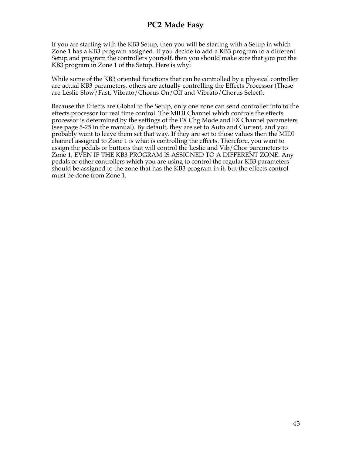If you are starting with the KB3 Setup, then you will be starting with a Setup in which Zone 1 has a KB3 program assigned. If you decide to add a KB3 program to a different Setup and program the controllers yourself, then you should make sure that you put the KB3 program in Zone 1 of the Setup. Here is why:

While some of the KB3 oriented functions that can be controlled by a physical controller are actual KB3 parameters, others are actually controlling the Effects Processor (These are Leslie Slow/Fast, Vibrato/Chorus On/Off and Vibrato/Chorus Select).

Because the Effects are Global to the Setup, only one zone can send controller info to the effects processor for real time control. The MIDI Channel which controls the effects processor is determined by the settings of the FX Chg Mode and FX Channel parameters (see page 5-25 in the manual). By default, they are set to Auto and Current, and you probably want to leave them set that way. If they are set to those values then the MIDI channel assigned to Zone 1 is what is controlling the effects. Therefore, you want to assign the pedals or buttons that will control the Leslie and Vib/Chor parameters to Zone 1, EVEN IF THE KB3 PROGRAM IS ASSIGNED TO A DIFFERENT ZONE. Any pedals or other controllers which you are using to control the regular KB3 parameters should be assigned to the zone that has the KB3 program in it, but the effects control must be done from Zone 1.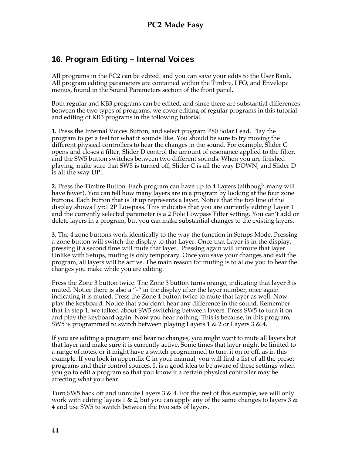## **16. Program Editing – Internal Voices**

All programs in the PC2 can be edited. and you can save your edits to the User Bank. All program editing parameters are contained within the Timbre, LFO, and Envelope menus, found in the Sound Parameters section of the front panel.

Both regular and KB3 programs can be edited, and since there are substantial differences between the two types of programs, we cover editing of regular programs in this tutorial and editing of KB3 programs in the following tutorial.

**1.** Press the Internal Voices Button, and select program #80 Solar Lead. Play the program to get a feel for what it sounds like. You should be sure to try moving the different physical controllers to hear the changes in the sound. For example, Slider C opens and closes a filter, Slider D control the amount of resonance applied to the filter, and the SW5 button switches between two different sounds. When you are finished playing, make sure that SW5 is turned off, Slider C is all the way DOWN, and Slider D is all the way UP..

**2.** Press the Timbre Button. Each program can have up to 4 Layers (although many will have fewer). You can tell how many layers are in a program by looking at the four zone buttons. Each button that is lit up represents a layer. Notice that the top line of the display shows Lyr:1 2P Lowpass. This indicates that you are currently editing Layer 1 and the currently selected parameter is a 2 Pole Lowpass Filter setting. You can't add or delete layers in a program, but you can make substantial changes to the existing layers.

**3.** The 4 zone buttons work identically to the way the function in Setups Mode. Pressing a zone button will switch the display to that Layer. Once that Layer is in the display, pressing it a second time will mute that layer. Pressing again will unmute that layer. Unlike with Setups, muting is only temporary. Once you save your changes and exit the program, all layers will be active. The main reason for muting is to allow you to hear the changes you make while you are editing.

Press the Zone 3 button twice. The Zone 3 button turns orange, indicating that layer 3 is muted. Notice there is also a "-" in the display after the layer number, once again indicating it is muted. Press the Zone 4 button twice to mute that layer as well. Now play the keyboard. Notice that you don't hear any difference in the sound. Remember that in step 1, we talked about SW5 switching between layers. Press SW5 to turn it on and play the keyboard again. Now you hear nothing. This is because, in this program, SW5 is programmed to switch between playing Layers 1 & 2 or Layers 3 & 4.

If you are editing a program and hear no changes, you might want to mute all layers but that layer and make sure it is currently active. Some times that layer might be limited to a range of notes, or it might have a switch programmed to turn it on or off, as in this example. If you look in appendix C in your manual, you will find a list of all the preset programs and their control sources. It is a good idea to be aware of these settings when you go to edit a program so that you know if a certain physical controller may be affecting what you hear.

Turn SW5 back off and unmute Layers 3 & 4. For the rest of this example, we will only work with editing layers 1  $\&$  2, but you can apply any of the same changes to layers 3  $\&$ 4 and use SW5 to switch between the two sets of layers.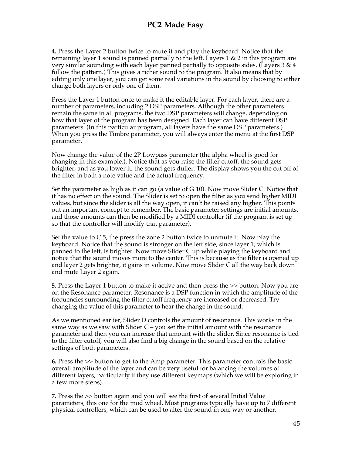**4.** Press the Layer 2 button twice to mute it and play the keyboard. Notice that the remaining layer 1 sound is panned partially to the left. Layers 1 & 2 in this program are very similar sounding with each layer panned partially to opposite sides. (Layers  $3 \& 4$ follow the pattern.) This gives a richer sound to the program. It also means that by editing only one layer, you can get some real variations in the sound by choosing to either change both layers or only one of them.

Press the Layer 1 button once to make it the editable layer. For each layer, there are a number of parameters, including 2 DSP parameters. Although the other parameters remain the same in all programs, the two DSP parameters will change, depending on how that layer of the program has been designed. Each layer can have different DSP parameters. (In this particular program, all layers have the same DSP parameters.) When you press the Timbre parameter, you will always enter the menu at the first DSP parameter.

Now change the value of the 2P Lowpass parameter (the alpha wheel is good for changing in this example.). Notice that as you raise the filter cutoff, the sound gets brighter, and as you lower it, the sound gets duller. The display shows you the cut off of the filter in both a note value and the actual frequency.

Set the parameter as high as it can go (a value of G 10). Now move Slider C. Notice that it has no effect on the sound. The Slider is set to open the filter as you send higher MIDI values, but since the slider is all the way open, it can't be raised any higher. This points out an important concept to remember. The basic parameter settings are initial amounts, and those amounts can then be modified by a MIDI controller (if the program is set up so that the controller will modify that parameter).

Set the value to  $\overline{C}$  5, the press the zone 2 button twice to unmute it. Now play the keyboard. Notice that the sound is stronger on the left side, since layer 1, which is panned to the left, is brighter. Now move Slider C up while playing the keyboard and notice that the sound moves more to the center. This is because as the filter is opened up and layer 2 gets brighter, it gains in volume. Now move Slider C all the way back down and mute Layer 2 again.

**5.** Press the Layer 1 button to make it active and then press the >> button. Now you are on the Resonance parameter. Resonance is a DSP function in which the amplitude of the frequencies surrounding the filter cutoff frequency are increased or decreased. Try changing the value of this parameter to hear the change in the sound.

As we mentioned earlier, Slider D controls the amount of resonance. This works in the same way as we saw with Slider  $C - y$  set the initial amount with the resonance parameter and then you can increase that amount with the slider. Since resonance is tied to the filter cutoff, you will also find a big change in the sound based on the relative settings of both parameters.

**6.** Press the >> button to get to the Amp parameter. This parameter controls the basic overall amplitude of the layer and can be very useful for balancing the volumes of different layers, particularly if they use different keymaps (which we will be exploring in a few more steps).

**7.** Press the >> button again and you will see the first of several Initial Value parameters, this one for the mod wheel. Most programs typically have up to 7 different physical controllers, which can be used to alter the sound in one way or another.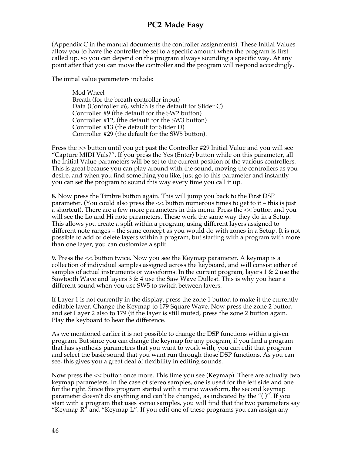(Appendix C in the manual documents the controller assignments). These Initial Values allow you to have the controller be set to a specific amount when the program is first called up, so you can depend on the program always sounding a specific way. At any point after that you can move the controller and the program will respond accordingly.

The initial value parameters include:

Mod Wheel Breath (for the breath controller input) Data (Controller #6, which is the default for Slider C) Controller #9 (the default for the SW2 button) Controller #12, (the default for the SW3 button) Controller #13 (the default for Slider D) Controller #29 (the default for the SW5 button).

Press the >> button until you get past the Controller #29 Initial Value and you will see "Capture MIDI Vals?". If you press the Yes (Enter) button while on this parameter, all the Initial Value parameters will be set to the current position of the various controllers. This is great because you can play around with the sound, moving the controllers as you desire, and when you find something you like, just go to this parameter and instantly you can set the program to sound this way every time you call it up.

**8.** Now press the Timbre button again. This will jump you back to the First DSP parameter. (You could also press the  $\lt\lt$  button numerous times to get to it – this is just a shortcut). There are a few more parameters in this menu. Press the << button and you will see the Lo and Hi note parameters. These work the same way they do in a Setup. This allows you create a split within a program, using different layers assigned to different note ranges – the same concept as you would do with zones in a Setup. It is not possible to add or delete layers within a program, but starting with a program with more than one layer, you can customize a split.

**9.** Press the << button twice. Now you see the Keymap parameter. A keymap is a collection of individual samples assigned across the keyboard, and will consist either of samples of actual instruments or waveforms. In the current program, layers  $1 \& 2$  use the Sawtooth Wave and layers 3 & 4 use the Saw Wave Dullest. This is why you hear a different sound when you use SW5 to switch between layers.

If Layer 1 is not currently in the display, press the zone 1 button to make it the currently editable layer. Change the Keymap to 179 Square Wave. Now press the zone 2 button and set Layer 2 also to 179 (if the layer is still muted, press the zone 2 button again. Play the keyboard to hear the difference.

As we mentioned earlier it is not possible to change the DSP functions within a given program. But since you can change the keymap for any program, if you find a program that has synthesis parameters that you want to work with, you can edit that program and select the basic sound that you want run through those DSP functions. As you can see, this gives you a great deal of flexibility in editing sounds.

Now press the << button once more. This time you see (Keymap). There are actually two keymap parameters. In the case of stereo samples, one is used for the left side and one for the right. Since this program started with a mono waveform, the second keymap parameter doesn't do anything and can't be changed, as indicated by the "( )". If you start with a program that uses stereo samples, you will find that the two parameters say "Keymap  $R$ " and "Keymap L". If you edit one of these programs you can assign any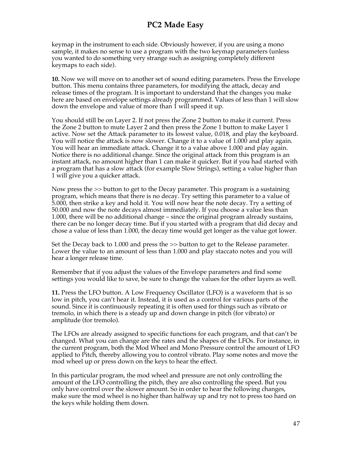keymap in the instrument to each side. Obviously however, if you are using a mono sample, it makes no sense to use a program with the two keymap parameters (unless you wanted to do something very strange such as assigning completely different keymaps to each side).

**10.** Now we will move on to another set of sound editing parameters. Press the Envelope button. This menu contains three parameters, for modifying the attack, decay and release times of the program. It is important to understand that the changes you make here are based on envelope settings already programmed. Values of less than 1 will slow down the envelope and value of more than 1 will speed it up.

You should still be on Layer 2. If not press the Zone 2 button to make it current. Press the Zone 2 button to mute Layer 2 and then press the Zone 1 button to make Layer 1 active. Now set the Attack parameter to its lowest value, 0.018, and play the keyboard. You will notice the attack is now slower. Change it to a value of 1.000 and play again. You will hear an immediate attack. Change it to a value above 1.000 and play again. Notice there is no additional change. Since the original attack from this program is an instant attack, no amount higher than 1 can make it quicker. But if you had started with a program that has a slow attack (for example Slow Strings), setting a value higher than 1 will give you a quicker attack.

Now press the >> button to get to the Decay parameter. This program is a sustaining program, which means that there is no decay. Try setting this parameter to a value of 5.000, then strike a key and hold it. You will now hear the note decay. Try a setting of 50.000 and now the note decays almost immediately. If you choose a value less than 1.000, there will be no additional change – since the original program already sustains, there can be no longer decay time. But if you started with a program that did decay and chose a value of less than 1.000, the decay time would get longer as the value got lower.

Set the Decay back to 1.000 and press the >> button to get to the Release parameter. Lower the value to an amount of less than 1.000 and play staccato notes and you will hear a longer release time.

Remember that if you adjust the values of the Envelope parameters and find some settings you would like to save, be sure to change the values for the other layers as well.

**11.** Press the LFO button. A Low Frequency Oscillator (LFO) is a waveform that is so low in pitch, you can't hear it. Instead, it is used as a control for various parts of the sound. Since it is continuously repeating it is often used for things such as vibrato or tremolo, in which there is a steady up and down change in pitch (for vibrato) or amplitude (for tremolo).

The LFOs are already assigned to specific functions for each program, and that can't be changed. What you can change are the rates and the shapes of the LFOs. For instance, in the current program, both the Mod Wheel and Mono Pressure control the amount of LFO applied to Pitch, thereby allowing you to control vibrato. Play some notes and move the mod wheel up or press down on the keys to hear the effect.

In this particular program, the mod wheel and pressure are not only controlling the amount of the LFO controlling the pitch, they are also controlling the speed. But you only have control over the slower amount. So in order to hear the following changes, make sure the mod wheel is no higher than halfway up and try not to press too hard on the keys while holding them down.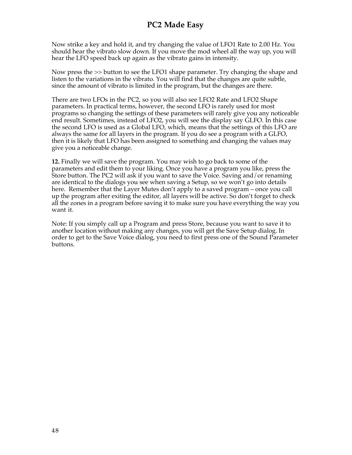Now strike a key and hold it, and try changing the value of LFO1 Rate to 2.00 Hz. You should hear the vibrato slow down. If you move the mod wheel all the way up, you will hear the LFO speed back up again as the vibrato gains in intensity.

Now press the >> button to see the LFO1 shape parameter. Try changing the shape and listen to the variations in the vibrato. You will find that the changes are quite subtle, since the amount of vibrato is limited in the program, but the changes are there.

There are two LFOs in the PC2, so you will also see LFO2 Rate and LFO2 Shape parameters. In practical terms, however, the second LFO is rarely used for most programs so changing the settings of these parameters will rarely give you any noticeable end result. Sometimes, instead of LFO2, you will see the display say GLFO. In this case the second LFO is used as a Global LFO, which, means that the settings of this LFO are always the same for all layers in the program. If you do see a program with a GLFO, then it is likely that LFO has been assigned to something and changing the values may give you a noticeable change.

**12.** Finally we will save the program. You may wish to go back to some of the parameters and edit them to your liking. Once you have a program you like, press the Store button. The PC2 will ask if you want to save the Voice. Saving and/or renaming are identical to the dialogs you see when saving a Setup, so we won't go into details here. Remember that the Layer Mutes don't apply to a saved program – once you call up the program after exiting the editor, all layers will be active. So don't forget to check all the zones in a program before saving it to make sure you have everything the way you want it.

Note: If you simply call up a Program and press Store, because you want to save it to another location without making any changes, you will get the Save Setup dialog. In order to get to the Save Voice dialog, you need to first press one of the Sound Parameter buttons.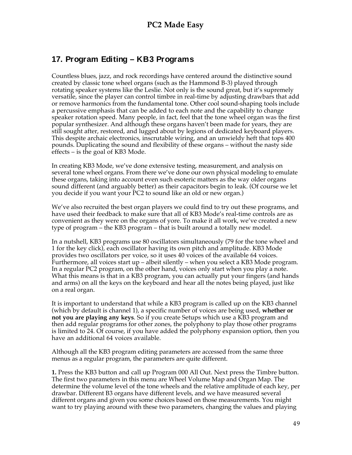## **17. Program Editing – KB3 Programs**

Countless blues, jazz, and rock recordings have centered around the distinctive sound created by classic tone wheel organs (such as the Hammond B-3) played through rotating speaker systems like the Leslie. Not only is the sound great, but it's supremely versatile, since the player can control timbre in real-time by adjusting drawbars that add or remove harmonics from the fundamental tone. Other cool sound-shaping tools include a percussive emphasis that can be added to each note and the capability to change speaker rotation speed. Many people, in fact, feel that the tone wheel organ was the first popular synthesizer. And although these organs haven't been made for years, they are still sought after, restored, and lugged about by legions of dedicated keyboard players. This despite archaic electronics, inscrutable wiring, and an unwieldy heft that tops 400 pounds. Duplicating the sound and flexibility of these organs – without the nasty side effects – is the goal of KB3 Mode.

In creating KB3 Mode, we've done extensive testing, measurement, and analysis on several tone wheel organs. From there we've done our own physical modeling to emulate these organs, taking into account even such esoteric matters as the way older organs sound different (and arguably better) as their capacitors begin to leak. (Of course we let you decide if you want your PC2 to sound like an old or new organ.)

We've also recruited the best organ players we could find to try out these programs, and have used their feedback to make sure that all of KB3 Mode's real-time controls are as convenient as they were on the organs of yore. To make it all work, we've created a new type of program – the KB3 program – that is built around a totally new model.

In a nutshell, KB3 programs use 80 oscillators simultaneously (79 for the tone wheel and 1 for the key click), each oscillator having its own pitch and amplitude. KB3 Mode provides two oscillators per voice, so it uses 40 voices of the available 64 voices. Furthermore, all voices start up – albeit silently – when you select a KB3 Mode program. In a regular PC2 program, on the other hand, voices only start when you play a note. What this means is that in a KB3 program, you can actually put your fingers (and hands and arms) on all the keys on the keyboard and hear all the notes being played, just like on a real organ.

It is important to understand that while a KB3 program is called up on the KB3 channel (which by default is channel 1), a specific number of voices are being used, **whether or not you are playing any keys**. So if you create Setups which use a KB3 program and then add regular programs for other zones, the polyphony to play those other programs is limited to 24. Of course, if you have added the polyphony expansion option, then you have an additional 64 voices available.

Although all the KB3 program editing parameters are accessed from the same three menus as a regular program, the parameters are quite different.

**1.** Press the KB3 button and call up Program 000 All Out. Next press the Timbre button. The first two parameters in this menu are Wheel Volume Map and Organ Map. The determine the volume level of the tone wheels and the relative amplitude of each key, per drawbar. Different B3 organs have different levels, and we have measured several different organs and given you some choices based on those measurements. You might want to try playing around with these two parameters, changing the values and playing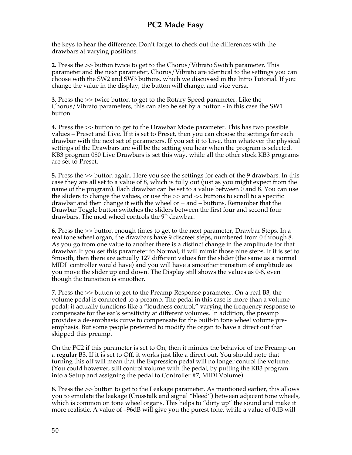the keys to hear the difference. Don't forget to check out the differences with the drawbars at varying positions.

**2.** Press the >> button twice to get to the Chorus/Vibrato Switch parameter. This parameter and the next parameter, Chorus/Vibrato are identical to the settings you can choose with the SW2 and SW3 buttons, which we discussed in the Intro Tutorial. If you change the value in the display, the button will change, and vice versa.

**3.** Press the >> twice button to get to the Rotary Speed parameter. Like the Chorus/Vibrato parameters, this can also be set by a button - in this case the SW1 button.

**4.** Press the >> button to get to the Drawbar Mode parameter. This has two possible values – Preset and Live. If it is set to Preset, then you can choose the settings for each drawbar with the next set of parameters. If you set it to Live, then whatever the physical settings of the Drawbars are will be the setting you hear when the program is selected. KB3 program 080 Live Drawbars is set this way, while all the other stock KB3 programs are set to Preset.

**5.** Press the >> button again. Here you see the settings for each of the 9 drawbars. In this case they are all set to a value of 8, which is fully out (just as you might expect from the name of the program). Each drawbar can be set to a value between 0 and 8. You can use the sliders to change the values, or use the >> and << buttons to scroll to a specific drawbar and then change it with the wheel or + and – buttons. Remember that the Drawbar Toggle button switches the sliders between the first four and second four drawbars. The mod wheel controls the 9<sup>th</sup> drawbar.

**6.** Press the >> button enough times to get to the next parameter, Drawbar Steps. In a real tone wheel organ, the drawbars have 9 discreet steps, numbered from 0 through 8. As you go from one value to another there is a distinct change in the amplitude for that drawbar. If you set this parameter to Normal, it will mimic those nine steps. If it is set to Smooth, then there are actually 127 different values for the slider (the same as a normal MIDI controller would have) and you will have a smoother transition of amplitude as you move the slider up and down. The Display still shows the values as 0-8, even though the transition is smoother.

**7.** Press the >> button to get to the Preamp Response parameter. On a real B3, the volume pedal is connected to a preamp. The pedal in this case is more than a volume pedal; it actually functions like a "loudness control," varying the frequency response to compensate for the ear's sensitivity at different volumes. In addition, the preamp provides a de-emphasis curve to compensate for the built-in tone wheel volume preemphasis. But some people preferred to modify the organ to have a direct out that skipped this preamp.

On the PC2 if this parameter is set to On, then it mimics the behavior of the Preamp on a regular B3. If it is set to Off, it works just like a direct out. You should note that turning this off will mean that the Expression pedal will no longer control the volume. (You could however, still control volume with the pedal, by putting the KB3 program into a Setup and assigning the pedal to Controller #7, MIDI Volume).

**8.** Press the >> button to get to the Leakage parameter. As mentioned earlier, this allows you to emulate the leakage (Crosstalk and signal "bleed") between adjacent tone wheels, which is common on tone wheel organs. This helps to "dirty up" the sound and make it more realistic. A value of –96dB will give you the purest tone, while a value of 0dB will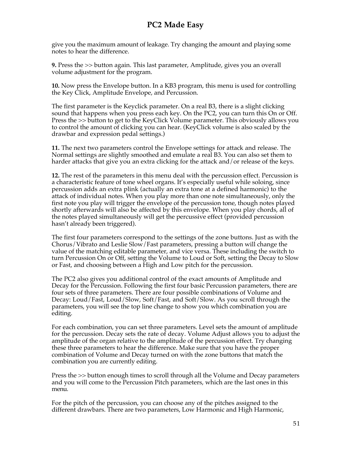give you the maximum amount of leakage. Try changing the amount and playing some notes to hear the difference.

**9.** Press the >> button again. This last parameter, Amplitude, gives you an overall volume adjustment for the program.

**10.** Now press the Envelope button. In a KB3 program, this menu is used for controlling the Key Click, Amplitude Envelope, and Percussion.

The first parameter is the Keyclick parameter. On a real B3, there is a slight clicking sound that happens when you press each key. On the PC2, you can turn this On or Off. Press the >> button to get to the KeyClick Volume parameter. This obviously allows you to control the amount of clicking you can hear. (KeyClick volume is also scaled by the drawbar and expression pedal settings.)

**11.** The next two parameters control the Envelope settings for attack and release. The Normal settings are slightly smoothed and emulate a real B3. You can also set them to harder attacks that give you an extra clicking for the attack and/or release of the keys.

**12.** The rest of the parameters in this menu deal with the percussion effect. Percussion is a characteristic feature of tone wheel organs. It's especially useful while soloing, since percussion adds an extra plink (actually an extra tone at a defined harmonic) to the attack of individual notes. When you play more than one note simultaneously, only the first note you play will trigger the envelope of the percussion tone, though notes played shortly afterwards will also be affected by this envelope. When you play chords, all of the notes played simultaneously will get the percussive effect (provided percussion hasn't already been triggered).

The first four parameters correspond to the settings of the zone buttons. Just as with the Chorus/Vibrato and Leslie Slow/Fast parameters, pressing a button will change the value of the matching editable parameter, and vice versa. These including the switch to turn Percussion On or Off, setting the Volume to Loud or Soft, setting the Decay to Slow or Fast, and choosing between a High and Low pitch for the percussion.

The PC2 also gives you additional control of the exact amounts of Amplitude and Decay for the Percussion. Following the first four basic Percussion parameters, there are four sets of three parameters. There are four possible combinations of Volume and Decay: Loud/Fast, Loud/Slow, Soft/Fast, and Soft/Slow. As you scroll through the parameters, you will see the top line change to show you which combination you are editing.

For each combination, you can set three parameters. Level sets the amount of amplitude for the percussion. Decay sets the rate of decay. Volume Adjust allows you to adjust the amplitude of the organ relative to the amplitude of the percussion effect. Try changing these three parameters to hear the difference. Make sure that you have the proper combination of Volume and Decay turned on with the zone buttons that match the combination you are currently editing.

Press the >> button enough times to scroll through all the Volume and Decay parameters and you will come to the Percussion Pitch parameters, which are the last ones in this menu.

For the pitch of the percussion, you can choose any of the pitches assigned to the different drawbars. There are two parameters, Low Harmonic and High Harmonic,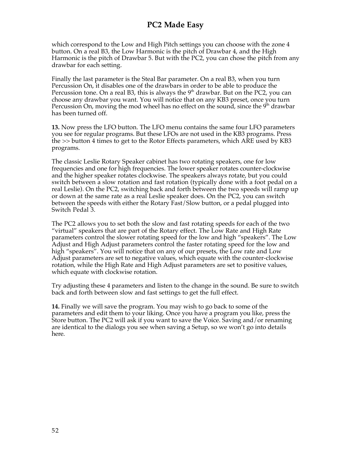which correspond to the Low and High Pitch settings you can choose with the zone 4 button. On a real B3, the Low Harmonic is the pitch of Drawbar 4, and the High Harmonic is the pitch of Drawbar 5. But with the PC2, you can chose the pitch from any drawbar for each setting.

Finally the last parameter is the Steal Bar parameter. On a real B3, when you turn Percussion On, it disables one of the drawbars in order to be able to produce the Percussion tone. On a real B3, this is always the  $9<sup>th</sup>$  drawbar. But on the PC2, you can choose any drawbar you want. You will notice that on any KB3 preset, once you turn Percussion On, moving the mod wheel has no effect on the sound, since the  $9<sup>th</sup>$  drawbar has been turned off.

**13.** Now press the LFO button. The LFO menu contains the same four LFO parameters you see for regular programs. But these LFOs are not used in the KB3 programs. Press the >> button 4 times to get to the Rotor Effects parameters, which ARE used by KB3 programs.

The classic Leslie Rotary Speaker cabinet has two rotating speakers, one for low frequencies and one for high frequencies. The lower speaker rotates counter-clockwise and the higher speaker rotates clockwise. The speakers always rotate, but you could switch between a slow rotation and fast rotation (typically done with a foot pedal on a real Leslie). On the PC2, switching back and forth between the two speeds will ramp up or down at the same rate as a real Leslie speaker does. On the PC2, you can switch between the speeds with either the Rotary Fast/Slow button, or a pedal plugged into Switch Pedal 3.

The PC2 allows you to set both the slow and fast rotating speeds for each of the two "virtual" speakers that are part of the Rotary effect. The Low Rate and High Rate parameters control the slower rotating speed for the low and high "speakers". The Low Adjust and High Adjust parameters control the faster rotating speed for the low and high "speakers". You will notice that on any of our presets, the Low rate and Low Adjust parameters are set to negative values, which equate with the counter-clockwise rotation, while the High Rate and High Adjust parameters are set to positive values, which equate with clockwise rotation.

Try adjusting these 4 parameters and listen to the change in the sound. Be sure to switch back and forth between slow and fast settings to get the full effect.

**14.** Finally we will save the program. You may wish to go back to some of the parameters and edit them to your liking. Once you have a program you like, press the Store button. The PC2 will ask if you want to save the Voice. Saving and/or renaming are identical to the dialogs you see when saving a Setup, so we won't go into details here.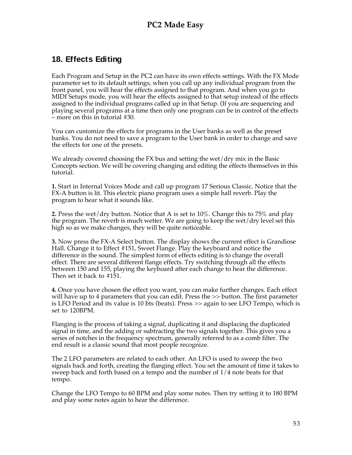#### **18. Effects Editing**

Each Program and Setup in the PC2 can have its own effects settings. With the FX Mode parameter set to its default settings, when you call up any individual program from the front panel, you will hear the effects assigned to that program. And when you go to MIDI Setups mode, you will hear the effects assigned to that setup instead of the effects assigned to the individual programs called up in that Setup. (If you are sequencing and playing several programs at a time then only one program can be in control of the effects – more on this in tutorial #30.

You can customize the effects for programs in the User banks as well as the preset banks. You do not need to save a program to the User bank in order to change and save the effects for one of the presets.

We already covered choosing the FX bus and setting the wet/dry mix in the Basic Concepts section. We will be covering changing and editing the effects themselves in this tutorial.

**1.** Start in Internal Voices Mode and call up program 17 Serious Classic. Notice that the FX-A button is lit. This electric piano program uses a simple hall reverb. Play the program to hear what it sounds like.

**2.** Press the wet/dry button. Notice that A is set to 10%. Change this to 75% and play the program. The reverb is much wetter. We are going to keep the wet/dry level set this high so as we make changes, they will be quite noticeable.

**3.** Now press the FX-A Select button. The display shows the current effect is Grandiose Hall. Change it to Effect #151, Sweet Flange. Play the keyboard and notice the difference in the sound. The simplest form of effects editing is to change the overall effect. There are several different flange effects. Try switching through all the effects between 150 and 155, playing the keyboard after each change to hear the difference. Then set it back to #151.

**4.** Once you have chosen the effect you want, you can make further changes. Each effect will have up to 4 parameters that you can edit. Press the >> button. The first parameter is LFO Period and its value is 10 bts (beats). Press >> again to see LFO Tempo, which is set to 120BPM.

Flanging is the process of taking a signal, duplicating it and displacing the duplicated signal in time, and the adding or subtracting the two signals together. This gives you a series of notches in the frequency spectrum, generally referred to as a comb filter. The end result is a classic sound that most people recognize.

The 2 LFO parameters are related to each other. An LFO is used to sweep the two signals back and forth, creating the flanging effect. You set the amount of time it takes to sweep back and forth based on a tempo and the number of 1/4 note beats for that tempo.

Change the LFO Tempo to 60 BPM and play some notes. Then try setting it to 180 BPM and play some notes again to hear the difference.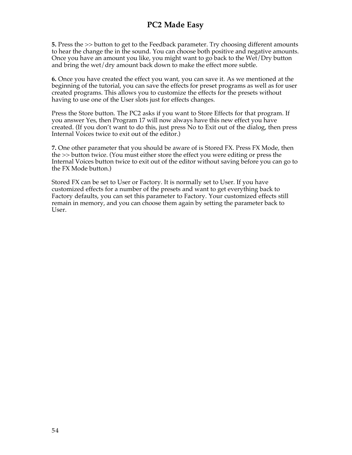**5.** Press the >> button to get to the Feedback parameter. Try choosing different amounts to hear the change the in the sound. You can choose both positive and negative amounts. Once you have an amount you like, you might want to go back to the Wet/Dry button and bring the wet/dry amount back down to make the effect more subtle.

**6.** Once you have created the effect you want, you can save it. As we mentioned at the beginning of the tutorial, you can save the effects for preset programs as well as for user created programs. This allows you to customize the effects for the presets without having to use one of the User slots just for effects changes.

Press the Store button. The PC2 asks if you want to Store Effects for that program. If you answer Yes, then Program 17 will now always have this new effect you have created. (If you don't want to do this, just press No to Exit out of the dialog, then press Internal Voices twice to exit out of the editor.)

**7.** One other parameter that you should be aware of is Stored FX. Press FX Mode, then the >> button twice. (You must either store the effect you were editing or press the Internal Voices button twice to exit out of the editor without saving before you can go to the FX Mode button.)

Stored FX can be set to User or Factory. It is normally set to User. If you have customized effects for a number of the presets and want to get everything back to Factory defaults, you can set this parameter to Factory. Your customized effects still remain in memory, and you can choose them again by setting the parameter back to User.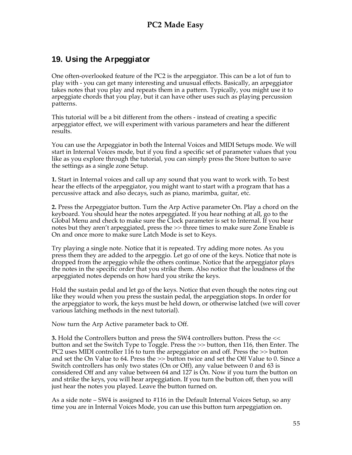## **19. Using the Arpeggiator**

One often-overlooked feature of the PC2 is the arpeggiator. This can be a lot of fun to play with - you can get many interesting and unusual effects. Basically, an arpeggiator takes notes that you play and repeats them in a pattern. Typically, you might use it to arpeggiate chords that you play, but it can have other uses such as playing percussion patterns.

This tutorial will be a bit different from the others - instead of creating a specific arpeggiator effect, we will experiment with various parameters and hear the different results.

You can use the Arpeggiator in both the Internal Voices and MIDI Setups mode. We will start in Internal Voices mode, but if you find a specific set of parameter values that you like as you explore through the tutorial, you can simply press the Store button to save the settings as a single zone Setup.

**1.** Start in Internal voices and call up any sound that you want to work with. To best hear the effects of the arpeggiator, you might want to start with a program that has a percussive attack and also decays, such as piano, marimba, guitar, etc.

**2.** Press the Arpeggiator button. Turn the Arp Active parameter On. Play a chord on the keyboard. You should hear the notes arpeggiated. If you hear nothing at all, go to the Global Menu and check to make sure the Clock parameter is set to Internal. If you hear notes but they aren't arpeggiated, press the >> three times to make sure Zone Enable is On and once more to make sure Latch Mode is set to Keys.

Try playing a single note. Notice that it is repeated. Try adding more notes. As you press them they are added to the arpeggio. Let go of one of the keys. Notice that note is dropped from the arpeggio while the others continue. Notice that the arpeggiator plays the notes in the specific order that you strike them. Also notice that the loudness of the arpeggiated notes depends on how hard you strike the keys.

Hold the sustain pedal and let go of the keys. Notice that even though the notes ring out like they would when you press the sustain pedal, the arpeggiation stops. In order for the arpeggiator to work, the keys must be held down, or otherwise latched (we will cover various latching methods in the next tutorial).

Now turn the Arp Active parameter back to Off.

**3.** Hold the Controllers button and press the SW4 controllers button. Press the << button and set the Switch Type to Toggle. Press the >> button, then 116, then Enter. The PC2 uses MIDI controller 116 to turn the arpeggiator on and off. Press the >> button and set the On Value to 64. Press the >> button twice and set the Off Value to 0. Since a Switch controllers has only two states (On or Off), any value between 0 and 63 is considered Off and any value between 64 and 127 is On. Now if you turn the button on and strike the keys, you will hear arpeggiation. If you turn the button off, then you will just hear the notes you played. Leave the button turned on.

As a side note – SW4 is assigned to #116 in the Default Internal Voices Setup, so any time you are in Internal Voices Mode, you can use this button turn arpeggiation on.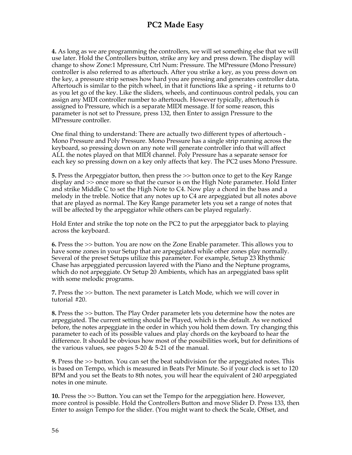**4.** As long as we are programming the controllers, we will set something else that we will use later. Hold the Controllers button, strike any key and press down. The display will change to show Zone:1 Mpressure, Ctrl Num: Pressure. The MPressure (Mono Pressure) controller is also referred to as aftertouch. After you strike a key, as you press down on the key, a pressure strip senses how hard you are pressing and generates controller data. Aftertouch is similar to the pitch wheel, in that it functions like a spring - it returns to 0 as you let go of the key. Like the sliders, wheels, and continuous control pedals, you can assign any MIDI controller number to aftertouch. However typically, aftertouch is assigned to Pressure, which is a separate MIDI message. If for some reason, this parameter is not set to Pressure, press 132, then Enter to assign Pressure to the MPressure controller.

One final thing to understand: There are actually two different types of aftertouch - Mono Pressure and Poly Pressure. Mono Pressure has a single strip running across the keyboard, so pressing down on any note will generate controller info that will affect ALL the notes played on that MIDI channel. Poly Pressure has a separate sensor for each key so pressing down on a key only affects that key. The PC2 uses Mono Pressure.

**5.** Press the Arpeggiator button, then press the >> button once to get to the Key Range display and >> once more so that the cursor is on the High Note parameter. Hold Enter and strike Middle C to set the High Note to C4. Now play a chord in the bass and a melody in the treble. Notice that any notes up to C4 are arpeggiated but all notes above that are played as normal. The Key Range parameter lets you set a range of notes that will be affected by the arpeggiator while others can be played regularly.

Hold Enter and strike the top note on the PC2 to put the arpeggiator back to playing across the keyboard.

**6.** Press the >> button. You are now on the Zone Enable parameter. This allows you to have some zones in your Setup that are arpeggiated while other zones play normally. Several of the preset Setups utilize this parameter. For example, Setup 23 Rhythmic Chase has arpeggiated percussion layered with the Piano and the Neptune programs, which do not arpeggiate. Or Setup 20 Ambients, which has an arpeggiated bass split with some melodic programs.

**7.** Press the >> button. The next parameter is Latch Mode, which we will cover in tutorial #20.

**8.** Press the >> button. The Play Order parameter lets you determine how the notes are arpeggiated. The current setting should be Played, which is the default. As we noticed before, the notes arpeggiate in the order in which you hold them down. Try changing this parameter to each of its possible values and play chords on the keyboard to hear the difference. It should be obvious how most of the possibilities work, but for definitions of the various values, see pages  $5-20 \& 5-21$  of the manual.

**9.** Press the >> button. You can set the beat subdivision for the arpeggiated notes. This is based on Tempo, which is measured in Beats Per Minute. So if your clock is set to 120 BPM and you set the Beats to 8th notes, you will hear the equivalent of 240 arpeggiated notes in one minute.

**10.** Press the >> Button. You can set the Tempo for the arpeggiation here. However, more control is possible. Hold the Controllers Button and move Slider D. Press 133, then Enter to assign Tempo for the slider. (You might want to check the Scale, Offset, and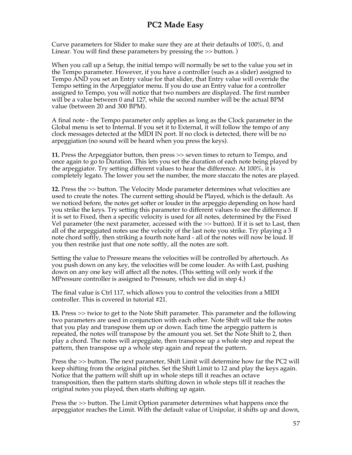Curve parameters for Slider to make sure they are at their defaults of  $100\%$ , 0, and Linear. You will find these parameters by pressing the  $\gg$  button.)

When you call up a Setup, the initial tempo will normally be set to the value you set in the Tempo parameter. However, if you have a controller (such as a slider) assigned to Tempo AND you set an Entry value for that slider, that Entry value will override the Tempo setting in the Arpeggiator menu. If you do use an Entry value for a controller assigned to Tempo, you will notice that two numbers are displayed. The first number will be a value between 0 and 127, while the second number will be the actual BPM value (between 20 and 300 BPM).

A final note - the Tempo parameter only applies as long as the Clock parameter in the Global menu is set to Internal. If you set it to External, it will follow the tempo of any clock messages detected at the MIDI IN port. If no clock is detected, there will be no arpeggiation (no sound will be heard when you press the keys).

**11.** Press the Arpeggiator button, then press >> seven times to return to Tempo, and once again to go to Duration. This lets you set the duration of each note being played by the arpeggiator. Try setting different values to hear the difference. At 100%, it is completely legato. The lower you set the number, the more staccato the notes are played.

**12.** Press the >> button. The Velocity Mode parameter determines what velocities are used to create the notes. The current setting should be Played, which is the default. As we noticed before, the notes get softer or louder in the arpeggio depending on how hard you strike the keys. Try setting this parameter to different values to see the difference. If it is set to Fixed, then a specific velocity is used for all notes, determined by the Fixed Vel parameter (the next parameter, accessed with the >> button). If it is set to Last, then all of the arpeggiated notes use the velocity of the last note you strike. Try playing a 3 note chord softly, then striking a fourth note hard - all of the notes will now be loud. If you then restrike just that one note softly, all the notes are soft.

Setting the value to Pressure means the velocities will be controlled by aftertouch. As you push down on any key, the velocities will be come louder. As with Last, pushing down on any one key will affect all the notes. (This setting will only work if the MPressure controller is assigned to Pressure, which we did in step 4.)

The final value is Ctrl 117, which allows you to control the velocities from a MIDI controller. This is covered in tutorial #21.

**13.** Press >> twice to get to the Note Shift parameter. This parameter and the following two parameters are used in conjunction with each other. Note Shift will take the notes that you play and transpose them up or down. Each time the arpeggio pattern is repeated, the notes will transpose by the amount you set. Set the Note Shift to 2, then play a chord. The notes will arpeggiate, then transpose up a whole step and repeat the pattern, then transpose up a whole step again and repeat the pattern.

Press the >> button. The next parameter, Shift Limit will determine how far the PC2 will keep shifting from the original pitches. Set the Shift Limit to 12 and play the keys again. Notice that the pattern will shift up in whole steps till it reaches an octave transposition, then the pattern starts shifting down in whole steps till it reaches the original notes you played, then starts shifting up again.

Press the >> button. The Limit Option parameter determines what happens once the arpeggiator reaches the Limit. With the default value of Unipolar, it shifts up and down,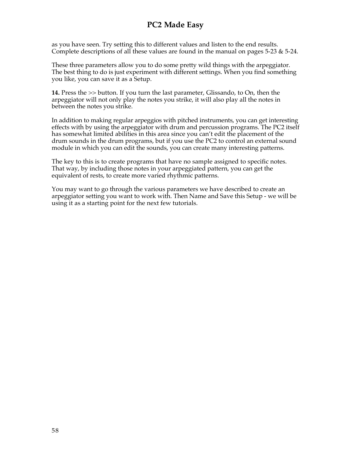as you have seen. Try setting this to different values and listen to the end results. Complete descriptions of all these values are found in the manual on pages  $5-23$  &  $5-24$ .

These three parameters allow you to do some pretty wild things with the arpeggiator. The best thing to do is just experiment with different settings. When you find something you like, you can save it as a Setup.

**14.** Press the >> button. If you turn the last parameter, Glissando, to On, then the arpeggiator will not only play the notes you strike, it will also play all the notes in between the notes you strike.

In addition to making regular arpeggios with pitched instruments, you can get interesting effects with by using the arpeggiator with drum and percussion programs. The PC2 itself has somewhat limited abilities in this area since you can't edit the placement of the drum sounds in the drum programs, but if you use the PC2 to control an external sound module in which you can edit the sounds, you can create many interesting patterns.

The key to this is to create programs that have no sample assigned to specific notes. That way, by including those notes in your arpeggiated pattern, you can get the equivalent of rests, to create more varied rhythmic patterns.

You may want to go through the various parameters we have described to create an arpeggiator setting you want to work with. Then Name and Save this Setup - we will be using it as a starting point for the next few tutorials.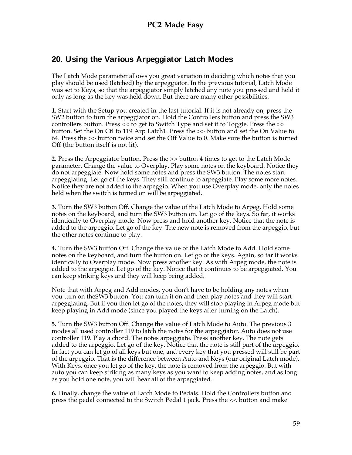## **20. Using the Various Arpeggiator Latch Modes**

The Latch Mode parameter allows you great variation in deciding which notes that you play should be used (latched) by the arpeggiator. In the previous tutorial, Latch Mode was set to Keys, so that the arpeggiator simply latched any note you pressed and held it only as long as the key was held down. But there are many other possibilities.

**1.** Start with the Setup you created in the last tutorial. If it is not already on, press the SW2 button to turn the arpeggiator on. Hold the Controllers button and press the SW3 controllers button. Press << to get to Switch Type and set it to Toggle. Press the >> button. Set the On Ctl to 119 Arp Latch1. Press the >> button and set the On Value to 64. Press the >> button twice and set the Off Value to 0. Make sure the button is turned Off (the button itself is not lit).

**2.** Press the Arpeggiator button. Press the >> button 4 times to get to the Latch Mode parameter. Change the value to Overplay. Play some notes on the keyboard. Notice they do not arpeggiate. Now hold some notes and press the SW3 button. The notes start arpeggiating. Let go of the keys. They still continue to arpeggiate. Play some more notes. Notice they are not added to the arpeggio. When you use Overplay mode, only the notes held when the switch is turned on will be arpeggiated.

**3.** Turn the SW3 button Off. Change the value of the Latch Mode to Arpeg. Hold some notes on the keyboard, and turn the SW3 button on. Let go of the keys. So far, it works identically to Overplay mode. Now press and hold another key. Notice that the note is added to the arpeggio. Let go of the key. The new note is removed from the arpeggio, but the other notes continue to play.

**4.** Turn the SW3 button Off. Change the value of the Latch Mode to Add. Hold some notes on the keyboard, and turn the button on. Let go of the keys. Again, so far it works identically to Overplay mode. Now press another key. As with Arpeg mode, the note is added to the arpeggio. Let go of the key. Notice that it continues to be arpeggiated. You can keep striking keys and they will keep being added.

Note that with Arpeg and Add modes, you don't have to be holding any notes when you turn on theSW3 button. You can turn it on and then play notes and they will start arpeggiating. But if you then let go of the notes, they will stop playing in Arpeg mode but keep playing in Add mode (since you played the keys after turning on the Latch).

**5.** Turn the SW3 button Off. Change the value of Latch Mode to Auto. The previous 3 modes all used controller 119 to latch the notes for the arpeggiator. Auto does not use controller 119. Play a chord. The notes arpeggiate. Press another key. The note gets added to the arpeggio. Let go of the key. Notice that the note is still part of the arpeggio. In fact you can let go of all keys but one, and every key that you pressed will still be part of the arpeggio. That is the difference between Auto and Keys (our original Latch mode). With Keys, once you let go of the key, the note is removed from the arpeggio. But with auto you can keep striking as many keys as you want to keep adding notes, and as long as you hold one note, you will hear all of the arpeggiated.

**6.** Finally, change the value of Latch Mode to Pedals. Hold the Controllers button and press the pedal connected to the Switch Pedal 1 jack. Press the << button and make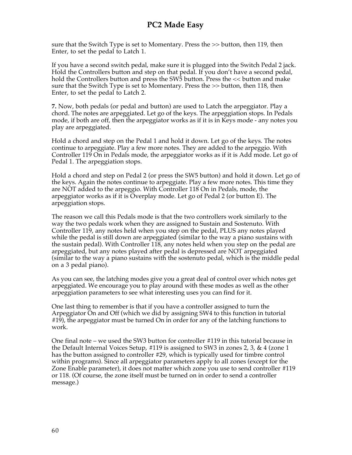sure that the Switch Type is set to Momentary. Press the >> button, then 119, then Enter, to set the pedal to Latch 1.

If you have a second switch pedal, make sure it is plugged into the Switch Pedal 2 jack. Hold the Controllers button and step on that pedal. If you don't have a second pedal, hold the Controllers button and press the SW5 button. Press the  $\lt$  button and make sure that the Switch Type is set to Momentary. Press the >> button, then 118, then Enter, to set the pedal to Latch 2.

**7.** Now, both pedals (or pedal and button) are used to Latch the arpeggiator. Play a chord. The notes are arpeggiated. Let go of the keys. The arpeggiation stops. In Pedals mode, if both are off, then the arpeggiator works as if it is in Keys mode - any notes you play are arpeggiated.

Hold a chord and step on the Pedal 1 and hold it down. Let go of the keys. The notes continue to arpeggiate. Play a few more notes. They are added to the arpeggio. With Controller 119 On in Pedals mode, the arpeggiator works as if it is Add mode. Let go of Pedal 1. The arpeggiation stops.

Hold a chord and step on Pedal 2 (or press the SW5 button) and hold it down. Let go of the keys. Again the notes continue to arpeggiate. Play a few more notes. This time they are NOT added to the arpeggio. With Controller 118 On in Pedals, mode, the arpeggiator works as if it is Overplay mode. Let go of Pedal 2 (or button E). The arpeggiation stops.

The reason we call this Pedals mode is that the two controllers work similarly to the way the two pedals work when they are assigned to Sustain and Sostenuto. With Controller 119, any notes held when you step on the pedal, PLUS any notes played while the pedal is still down are arpeggiated (similar to the way a piano sustains with the sustain pedal). With Controller 118, any notes held when you step on the pedal are arpeggiated, but any notes played after pedal is depressed are NOT arpeggiated (similar to the way a piano sustains with the sostenuto pedal, which is the middle pedal on a 3 pedal piano).

As you can see, the latching modes give you a great deal of control over which notes get arpeggiated. We encourage you to play around with these modes as well as the other arpeggiation parameters to see what interesting uses you can find for it.

One last thing to remember is that if you have a controller assigned to turn the Arpeggiator On and Off (which we did by assigning SW4 to this function in tutorial #19), the arpeggiator must be turned On in order for any of the latching functions to work.

One final note – we used the SW3 button for controller #119 in this tutorial because in the Default Internal Voices Setup, #119 is assigned to SW3 in zones 2, 3, & 4 (zone 1 has the button assigned to controller #29, which is typically used for timbre control within programs). Since all arpeggiator parameters apply to all zones (except for the Zone Enable parameter), it does not matter which zone you use to send controller #119 or 118. (Of course, the zone itself must be turned on in order to send a controller message.)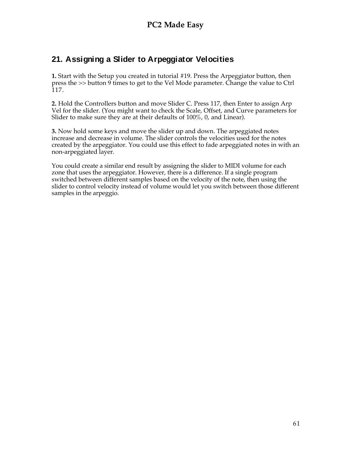## **21. Assigning a Slider to Arpeggiator Velocities**

**1.** Start with the Setup you created in tutorial #19. Press the Arpeggiator button, then press the >> button 9 times to get to the Vel Mode parameter. Change the value to Ctrl 117.

**2.** Hold the Controllers button and move Slider C. Press 117, then Enter to assign Arp Vel for the slider. (You might want to check the Scale, Offset, and Curve parameters for Slider to make sure they are at their defaults of 100%, 0, and Linear).

**3.** Now hold some keys and move the slider up and down. The arpeggiated notes increase and decrease in volume. The slider controls the velocities used for the notes created by the arpeggiator. You could use this effect to fade arpeggiated notes in with an non-arpeggiated layer.

You could create a similar end result by assigning the slider to MIDI volume for each zone that uses the arpeggiator. However, there is a difference. If a single program switched between different samples based on the velocity of the note, then using the slider to control velocity instead of volume would let you switch between those different samples in the arpeggio.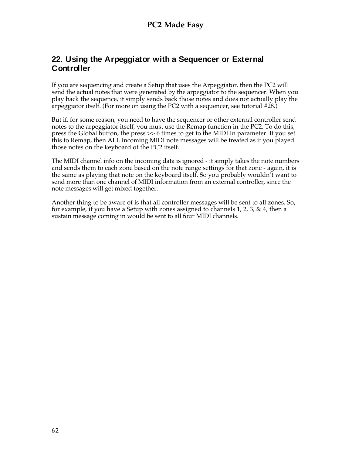#### **22. Using the Arpeggiator with a Sequencer or External Controller**

If you are sequencing and create a Setup that uses the Arpeggiator, then the PC2 will send the actual notes that were generated by the arpeggiator to the sequencer. When you play back the sequence, it simply sends back those notes and does not actually play the arpeggiator itself. (For more on using the PC2 with a sequencer, see tutorial #28.)

But if, for some reason, you need to have the sequencer or other external controller send notes to the arpeggiator itself, you must use the Remap function in the PC2. To do this, press the Global button, the press >> 6 times to get to the MIDI In parameter. If you set this to Remap, then ALL incoming MIDI note messages will be treated as if you played those notes on the keyboard of the PC2 itself.

The MIDI channel info on the incoming data is ignored - it simply takes the note numbers and sends them to each zone based on the note range settings for that zone - again, it is the same as playing that note on the keyboard itself. So you probably wouldn't want to send more than one channel of MIDI information from an external controller, since the note messages will get mixed together.

Another thing to be aware of is that all controller messages will be sent to all zones. So, for example, if you have a Setup with zones assigned to channels 1, 2, 3,  $\&$  4, then a sustain message coming in would be sent to all four MIDI channels.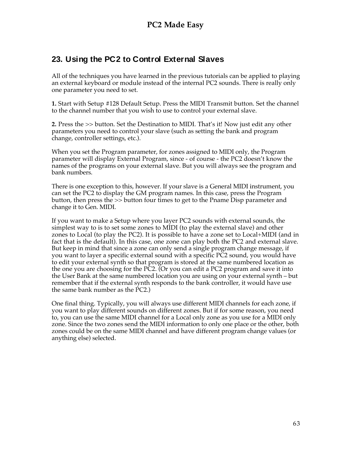## **23. Using the PC2 to Control External Slaves**

All of the techniques you have learned in the previous tutorials can be applied to playing an external keyboard or module instead of the internal PC2 sounds. There is really only one parameter you need to set.

**1.** Start with Setup #128 Default Setup. Press the MIDI Transmit button. Set the channel to the channel number that you wish to use to control your external slave.

**2.** Press the >> button. Set the Destination to MIDI. That's it! Now just edit any other parameters you need to control your slave (such as setting the bank and program change, controller settings, etc.).

When you set the Program parameter, for zones assigned to MIDI only, the Program parameter will display External Program, since - of course - the PC2 doesn't know the names of the programs on your external slave. But you will always see the program and bank numbers.

There is one exception to this, however. If your slave is a General MIDI instrument, you can set the PC2 to display the GM program names. In this case, press the Program button, then press the >> button four times to get to the Pname Disp parameter and change it to Gen. MIDI.

If you want to make a Setup where you layer PC2 sounds with external sounds, the simplest way to is to set some zones to MIDI (to play the external slave) and other zones to Local (to play the PC2). It is possible to have a zone set to Local+MIDI (and in fact that is the default). In this case, one zone can play both the PC2 and external slave. But keep in mind that since a zone can only send a single program change message, if you want to layer a specific external sound with a specific PC2 sound, you would have to edit your external synth so that program is stored at the same numbered location as the one you are choosing for the PC2. (Or you can edit a PC2 program and save it into the User Bank at the same numbered location you are using on your external synth – but remember that if the external synth responds to the bank controller, it would have use the same bank number as the PC2.)

One final thing. Typically, you will always use different MIDI channels for each zone, if you want to play different sounds on different zones. But if for some reason, you need to, you can use the same MIDI channel for a Local only zone as you use for a MIDI only zone. Since the two zones send the MIDI information to only one place or the other, both zones could be on the same MIDI channel and have different program change values (or anything else) selected.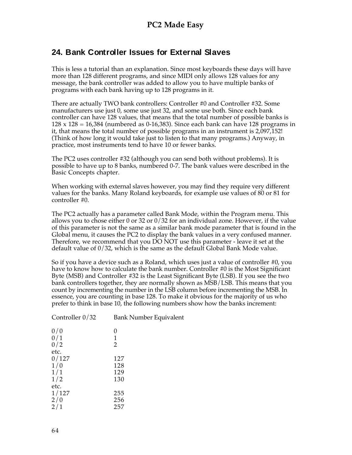### **24. Bank Controller Issues for External Slaves**

This is less a tutorial than an explanation. Since most keyboards these days will have more than 128 different programs, and since MIDI only allows 128 values for any message, the bank controller was added to allow you to have multiple banks of programs with each bank having up to 128 programs in it.

There are actually TWO bank controllers: Controller #0 and Controller #32. Some manufacturers use just 0, some use just 32, and some use both. Since each bank controller can have 128 values, that means that the total number of possible banks is  $128 \times 128 = 16,384$  (numbered as 0-16,383). Since each bank can have 128 programs in it, that means the total number of possible programs in an instrument is 2,097,152! (Think of how long it would take just to listen to that many programs.) Anyway, in practice, most instruments tend to have 10 or fewer banks.

The PC2 uses controller #32 (although you can send both without problems). It is possible to have up to 8 banks, numbered 0-7. The bank values were described in the Basic Concepts chapter.

When working with external slaves however, you may find they require very different values for the banks. Many Roland keyboards, for example use values of 80 or 81 for controller #0.

The PC2 actually has a parameter called Bank Mode, within the Program menu. This allows you to chose either 0 or 32 or  $0/32$  for an individual zone. However, if the value of this parameter is not the same as a similar bank mode parameter that is found in the Global menu, it causes the PC2 to display the bank values in a very confused manner. Therefore, we recommend that you DO NOT use this parameter - leave it set at the default value of 0/32, which is the same as the default Global Bank Mode value.

So if you have a device such as a Roland, which uses just a value of controller #0, you have to know how to calculate the bank number. Controller #0 is the Most Significant Byte (MSB) and Controller #32 is the Least Significant Byte (LSB). If you see the two bank controllers together, they are normally shown as MSB/LSB. This means that you count by incrementing the number in the LSB column before incrementing the MSB. In essence, you are counting in base 128. To make it obvious for the majority of us who prefer to think in base 10, the following numbers show how the banks increment:

| Controller $0/32$ | Bank Number Equivalent |
|-------------------|------------------------|
| 0/0               | 0                      |
| 0/1               | 1                      |
| 0/2               | 2                      |
| etc.              |                        |
| 0/127             | 127                    |
| 1/0               | 128                    |
| 1/1               | 129                    |
| 1/2               | 130                    |
| etc.              |                        |
| 1/127             | 255                    |
| 2/0               | 256                    |
| 2/1               | 257                    |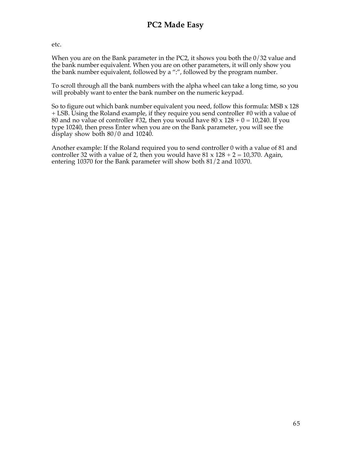etc.

When you are on the Bank parameter in the PC2, it shows you both the 0/32 value and the bank number equivalent. When you are on other parameters, it will only show you the bank number equivalent, followed by a ":", followed by the program number.

To scroll through all the bank numbers with the alpha wheel can take a long time, so you will probably want to enter the bank number on the numeric keypad.

So to figure out which bank number equivalent you need, follow this formula: MSB  $\times$  128 + LSB. Using the Roland example, if they require you send controller #0 with a value of 80 and no value of controller  $\frac{2}{3}$ , then you would have 80 x 128 + 0 = 10,240. If you type 10240, then press Enter when you are on the Bank parameter, you will see the display show both 80/0 and 10240.

Another example: If the Roland required you to send controller 0 with a value of 81 and controller 32 with a value of 2, then you would have  $81 \times 128 + 2 = 10,370$ . Again, entering 10370 for the Bank parameter will show both 81/2 and 10370.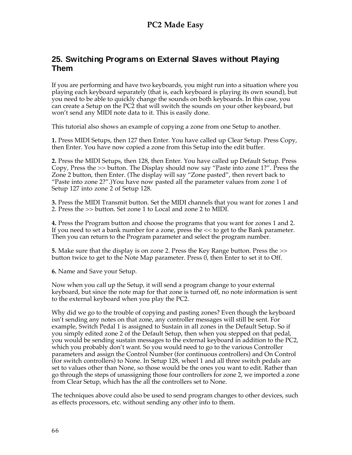#### **25. Switching Programs on External Slaves without Playing Them**

If you are performing and have two keyboards, you might run into a situation where you playing each keyboard separately (that is, each keyboard is playing its own sound), but you need to be able to quickly change the sounds on both keyboards. In this case, you can create a Setup on the PC2 that will switch the sounds on your other keyboard, but won't send any MIDI note data to it. This is easily done.

This tutorial also shows an example of copying a zone from one Setup to another.

**1.** Press MIDI Setups, then 127 then Enter. You have called up Clear Setup. Press Copy, then Enter. You have now copied a zone from this Setup into the edit buffer.

**2.** Press the MIDI Setups, then 128, then Enter. You have called up Default Setup. Press Copy, Press the >> button. The Display should now say "Paste into zone 1?". Press the Zone 2 button, then Enter. (The display will say "Zone pasted", then revert back to "Paste into zone 2?".)You have now pasted all the parameter values from zone 1 of Setup 127 into zone 2 of Setup 128.

**3.** Press the MIDI Transmit button. Set the MIDI channels that you want for zones 1 and 2. Press the >> button. Set zone 1 to Local and zone 2 to MIDI.

**4.** Press the Program button and choose the programs that you want for zones 1 and 2. If you need to set a bank number for a zone, press the << to get to the Bank parameter. Then you can return to the Program parameter and select the program number.

**5.** Make sure that the display is on zone 2. Press the Key Range button. Press the >> button twice to get to the Note Map parameter. Press 0, then Enter to set it to Off.

**6.** Name and Save your Setup.

Now when you call up the Setup, it will send a program change to your external keyboard, but since the note map for that zone is turned off, no note information is sent to the external keyboard when you play the PC2.

Why did we go to the trouble of copying and pasting zones? Even though the keyboard isn't sending any notes on that zone, any controller messages will still be sent. For example, Switch Pedal 1 is assigned to Sustain in all zones in the Default Setup. So if you simply edited zone 2 of the Default Setup, then when you stepped on that pedal, you would be sending sustain messages to the external keyboard in addition to the PC2, which you probably don't want. So you would need to go to the various Controller parameters and assign the Control Number (for continuous controllers) and On Control (for switch controllers) to None. In Setup 128, wheel 1 and all three switch pedals are set to values other than None, so those would be the ones you want to edit. Rather than go through the steps of unassigning those four controllers for zone 2, we imported a zone from Clear Setup, which has the all the controllers set to None.

The techniques above could also be used to send program changes to other devices, such as effects processors, etc. without sending any other info to them.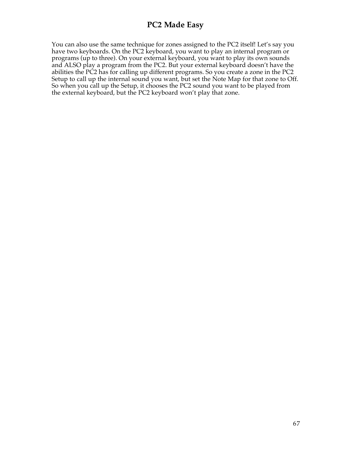You can also use the same technique for zones assigned to the PC2 itself! Let's say you have two keyboards. On the PC2 keyboard, you want to play an internal program or programs (up to three). On your external keyboard, you want to play its own sounds and ALSO play a program from the PC2. But your external keyboard doesn't have the abilities the PC2 has for calling up different programs. So you create a zone in the PC2 Setup to call up the internal sound you want, but set the Note Map for that zone to Off. So when you call up the Setup, it chooses the PC2 sound you want to be played from the external keyboard, but the PC2 keyboard won't play that zone.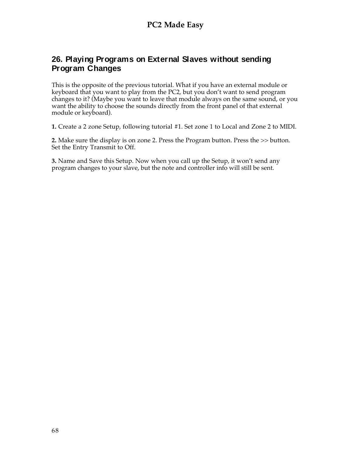#### **26. Playing Programs on External Slaves without sending Program Changes**

This is the opposite of the previous tutorial. What if you have an external module or keyboard that you want to play from the PC2, but you don't want to send program changes to it? (Maybe you want to leave that module always on the same sound, or you want the ability to choose the sounds directly from the front panel of that external module or keyboard).

**1.** Create a 2 zone Setup, following tutorial #1. Set zone 1 to Local and Zone 2 to MIDI.

**2.** Make sure the display is on zone 2. Press the Program button. Press the >> button. Set the Entry Transmit to Off.

**3.** Name and Save this Setup. Now when you call up the Setup, it won't send any program changes to your slave, but the note and controller info will still be sent.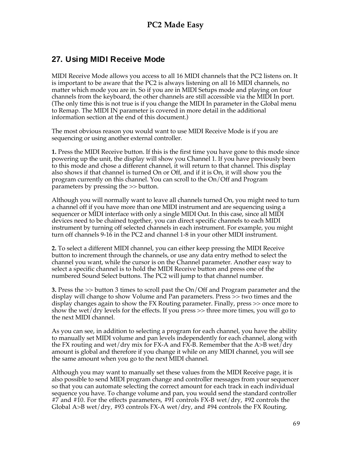# **27. Using MIDI Receive Mode**

MIDI Receive Mode allows you access to all 16 MIDI channels that the PC2 listens on. It is important to be aware that the PC2 is always listening on all 16 MIDI channels, no matter which mode you are in. So if you are in MIDI Setups mode and playing on four channels from the keyboard, the other channels are still accessible via the MIDI In port. (The only time this is not true is if you change the MIDI In parameter in the Global menu to Remap. The MIDI IN parameter is covered in more detail in the additional information section at the end of this document.)

The most obvious reason you would want to use MIDI Receive Mode is if you are sequencing or using another external controller.

**1.** Press the MIDI Receive button. If this is the first time you have gone to this mode since powering up the unit, the display will show you Channel 1. If you have previously been to this mode and chose a different channel, it will return to that channel. This display also shows if that channel is turned On or Off, and if it is On, it will show you the program currently on this channel. You can scroll to the On/Off and Program parameters by pressing the >> button.

Although you will normally want to leave all channels turned On, you might need to turn a channel off if you have more than one MIDI instrument and are sequencing using a sequencer or MIDI interface with only a single MIDI Out. In this case, since all MIDI devices need to be chained together, you can direct specific channels to each MIDI instrument by turning off selected channels in each instrument. For example, you might turn off channels 9-16 in the PC2 and channel 1-8 in your other MIDI instrument.

**2.** To select a different MIDI channel, you can either keep pressing the MIDI Receive button to increment through the channels, or use any data entry method to select the channel you want, while the cursor is on the Channel parameter. Another easy way to select a specific channel is to hold the MIDI Receive button and press one of the numbered Sound Select buttons. The PC2 will jump to that channel number.

**3.** Press the >> button 3 times to scroll past the On/Off and Program parameter and the display will change to show Volume and Pan parameters. Press >> two times and the display changes again to show the FX Routing parameter. Finally, press >> once more to show the wet/dry levels for the effects. If you press >> three more times, you will go to the next MIDI channel.

As you can see, in addition to selecting a program for each channel, you have the ability to manually set MIDI volume and pan levels independently for each channel, along with the FX routing and wet/dry mix for FX-A and FX-B. Remember that the A $>$ B wet/dry amount is global and therefore if you change it while on any MIDI channel, you will see the same amount when you go to the next MIDI channel.

Although you may want to manually set these values from the MIDI Receive page, it is also possible to send MIDI program change and controller messages from your sequencer so that you can automate selecting the correct amount for each track in each individual sequence you have. To change volume and pan, you would send the standard controller #7 and #10. For the effects parameters, #91 controls FX-B wet/dry, #92 controls the Global A>B wet/dry, #93 controls FX-A wet/dry, and #94 controls the FX Routing.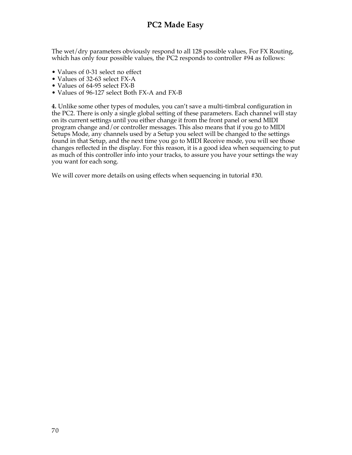The wet/dry parameters obviously respond to all 128 possible values, For FX Routing, which has only four possible values, the PC2 responds to controller #94 as follows:

- Values of 0-31 select no effect
- Values of 32-63 select FX-A
- Values of 64-95 select FX-B
- Values of 96-127 select Both FX-A and FX-B

**4.** Unlike some other types of modules, you can't save a multi-timbral configuration in the PC2. There is only a single global setting of these parameters. Each channel will stay on its current settings until you either change it from the front panel or send MIDI program change and/or controller messages. This also means that if you go to MIDI Setups Mode, any channels used by a Setup you select will be changed to the settings found in that Setup, and the next time you go to MIDI Receive mode, you will see those changes reflected in the display. For this reason, it is a good idea when sequencing to put as much of this controller info into your tracks, to assure you have your settings the way you want for each song.

We will cover more details on using effects when sequencing in tutorial #30.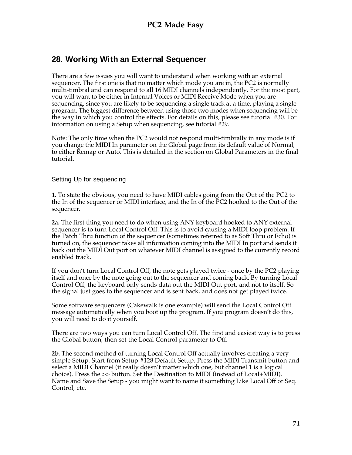### **28. Working With an External Sequencer**

There are a few issues you will want to understand when working with an external sequencer. The first one is that no matter which mode you are in, the PC2 is normally multi-timbral and can respond to all 16 MIDI channels independently. For the most part, you will want to be either in Internal Voices or MIDI Receive Mode when you are sequencing, since you are likely to be sequencing a single track at a time, playing a single program. The biggest difference between using those two modes when sequencing will be the way in which you control the effects. For details on this, please see tutorial #30. For information on using a Setup when sequencing, see tutorial #29.

Note: The only time when the PC2 would not respond multi-timbrally in any mode is if you change the MIDI In parameter on the Global page from its default value of Normal, to either Remap or Auto. This is detailed in the section on Global Parameters in the final tutorial.

#### Setting Up for sequencing

**1.** To state the obvious, you need to have MIDI cables going from the Out of the PC2 to the In of the sequencer or MIDI interface, and the In of the PC2 hooked to the Out of the sequencer.

**2a.** The first thing you need to do when using ANY keyboard hooked to ANY external sequencer is to turn Local Control Off. This is to avoid causing a MIDI loop problem. If the Patch Thru function of the sequencer (sometimes referred to as Soft Thru or Echo) is turned on, the sequencer takes all information coming into the MIDI In port and sends it back out the MIDI Out port on whatever MIDI channel is assigned to the currently record enabled track.

If you don't turn Local Control Off, the note gets played twice - once by the PC2 playing itself and once by the note going out to the sequencer and coming back. By turning Local Control Off, the keyboard only sends data out the MIDI Out port, and not to itself. So the signal just goes to the sequencer and is sent back, and does not get played twice.

Some software sequencers (Cakewalk is one example) will send the Local Control Off message automatically when you boot up the program. If you program doesn't do this, you will need to do it yourself.

There are two ways you can turn Local Control Off. The first and easiest way is to press the Global button, then set the Local Control parameter to Off.

**2b.** The second method of turning Local Control Off actually involves creating a very simple Setup. Start from Setup #128 Default Setup. Press the MIDI Transmit button and select a MIDI Channel (it really doesn't matter which one, but channel 1 is a logical choice). Press the >> button. Set the Destination to MIDI (instead of Local+MIDI). Name and Save the Setup - you might want to name it something Like Local Off or Seq. Control, etc.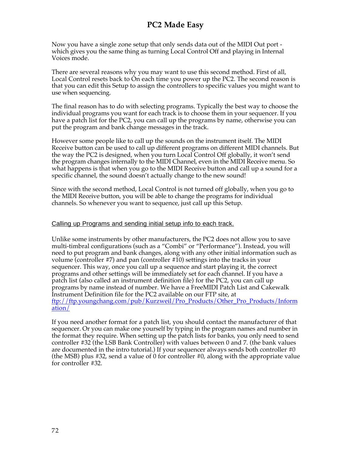Now you have a single zone setup that only sends data out of the MIDI Out port which gives you the same thing as turning Local Control Off and playing in Internal Voices mode.

There are several reasons why you may want to use this second method. First of all, Local Control resets back to On each time you power up the PC2. The second reason is that you can edit this Setup to assign the controllers to specific values you might want to use when sequencing.

The final reason has to do with selecting programs. Typically the best way to choose the individual programs you want for each track is to choose them in your sequencer. If you have a patch list for the PC2, you can call up the programs by name, otherwise you can put the program and bank change messages in the track.

However some people like to call up the sounds on the instrument itself. The MIDI Receive button can be used to call up different programs on different MIDI channels. But the way the PC2 is designed, when you turn Local Control Off globally, it won't send the program changes internally to the MIDI Channel, even in the MIDI Receive menu. So what happens is that when you go to the MIDI Receive button and call up a sound for a specific channel, the sound doesn't actually change to the new sound!

Since with the second method, Local Control is not turned off globally, when you go to the MIDI Receive button, you will be able to change the programs for individual channels. So whenever you want to sequence, just call up this Setup.

#### Calling up Programs and sending initial setup info to each track.

Unlike some instruments by other manufacturers, the PC2 does not allow you to save multi-timbral configurations (such as a "Combi" or "Performance"). Instead, you will need to put program and bank changes, along with any other initial information such as volume (controller #7) and pan (controller #10) settings into the tracks in your sequencer. This way, once you call up a sequence and start playing it, the correct programs and other settings will be immediately set for each channel. If you have a patch list (also called an instrument definition file) for the PC2, you can call up programs by name instead of number. We have a FreeMIDI Patch List and Cakewalk Instrument Definition file for the PC2 available on our FTP site, at ftp://ftp.youngchang.com/pub/Kurzweil/Pro\_Products/Other\_Pro\_Products/Inform ation/

If you need another format for a patch list, you should contact the manufacturer of that sequencer. Or you can make one yourself by typing in the program names and number in the format they require. When setting up the patch lists for banks, you only need to send controller #32 (the LSB Bank Controller) with values between 0 and 7. (the bank values are documented in the intro tutorial.) If your sequencer always sends both controller  $\#0$ (the MSB) plus #32, send a value of 0 for controller #0, along with the appropriate value for controller #32.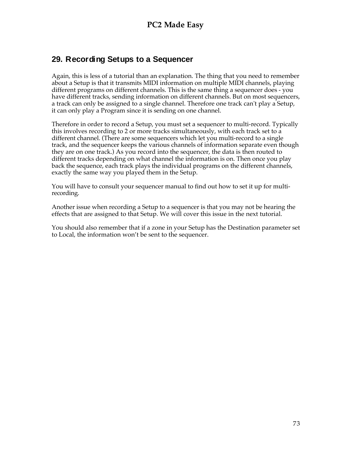### **29. Recording Setups to a Sequencer**

Again, this is less of a tutorial than an explanation. The thing that you need to remember about a Setup is that it transmits MIDI information on multiple MIDI channels, playing different programs on different channels. This is the same thing a sequencer does - you have different tracks, sending information on different channels. But on most sequencers, a track can only be assigned to a single channel. Therefore one track can't play a Setup, it can only play a Program since it is sending on one channel.

Therefore in order to record a Setup, you must set a sequencer to multi-record. Typically this involves recording to 2 or more tracks simultaneously, with each track set to a different channel. (There are some sequencers which let you multi-record to a single track, and the sequencer keeps the various channels of information separate even though they are on one track.) As you record into the sequencer, the data is then routed to different tracks depending on what channel the information is on. Then once you play back the sequence, each track plays the individual programs on the different channels, exactly the same way you played them in the Setup.

You will have to consult your sequencer manual to find out how to set it up for multirecording.

Another issue when recording a Setup to a sequencer is that you may not be hearing the effects that are assigned to that Setup. We will cover this issue in the next tutorial.

You should also remember that if a zone in your Setup has the Destination parameter set to Local, the information won't be sent to the sequencer.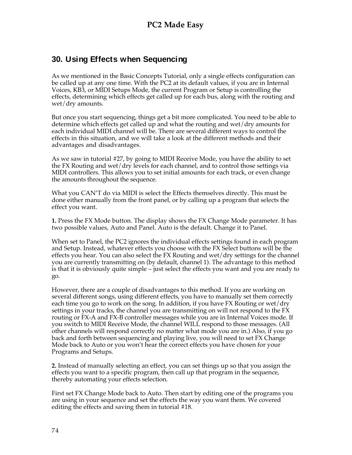### **30. Using Effects when Sequencing**

As we mentioned in the Basic Concepts Tutorial, only a single effects configuration can be called up at any one time. With the PC2 at its default values, if you are in Internal Voices, KB3, or MIDI Setups Mode, the current Program or Setup is controlling the effects, determining which effects get called up for each bus, along with the routing and wet/dry amounts.

But once you start sequencing, things get a bit more complicated. You need to be able to determine which effects get called up and what the routing and wet/dry amounts for each individual MIDI channel will be. There are several different ways to control the effects in this situation, and we will take a look at the different methods and their advantages and disadvantages.

As we saw in tutorial #27, by going to MIDI Receive Mode, you have the ability to set the FX Routing and wet/dry levels for each channel, and to control those settings via MIDI controllers. This allows you to set initial amounts for each track, or even change the amounts throughout the sequence.

What you CAN'T do via MIDI is select the Effects themselves directly. This must be done either manually from the front panel, or by calling up a program that selects the effect you want.

**1.** Press the FX Mode button. The display shows the FX Change Mode parameter. It has two possible values, Auto and Panel. Auto is the default. Change it to Panel.

When set to Panel, the PC2 ignores the individual effects settings found in each program and Setup. Instead, whatever effects you choose with the FX Select buttons will be the effects you hear. You can also select the FX Routing and wet/dry settings for the channel you are currently transmitting on (by default, channel 1). The advantage to this method is that it is obviously quite simple – just select the effects you want and you are ready to go.

However, there are a couple of disadvantages to this method. If you are working on several different songs, using different effects, you have to manually set them correctly each time you go to work on the song. In addition, if you have FX Routing or wet/dry settings in your tracks, the channel you are transmitting on will not respond to the FX routing or FX-A and FX-B controller messages while you are in Internal Voices mode. If you switch to MIDI Receive Mode, the channel WILL respond to those messages. (All other channels will respond correctly no matter what mode you are in.) Also, if you go back and forth between sequencing and playing live, you will need to set FX Change Mode back to Auto or you won't hear the correct effects you have chosen for your Programs and Setups.

**2.** Instead of manually selecting an effect, you can set things up so that you assign the effects you want to a specific program, then call up that program in the sequence, thereby automating your effects selection.

First set FX Change Mode back to Auto. Then start by editing one of the programs you are using in your sequence and set the effects the way you want them. We covered editing the effects and saving them in tutorial #18.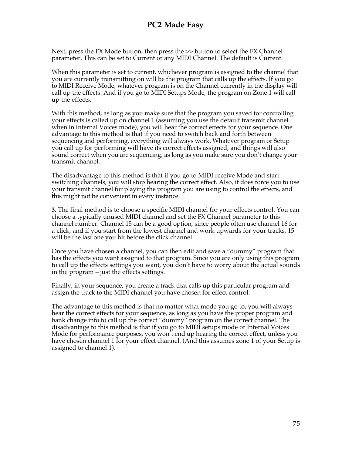Next, press the FX Mode button, then press the >> button to select the FX Channel parameter. This can be set to Current or any MIDI Channel. The default is Current.

When this parameter is set to current, whichever program is assigned to the channel that you are currently transmitting on will be the program that calls up the effects. If you go to MIDI Receive Mode, whatever program is on the Channel currently in the display will call up the effects. And if you go to MIDI Setups Mode, the program on Zone 1 will call up the effects.

With this method, as long as you make sure that the program you saved for controlling your effects is called up on channel 1 (assuming you use the default transmit channel when in Internal Voices mode), you will hear the correct effects for your sequence. One advantage to this method is that if you need to switch back and forth between sequencing and performing, everything will always work. Whatever program or Setup you call up for performing will have its correct effects assigned, and things will also sound correct when you are sequencing, as long as you make sure you don't change your transmit channel.

The disadvantage to this method is that if you go to MIDI receive Mode and start switching channels, you will stop hearing the correct effect. Also, it does force you to use your transmit channel for playing the program you are using to control the effects, and this might not be convenient in every instance.

**3.** The final method is to choose a specific MIDI channel for your effects control. You can choose a typically unused MIDI channel and set the FX Channel parameter to this channel number. Channel 15 can be a good option, since people often use channel 16 for a click, and if you start from the lowest channel and work upwards for your tracks, 15 will be the last one you hit before the click channel.

Once you have chosen a channel, you can then edit and save a "dummy" program that has the effects you want assigned to that program. Since you are only using this program to call up the effects settings you want, you don't have to worry about the actual sounds in the program – just the effects settings.

Finally, in your sequence, you create a track that calls up this particular program and assign the track to the MIDI channel you have chosen for effect control.

The advantage to this method is that no matter what mode you go to, you will always hear the correct effects for your sequence, as long as you have the proper program and bank change info to call up the correct "dummy" program on the correct channel. The disadvantage to this method is that if you go to MIDI setups mode or Internal Voices Mode for performance purposes, you won't end up hearing the correct effect, unless you have chosen channel 1 for your effect channel. (And this assumes zone 1 of your Setup is assigned to channel 1).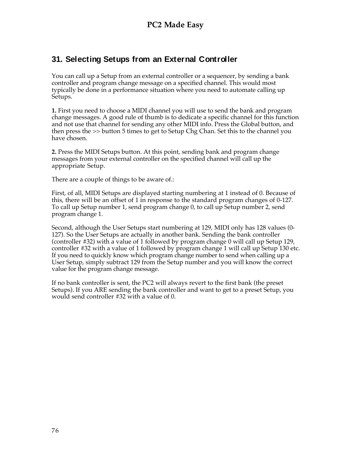## **31. Selecting Setups from an External Controller**

You can call up a Setup from an external controller or a sequencer, by sending a bank controller and program change message on a specified channel. This would most typically be done in a performance situation where you need to automate calling up Setups.

**1.** First you need to choose a MIDI channel you will use to send the bank and program change messages. A good rule of thumb is to dedicate a specific channel for this function and not use that channel for sending any other MIDI info. Press the Global button, and then press the >> button 5 times to get to Setup Chg Chan. Set this to the channel you have chosen.

**2.** Press the MIDI Setups button. At this point, sending bank and program change messages from your external controller on the specified channel will call up the appropriate Setup.

There are a couple of things to be aware of.:

First, of all, MIDI Setups are displayed starting numbering at 1 instead of 0. Because of this, there will be an offset of 1 in response to the standard program changes of 0-127. To call up Setup number 1, send program change 0, to call up Setup number 2, send program change 1.

Second, although the User Setups start numbering at 129, MIDI only has 128 values (0- 127). So the User Setups are actually in another bank. Sending the bank controller (controller #32) with a value of 1 followed by program change 0 will call up Setup 129, controller #32 with a value of 1 followed by program change 1 will call up Setup 130 etc. If you need to quickly know which program change number to send when calling up a User Setup, simply subtract 129 from the Setup number and you will know the correct value for the program change message.

If no bank controller is sent, the PC2 will always revert to the first bank (the preset Setups). If you ARE sending the bank controller and want to get to a preset Setup, you would send controller #32 with a value of 0.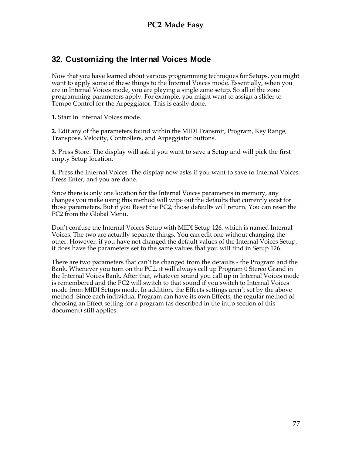### **32. Customizing the Internal Voices Mode**

Now that you have learned about various programming techniques for Setups, you might want to apply some of these things to the Internal Voices mode. Essentially, when you are in Internal Voices mode, you are playing a single zone setup. So all of the zone programming parameters apply. For example, you might want to assign a slider to Tempo Control for the Arpeggiator. This is easily done.

**1.** Start in Internal Voices mode.

**2.** Edit any of the parameters found within the MIDI Transmit, Program, Key Range, Transpose, Velocity, Controllers, and Arpeggiator buttons.

**3.** Press Store. The display will ask if you want to save a Setup and will pick the first empty Setup location.

**4.** Press the Internal Voices. The display now asks if you want to save to Internal Voices. Press Enter, and you are done.

Since there is only one location for the Internal Voices parameters in memory, any changes you make using this method will wipe out the defaults that currently exist for those parameters. But if you Reset the PC2, those defaults will return. You can reset the PC2 from the Global Menu.

Don't confuse the Internal Voices Setup with MIDI Setup 126, which is named Internal Voices. The two are actually separate things. You can edit one without changing the other. However, if you have not changed the default values of the Internal Voices Setup, it does have the parameters set to the same values that you will find in Setup 126.

There are two parameters that can't be changed from the defaults - the Program and the Bank. Whenever you turn on the PC2, it will always call up Program 0 Stereo Grand in the Internal Voices Bank. After that, whatever sound you call up in Internal Voices mode is remembered and the PC2 will switch to that sound if you switch to Internal Voices mode from MIDI Setups mode. In addition, the Effects settings aren't set by the above method. Since each individual Program can have its own Effects, the regular method of choosing an Effect setting for a program (as described in the intro section of this document) still applies.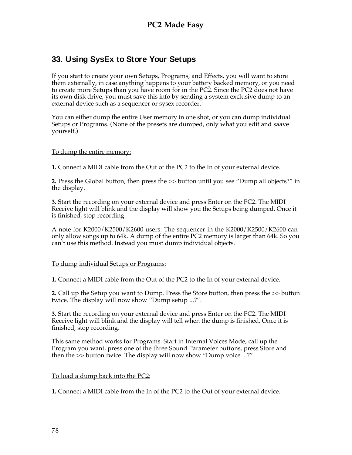## **33. Using SysEx to Store Your Setups**

If you start to create your own Setups, Programs, and Effects, you will want to store them externally, in case anything happens to your battery backed memory, or you need to create more Setups than you have room for in the PC2. Since the PC2 does not have its own disk drive, you must save this info by sending a system exclusive dump to an external device such as a sequencer or sysex recorder.

You can either dump the entire User memory in one shot, or you can dump individual Setups or Programs. (None of the presets are dumped, only what you edit and saave yourself.)

#### To dump the entire memory:

**1.** Connect a MIDI cable from the Out of the PC2 to the In of your external device.

**2.** Press the Global button, then press the >> button until you see "Dump all objects?" in the display.

**3.** Start the recording on your external device and press Enter on the PC2. The MIDI Receive light will blink and the display will show you the Setups being dumped. Once it is finished, stop recording.

A note for K2000/K2500/K2600 users: The sequencer in the K2000/K2500/K2600 can only allow songs up to 64k. A dump of the entire PC2 memory is larger than 64k. So you can't use this method. Instead you must dump individual objects.

#### To dump individual Setups or Programs:

**1.** Connect a MIDI cable from the Out of the PC2 to the In of your external device.

**2.** Call up the Setup you want to Dump. Press the Store button, then press the >> button twice. The display will now show "Dump setup ...?".

**3.** Start the recording on your external device and press Enter on the PC2. The MIDI Receive light will blink and the display will tell when the dump is finished. Once it is finished, stop recording.

This same method works for Programs. Start in Internal Voices Mode, call up the Program you want, press one of the three Sound Parameter buttons, press Store and then the >> button twice. The display will now show "Dump voice ...?".

#### To load a dump back into the PC2:

**1.** Connect a MIDI cable from the In of the PC2 to the Out of your external device.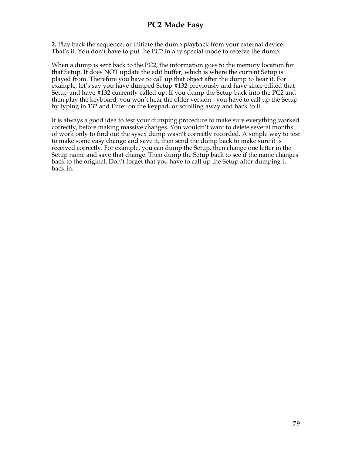**2.** Play back the sequence, or initiate the dump playback from your external device. That's it. You don't have to put the PC2 in any special mode to receive the dump.

When a dump is sent back to the PC2, the information goes to the memory location for that Setup. It does NOT update the edit buffer, which is where the current Setup is played from. Therefore you have to call up that object after the dump to hear it. For example, let's say you have dumped Setup #132 previously and have since edited that Setup and have #132 currently called up. If you dump the Setup back into the PC2 and then play the keyboard, you won't hear the older version - you have to call up the Setup by typing in 132 and Enter on the keypad, or scrolling away and back to it.

It is always a good idea to test your dumping procedure to make sure everything worked correctly, before making massive changes. You wouldn't want to delete several months of work only to find out the sysex dump wasn't correctly recorded. A simple way to test to make some easy change and save it, then send the dump back to make sure it is received correctly. For example, you can dump the Setup, then change one letter in the Setup name and save that change. Then dump the Setup back to see if the name changes back to the original. Don't forget that you have to call up the Setup after dumping it back in.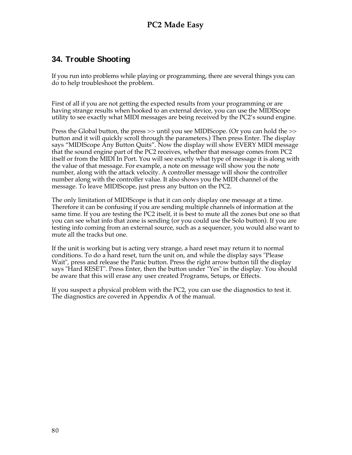## **34. Trouble Shooting**

If you run into problems while playing or programming, there are several things you can do to help troubleshoot the problem.

First of all if you are not getting the expected results from your programming or are having strange results when hooked to an external device, you can use the MIDIScope utility to see exactly what MIDI messages are being received by the PC2's sound engine.

Press the Global button, the press >> until you see MIDIScope. (Or you can hold the >> button and it will quickly scroll through the parameters.) Then press Enter. The display says "MIDIScope Any Button Quits". Now the display will show EVERY MIDI message that the sound engine part of the PC2 receives, whether that message comes from PC2 itself or from the MIDI In Port. You will see exactly what type of message it is along with the value of that message. For example, a note on message will show you the note number, along with the attack velocity. A controller message will show the controller number along with the controller value. It also shows you the MIDI channel of the message. To leave MIDIScope, just press any button on the PC2.

The only limitation of MIDIScope is that it can only display one message at a time. Therefore it can be confusing if you are sending multiple channels of information at the same time. If you are testing the PC2 itself, it is best to mute all the zones but one so that you can see what info that zone is sending (or you could use the Solo button). If you are testing info coming from an external source, such as a sequencer, you would also want to mute all the tracks but one.

If the unit is working but is acting very strange, a hard reset may return it to normal conditions. To do a hard reset, turn the unit on, and while the display says "Please Wait", press and release the Panic button. Press the right arrow button till the display says "Hard RESET". Press Enter, then the button under "Yes" in the display. You should be aware that this will erase any user created Programs, Setups, or Effects.

If you suspect a physical problem with the PC2, you can use the diagnostics to test it. The diagnostics are covered in Appendix A of the manual.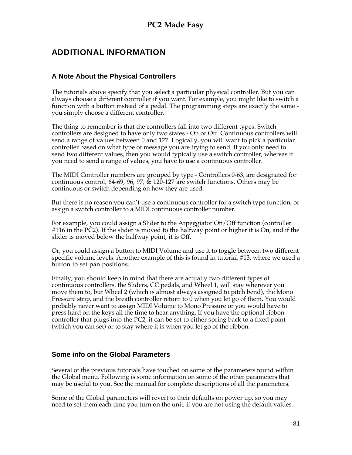# **ADDITIONAL INFORMATION**

### **A Note About the Physical Controllers**

The tutorials above specify that you select a particular physical controller. But you can always choose a different controller if you want. For example, you might like to switch a function with a button instead of a pedal. The programming steps are exactly the same you simply choose a different controller.

The thing to remember is that the controllers fall into two different types. Switch controllers are designed to have only two states - On or Off. Continuous controllers will send a range of values between 0 and 127. Logically, you will want to pick a particular controller based on what type of message you are trying to send. If you only need to send two different values, then you would typically use a switch controller, whereas if you need to send a range of values, you have to use a continuous controller.

The MIDI Controller numbers are grouped by type - Controllers 0-63, are designated for continuous control, 64-69, 96, 97, & 120-127 are switch functions. Others may be continuous or switch depending on how they are used.

But there is no reason you can't use a continuous controller for a switch type function, or assign a switch controller to a MIDI continuous controller number.

For example, you could assign a Slider to the Arpeggiator On/Off function (controller #116 in the PC2). If the slider is moved to the halfway point or higher it is On, and if the slider is moved below the halfway point, it is Off.

Or, you could assign a button to MIDI Volume and use it to toggle between two different specific volume levels. Another example of this is found in tutorial #13, where we used a button to set pan positions.

Finally, you should keep in mind that there are actually two different types of continuous controllers. the Sliders, CC pedals, and Wheel 1, will stay wherever you move them to, but Wheel 2 (which is almost always assigned to pitch bend), the Mono Pressure strip, and the breath controller return to 0 when you let go of them. You would probably never want to assign MIDI Volume to Mono Pressure or you would have to press hard on the keys all the time to hear anything. If you have the optional ribbon controller that plugs into the PC2, it can be set to either spring back to a fixed point (which you can set) or to stay where it is when you let go of the ribbon.

### **Some info on the Global Parameters**

Several of the previous tutorials have touched on some of the parameters found within the Global menu. Following is some information on some of the other parameters that may be useful to you. See the manual for complete descriptions of all the parameters.

Some of the Global parameters will revert to their defaults on power up, so you may need to set them each time you turn on the unit, if you are not using the default values.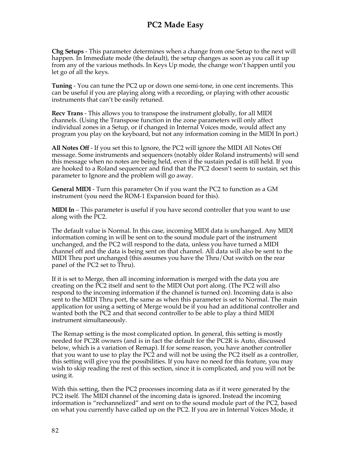**Chg Setups** - This parameter determines when a change from one Setup to the next will happen. In Immediate mode (the default), the setup changes as soon as you call it up from any of the various methods. In Keys Up mode, the change won't happen until you let go of all the keys.

**Tuning** - You can tune the PC2 up or down one semi-tone, in one cent increments. This can be useful if you are playing along with a recording, or playing with other acoustic instruments that can't be easily retuned.

**Recv Trans** - This allows you to transpose the instrument globally, for all MIDI channels. (Using the Transpose function in the zone parameters will only affect individual zones in a Setup, or if changed in Internal Voices mode, would affect any program you play on the keyboard, but not any information coming in the MIDI In port.)

**All Notes Off** - If you set this to Ignore, the PC2 will ignore the MIDI All Notes Off message. Some instruments and sequencers (notably older Roland instruments) will send this message when no notes are being held, even if the sustain pedal is still held. If you are hooked to a Roland sequencer and find that the PC2 doesn't seem to sustain, set this parameter to Ignore and the problem will go away.

**General MIDI** - Turn this parameter On if you want the PC2 to function as a GM instrument (you need the ROM-1 Expansion board for this).

**MIDI In** – This parameter is useful if you have second controller that you want to use along with the PC2.

The default value is Normal. In this case, incoming MIDI data is unchanged. Any MIDI information coming in will be sent on to the sound module part of the instrument unchanged, and the PC2 will respond to the data, unless you have turned a MIDI channel off and the data is being sent on that channel. All data will also be sent to the MIDI Thru port unchanged (this assumes you have the Thru/Out switch on the rear panel of the PC2 set to Thru).

If it is set to Merge, then all incoming information is merged with the data you are creating on the PC2 itself and sent to the MIDI Out port along. (The PC2 will also respond to the incoming information if the channel is turned on). Incoming data is also sent to the MIDI Thru port, the same as when this parameter is set to Normal. The main application for using a setting of Merge would be if you had an additional controller and wanted both the PC2 and that second controller to be able to play a third MIDI instrument simultaneously.

The Remap setting is the most complicated option. In general, this setting is mostly needed for PC2R owners (and is in fact the default for the PC2R is Auto, discussed below, which is a variation of Remap). If for some reason, you have another controller that you want to use to play the PC2 and will not be using the PC2 itself as a controller, this setting will give you the possibilities. If you have no need for this feature, you may wish to skip reading the rest of this section, since it is complicated, and you will not be using it.

With this setting, then the PC2 processes incoming data as if it were generated by the PC2 itself. The MIDI channel of the incoming data is ignored. Instead the incoming information is "rechannelized" and sent on to the sound module part of the PC2, based on what you currently have called up on the PC2. If you are in Internal Voices Mode, it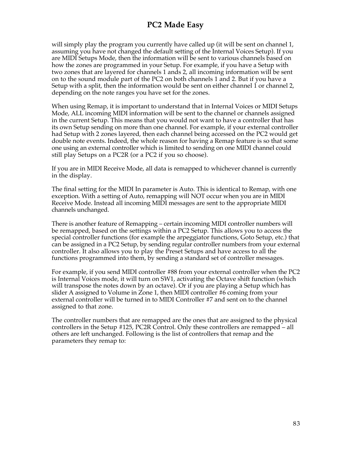will simply play the program you currently have called up (it will be sent on channel 1, assuming you have not changed the default setting of the Internal Voices Setup). If you are MIDI Setups Mode, then the information will be sent to various channels based on how the zones are programmed in your Setup. For example, if you have a Setup with two zones that are layered for channels 1 ands 2, all incoming information will be sent on to the sound module part of the PC2 on both channels 1 and 2. But if you have a Setup with a split, then the information would be sent on either channel 1 or channel 2, depending on the note ranges you have set for the zones.

When using Remap, it is important to understand that in Internal Voices or MIDI Setups Mode, ALL incoming MIDI information will be sent to the channel or channels assigned in the current Setup. This means that you would not want to have a controller that has its own Setup sending on more than one channel. For example, if your external controller had Setup with 2 zones layered, then each channel being accessed on the PC2 would get double note events. Indeed, the whole reason for having a Remap feature is so that some one using an external controller which is limited to sending on one MIDI channel could still play Setups on a PC2R (or a PC2 if you so choose).

If you are in MIDI Receive Mode, all data is remapped to whichever channel is currently in the display.

The final setting for the MIDI In parameter is Auto. This is identical to Remap, with one exception. With a setting of Auto, remapping will NOT occur when you are in MIDI Receive Mode. Instead all incoming MIDI messages are sent to the appropriate MIDI channels unchanged.

There is another feature of Remapping – certain incoming MIDI controller numbers will be remapped, based on the settings within a PC2 Setup. This allows you to access the special controller functions (for example the arpeggiator functions, Goto Setup, etc.) that can be assigned in a PC2 Setup, by sending regular controller numbers from your external controller. It also allows you to play the Preset Setups and have access to all the functions programmed into them, by sending a standard set of controller messages.

For example, if you send MIDI controller #88 from your external controller when the PC2 is Internal Voices mode, it will turn on SW1, activating the Octave shift function (which will transpose the notes down by an octave). Or if you are playing a Setup which has slider A assigned to Volume in Zone 1, then MIDI controller #6 coming from your external controller will be turned in to MIDI Controller #7 and sent on to the channel assigned to that zone.

The controller numbers that are remapped are the ones that are assigned to the physical controllers in the Setup #125, PC2R Control. Only these controllers are remapped – all others are left unchanged. Following is the list of controllers that remap and the parameters they remap to: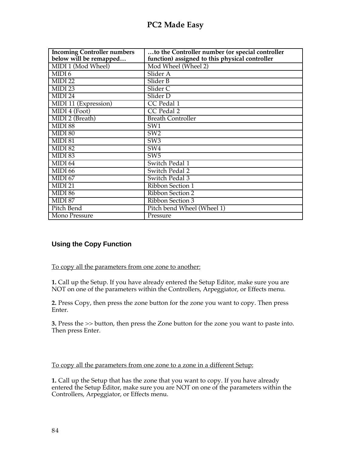| <b>Incoming Controller numbers</b> | to the Controller number (or special controller |
|------------------------------------|-------------------------------------------------|
| below will be remapped             | function) assigned to this physical controller  |
| MIDI 1 (Mod Wheel)                 | Mod Wheel (Wheel 2)                             |
| MIDI <sub>6</sub>                  | Slider A                                        |
| MIDI 22                            | Slider B                                        |
| MIDI 23                            | Slider <sub>C</sub>                             |
| MIDI 24                            | Slider D                                        |
| MIDI 11 (Expression)               | CC Pedal 1                                      |
| MIDI 4 (Foot)                      | CC Pedal 2                                      |
| MIDI 2 (Breath)                    | <b>Breath Controller</b>                        |
| MIDI 88                            | SW1                                             |
| MIDI 80                            | SW2                                             |
| MIDI 81                            | SW3                                             |
| MIDI 82                            | SW4                                             |
| MIDI 83                            | SW <sub>5</sub>                                 |
| MIDI 64                            | Switch Pedal 1                                  |
| MIDI 66                            | Switch Pedal 2                                  |
| MIDI 67                            | Switch Pedal 3                                  |
| MIDI 21                            | Ribbon Section 1                                |
| MIDI 86                            | Ribbon Section 2                                |
| MIDI 87                            | Ribbon Section 3                                |
| Pitch Bend                         | Pitch bend Wheel (Wheel 1)                      |
| Mono Pressure                      | Pressure                                        |

### **Using the Copy Function**

To copy all the parameters from one zone to another:

**1.** Call up the Setup. If you have already entered the Setup Editor, make sure you are NOT on one of the parameters within the Controllers, Arpeggiator, or Effects menu.

**2.** Press Copy, then press the zone button for the zone you want to copy. Then press Enter.

**3.** Press the >> button, then press the Zone button for the zone you want to paste into. Then press Enter.

To copy all the parameters from one zone to a zone in a different Setup:

**1.** Call up the Setup that has the zone that you want to copy. If you have already entered the Setup Editor, make sure you are NOT on one of the parameters within the Controllers, Arpeggiator, or Effects menu.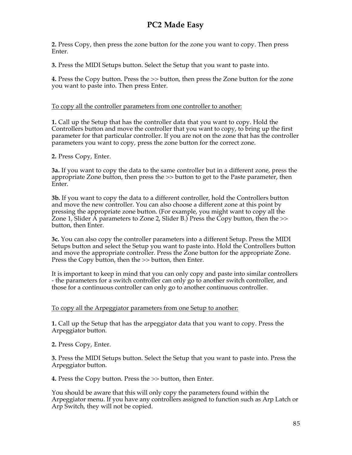**2.** Press Copy, then press the zone button for the zone you want to copy. Then press Enter.

**3.** Press the MIDI Setups button. Select the Setup that you want to paste into.

**4.** Press the Copy button. Press the >> button, then press the Zone button for the zone you want to paste into. Then press Enter.

### To copy all the controller parameters from one controller to another:

**1.** Call up the Setup that has the controller data that you want to copy. Hold the Controllers button and move the controller that you want to copy, to bring up the first parameter for that particular controller. If you are not on the zone that has the controller parameters you want to copy, press the zone button for the correct zone.

**2.** Press Copy, Enter.

**3a.** If you want to copy the data to the same controller but in a different zone, press the appropriate Zone button, then press the >> button to get to the Paste parameter, then Enter.

**3b.** If you want to copy the data to a different controller, hold the Controllers button and move the new controller. You can also choose a different zone at this point by pressing the appropriate zone button. (For example, you might want to copy all the Zone 1, Slider A parameters to Zone 2, Slider B.) Press the Copy button, then the >> button, then Enter.

**3c.** You can also copy the controller parameters into a different Setup. Press the MIDI Setups button and select the Setup you want to paste into. Hold the Controllers button and move the appropriate controller. Press the Zone button for the appropriate Zone. Press the Copy button, then the >> button, then Enter.

It is important to keep in mind that you can only copy and paste into similar controllers - the parameters for a switch controller can only go to another switch controller, and those for a continuous controller can only go to another continuous controller.

#### To copy all the Arpeggiator parameters from one Setup to another:

**1.** Call up the Setup that has the arpeggiator data that you want to copy. Press the Arpeggiator button.

**2.** Press Copy, Enter.

**3.** Press the MIDI Setups button. Select the Setup that you want to paste into. Press the Arpeggiator button.

**4.** Press the Copy button. Press the >> button, then Enter.

You should be aware that this will only copy the parameters found within the Arpeggiator menu. If you have any controllers assigned to function such as Arp Latch or Arp Switch, they will not be copied.